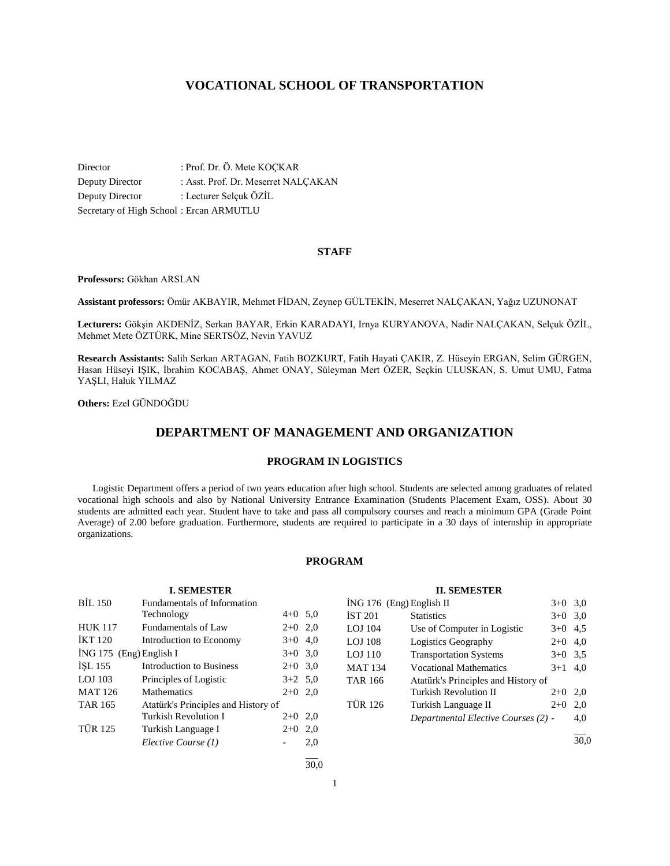# **VOCATIONAL SCHOOL OF TRANSPORTATION**

Director : Prof. Dr. Ö. Mete KOÇKAR Deputy Director : Asst. Prof. Dr. Meserret NALÇAKAN Deputy Director : Lecturer Selçuk ÖZİL Secretary of High School : Ercan ARMUTLU

# **STAFF**

**Professors:** Gökhan ARSLAN

**Assistant professors:** Ömür AKBAYIR, Mehmet FİDAN, Zeynep GÜLTEKİN, Meserret NALÇAKAN, Yağız UZUNONAT

**Lecturers:** Gökşin AKDENİZ, Serkan BAYAR, Erkin KARADAYI, Irnya KURYANOVA, Nadir NALÇAKAN, Selçuk ÖZİL, Mehmet Mete ÖZTÜRK, Mine SERTSÖZ, Nevin YAVUZ

**Research Assistants:** Salih Serkan ARTAGAN, Fatih BOZKURT, Fatih Hayati ÇAKIR, Z. Hüseyin ERGAN, Selim GÜRGEN, Hasan Hüseyi IŞIK, İbrahim KOCABAŞ, Ahmet ONAY, Süleyman Mert ÖZER, Seçkin ULUSKAN, S. Umut UMU, Fatma YAŞLI, Haluk YILMAZ

**Others:** Ezel GÜNDOĞDU

# **DEPARTMENT OF MANAGEMENT AND ORGANIZATION**

# **PROGRAM IN LOGISTICS**

 Logistic Department offers a period of two years education after high school. Students are selected among graduates of related vocational high schools and also by National University Entrance Examination (Students Placement Exam, OSS). About 30 students are admitted each year. Student have to take and pass all compulsory courses and reach a minimum GPA (Grade Point Average) of 2.00 before graduation. Furthermore, students are required to participate in a 30 days of internship in appropriate organizations.

# **PROGRAM**

| <b>I. SEMESTER</b>        |                                     |           |           |  |  |  |
|---------------------------|-------------------------------------|-----------|-----------|--|--|--|
| <b>BIL 150</b>            | Fundamentals of Information         |           |           |  |  |  |
|                           | Technology                          | $4+0$ 5.0 |           |  |  |  |
| <b>HUK 117</b>            | Fundamentals of Law                 | $2+0$ 2,0 |           |  |  |  |
| <b>IKT 120</b>            | Introduction to Economy             | $3+0$ 4,0 |           |  |  |  |
| $ING 175$ (Eng) English I |                                     |           | $3+0$ 3,0 |  |  |  |
| ISL 155                   | <b>Introduction to Business</b>     | $2+0$ 3,0 |           |  |  |  |
| $LOJ$ 103                 | Principles of Logistic              | $3+2$ 5,0 |           |  |  |  |
| <b>MAT 126</b>            | Mathematics                         | $2+0$ 2,0 |           |  |  |  |
| <b>TAR 165</b>            | Atatürk's Principles and History of |           |           |  |  |  |
|                           | Turkish Revolution I                | $2+0$     | 2,0       |  |  |  |
| <b>TÜR 125</b>            | Turkish Language I                  | $2+0$     | 2,0       |  |  |  |
|                           | Elective Course (1)                 |           | 2,0       |  |  |  |
|                           |                                     |           |           |  |  |  |

# **II. SEMESTER**

| ING 176 (Eng) English II |                                     | $3+0$ 3.0 |      |
|--------------------------|-------------------------------------|-----------|------|
| İST 201                  | <b>Statistics</b>                   | $3+0$     | 3,0  |
| LOJ 104                  | Use of Computer in Logistic         | $3+0$ 4.5 |      |
| LOJ 108                  | Logistics Geography                 | $2+0$ 4,0 |      |
| LOJ 110                  | <b>Transportation Systems</b>       | $3+0$ 3.5 |      |
| MAT 134                  | <b>Vocational Mathematics</b>       | $3+1$ 4,0 |      |
| TAR 166                  | Atatürk's Principles and History of |           |      |
|                          | Turkish Revolution II               | $2+0$     | 2,0  |
| TÜR 126                  | Turkish Language II                 | $2+0$     | 2,0  |
|                          | Departmental Elective Courses (2) - |           | 4,0  |
|                          |                                     |           | 30.0 |

1

l  $\frac{1}{30.0}$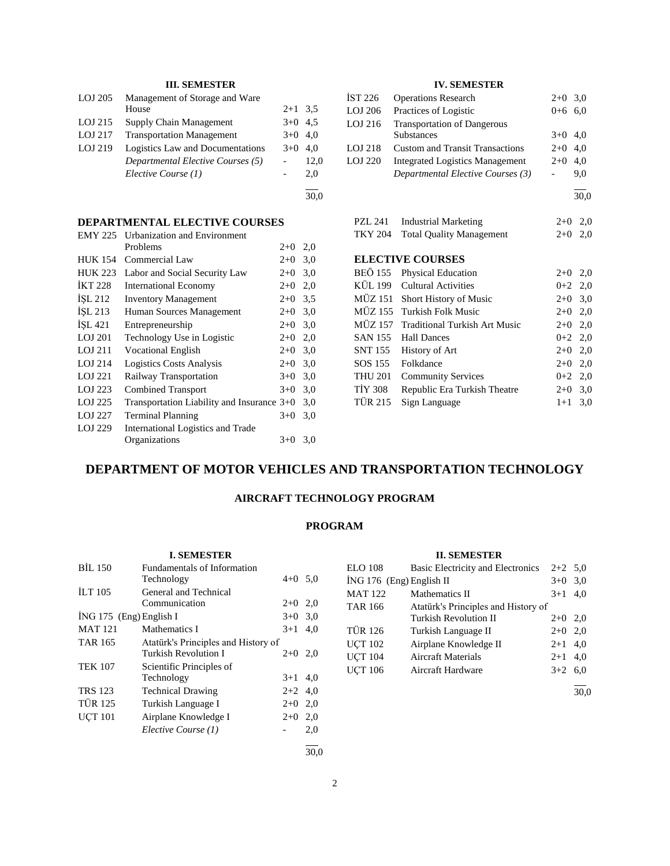# **III. SEMESTER**

| LOJ 205   | Management of Storage and Ware    |           |      |
|-----------|-----------------------------------|-----------|------|
|           | House                             | $2+1$ 3.5 |      |
| LOJ 215   | Supply Chain Management           | $3+0$ 4.5 |      |
| $LOJ$ 217 | <b>Transportation Management</b>  | $3+0$ 4.0 |      |
| LOJ 219   | Logistics Law and Documentations  | $3+0$ 4.0 |      |
|           | Departmental Elective Courses (5) |           | 12,0 |
|           | Elective Course (1)               |           | 2.0  |
|           |                                   |           |      |

30,0

# **DEPARTMENTAL ELECTIVE COURSES**

| <b>EMY 225</b> | <b>Urbanization and Environment</b>        |       |     |
|----------------|--------------------------------------------|-------|-----|
|                | Problems                                   | $2+0$ | 2,0 |
| <b>HUK 154</b> | Commercial Law                             | $2+0$ | 3,0 |
| <b>HUK 223</b> | Labor and Social Security Law              | $2+0$ | 3,0 |
| <b>IKT 228</b> | <b>International Economy</b>               | $2+0$ | 2,0 |
| ISL 212        | <b>Inventory Management</b>                | $2+0$ | 3.5 |
| ISL 213        | Human Sources Management                   | $2+0$ | 3,0 |
| ISL 421        | Entrepreneurship                           | $2+0$ | 3,0 |
| LOJ 201        | Technology Use in Logistic                 | $2+0$ | 2,0 |
| LOJ 211        | <b>Vocational English</b>                  | $2+0$ | 3,0 |
| LOJ 214        | <b>Logistics Costs Analysis</b>            | $2+0$ | 3,0 |
| LOJ 221        | Railway Transportation                     | $3+0$ | 3,0 |
| LOJ 223        | <b>Combined Transport</b>                  | $3+0$ | 3,0 |
| LOJ 225        | Transportation Liability and Insurance 3+0 |       | 3,0 |
| LOJ 227        | <b>Terminal Planning</b>                   | $3+0$ | 3,0 |
| LOJ 229        | International Logistics and Trade          |       |     |
|                | Organizations                              | $3+0$ | 3,0 |

# **IV. SEMESTER**

| <b>İST 226</b> | <b>Operations Research</b>             | $2+0$ 3,0 |     |
|----------------|----------------------------------------|-----------|-----|
| LOJ 206        | Practices of Logistic                  | $0 + 6$   | 6.0 |
| LOJ 216        | <b>Transportation of Dangerous</b>     |           |     |
|                | <b>Substances</b>                      | $3+0$ 4.0 |     |
| LOJ 218        | <b>Custom and Transit Transactions</b> | $2+0$ 4,0 |     |
| LOJ 220        | <b>Integrated Logistics Management</b> | $2+0$     | 4,0 |
|                | Departmental Elective Courses (3)      |           | 9.0 |
|                |                                        |           |     |

30,0

PZL 241 Industrial Marketing 2+0 2,0 TKY 204 Total Quality Management 2+0 2,0

# **ELECTIVE COURSES**

|                | BEÖ 155 Physical Education            | $2+0$ 2,0 |  |
|----------------|---------------------------------------|-----------|--|
|                | KÜL 199 Cultural Activities           | $0+2$ 2,0 |  |
|                | MÜZ 151 Short History of Music        | $2+0$ 3,0 |  |
|                | MÜZ 155 Turkish Folk Music            | $2+0$ 2,0 |  |
|                | MÜZ 157 Traditional Turkish Art Music | $2+0$ 2,0 |  |
|                | SAN 155 Hall Dances                   | $0+2$ 2,0 |  |
|                | SNT 155 History of Art                | $2+0$ 2,0 |  |
|                | SOS 155 Folkdance                     | $2+0$ 2,0 |  |
| <b>THU 201</b> | <b>Community Services</b>             | $0+2$ 2,0 |  |
| TİY 308        | Republic Era Turkish Theatre          | $2+0$ 3,0 |  |
| TÜR 215        | Sign Language                         | $1+1$ 3.0 |  |
|                |                                       |           |  |

# **DEPARTMENT OF MOTOR VEHICLES AND TRANSPORTATION TECHNOLOGY**

# **AIRCRAFT TECHNOLOGY PROGRAM**

# **PROGRAM**

#### **I. SEMESTER**

| <b>BIL 150</b>            | <b>Fundamentals of Information</b>  |           |      |
|---------------------------|-------------------------------------|-----------|------|
|                           | Technology                          | $4+0$ 5,0 |      |
| <b>ILT</b> 105            | General and Technical               |           |      |
|                           | Communication                       | $2+0$     | 2,0  |
| $ING 175$ (Eng) English I |                                     | $3+0$ 3.0 |      |
| <b>MAT 121</b>            | Mathematics I                       | $3+1$     | 4,0  |
| TAR 165                   | Atatürk's Principles and History of |           |      |
|                           | Turkish Revolution I                | $2+0$     | 2,0  |
| <b>TEK 107</b>            | Scientific Principles of            |           |      |
|                           | Technology                          | $3+1$     | 4,0  |
| <b>TRS 123</b>            | <b>Technical Drawing</b>            | $2+2$     | 4,0  |
| <b>TÜR 125</b>            | Turkish Language I                  | $2+0$     | 2,0  |
| <b>UCT 101</b>            | Airplane Knowledge I                | $2+0$     | 2,0  |
|                           | Elective Course (1)                 |           | 2,0  |
|                           |                                     |           | 30.0 |

# **II. SEMESTER**

| <b>ELO 108</b>             | Basic Electricity and Electronics   | $2+2$ 5.0 |     |
|----------------------------|-------------------------------------|-----------|-----|
| $ING 176$ (Eng) English II |                                     |           | 3,0 |
| <b>MAT 122</b>             | Mathematics II                      | $3+1$     | 4.0 |
| <b>TAR 166</b>             | Atatürk's Principles and History of |           |     |
|                            | <b>Turkish Revolution II</b>        | $2+0$     | 2,0 |
| <b>TÜR 126</b>             | Turkish Language II                 | $2+0$     | 2,0 |
| <b>UCT 102</b>             | Airplane Knowledge II               | $2 + 1$   | 4,0 |
| <b>UCT 104</b>             | <b>Aircraft Materials</b>           | $2+1$ 4,0 |     |
| <b>UCT 106</b>             | Aircraft Hardware                   | $3+2$ 6,0 |     |
|                            |                                     |           |     |

30,0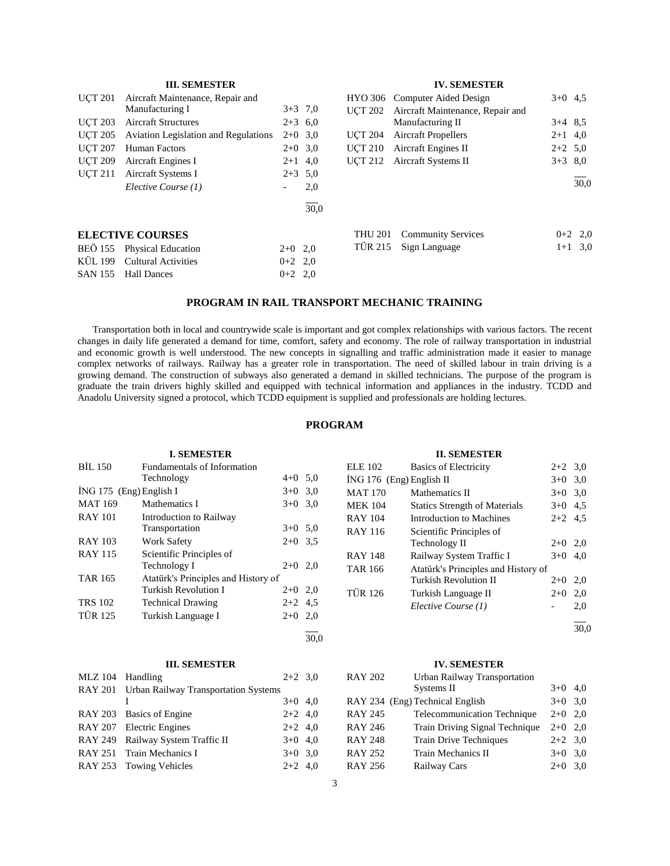|                | <b>III. SEMESTER</b>                        |                          |           |                | <b>IV. SEMESTER</b>              |           |           |
|----------------|---------------------------------------------|--------------------------|-----------|----------------|----------------------------------|-----------|-----------|
| <b>UCT 201</b> | Aircraft Maintenance, Repair and            |                          |           |                | HYO 306 Computer Aided Design    | $3+0$ 4.5 |           |
|                | Manufacturing I                             |                          | $3+3$ 7,0 | <b>UCT 202</b> | Aircraft Maintenance, Repair and |           |           |
| <b>UCT 203</b> | <b>Aircraft Structures</b>                  |                          | $2+3$ 6,0 |                | Manufacturing II                 | $3+4$ 8.5 |           |
| <b>UCT 205</b> | <b>Aviation Legislation and Regulations</b> |                          | $2+0$ 3.0 | <b>UCT 204</b> | <b>Aircraft Propellers</b>       | $2+1$ 4,0 |           |
| <b>UCT 207</b> | Human Factors                               |                          | $2+0$ 3.0 | <b>UCT 210</b> | Aircraft Engines II              | $2+2$ 5.0 |           |
| <b>UCT 209</b> | Aircraft Engines I                          |                          | $2+1$ 4,0 | <b>UCT 212</b> | Aircraft Systems II              | $3+3$ 8.0 |           |
| <b>UCT 211</b> | Aircraft Systems I                          |                          | $2+3$ 5.0 |                |                                  |           |           |
|                | Elective Course (1)                         | $\overline{\phantom{0}}$ | 2,0       |                |                                  |           | 30.0      |
|                |                                             |                          | 30,0      |                |                                  |           |           |
|                | <b>ELECTIVE COURSES</b>                     |                          |           | <b>THU 201</b> | <b>Community Services</b>        |           | $0+2$ 2,0 |
| <b>BEÖ</b> 155 | <b>Physical Education</b>                   | $2+0$ 2,0                |           | <b>TÜR 215</b> | Sign Language                    |           | $1+1$ 3,0 |
| KÜL 199        | <b>Cultural Activities</b>                  | $0+2$ 2,0                |           |                |                                  |           |           |
| <b>SAN 155</b> | <b>Hall Dances</b>                          | $0+2$ 2,0                |           |                |                                  |           |           |
|                |                                             |                          |           |                |                                  |           |           |

# **PROGRAM IN RAIL TRANSPORT MECHANIC TRAINING**

 Transportation both in local and countrywide scale is important and got complex relationships with various factors. The recent changes in daily life generated a demand for time, comfort, safety and economy. The role of railway transportation in industrial and economic growth is well understood. The new concepts in signalling and traffic administration made it easier to manage complex networks of railways. Railway has a greater role in transportation. The need of skilled labour in train driving is a growing demand. The construction of subways also generated a demand in skilled technicians. The purpose of the program is graduate the train drivers highly skilled and equipped with technical information and appliances in the industry. TCDD and Anadolu University signed a protocol, which TCDD equipment is supplied and professionals are holding lectures.

# **PROGRAM**

|                           | <b>I. SEMESTER</b>                  |           |     |
|---------------------------|-------------------------------------|-----------|-----|
| <b>BIL 150</b>            | <b>Fundamentals of Information</b>  |           |     |
|                           | Technology                          | $4+0$ 5,0 |     |
| $ING 175$ (Eng) English I |                                     | $3+0$ 3,0 |     |
| <b>MAT 169</b>            | Mathematics I                       | $3+0$     | 3,0 |
| <b>RAY 101</b>            | Introduction to Railway             |           |     |
|                           | Transportation                      | $3+0$ 5.0 |     |
| <b>RAY 103</b>            | <b>Work Safety</b>                  | $2+0$ 3.5 |     |
| <b>RAY 115</b>            | Scientific Principles of            |           |     |
|                           | Technology I                        | $2+0$ 2,0 |     |
| <b>TAR 165</b>            | Atatürk's Principles and History of |           |     |
|                           | Turkish Revolution I                | $2+0$ 2,0 |     |
| <b>TRS 102</b>            | <b>Technical Drawing</b>            | $2+2$ 4.5 |     |
| <b>TÜR 125</b>            | Turkish Language I                  | $2+0$ 2,0 |     |
|                           |                                     |           |     |

#### **III. SEMESTER**

| MLZ 104 Handling |                                              | $2+2$ 3.0 |  |
|------------------|----------------------------------------------|-----------|--|
|                  | RAY 201 Urban Railway Transportation Systems |           |  |
|                  |                                              | $3+0$ 4,0 |  |
|                  | RAY 203 Basics of Engine                     | $2+2$ 4,0 |  |
|                  | RAY 207 Electric Engines                     | $2+2$ 4,0 |  |
|                  | RAY 249 Railway System Traffic II            | $3+0$ 4,0 |  |
|                  | RAY 251 Train Mechanics I                    | $3+0$ 3.0 |  |
|                  | RAY 253 Towing Vehicles                      | $2+2$ 4,0 |  |

#### **II. SEMESTER**

| ELE 102                    | <b>Basics of Electricity</b>         | $2+2$ 3,0 |     |
|----------------------------|--------------------------------------|-----------|-----|
| $ING 176$ (Eng) English II |                                      | $3+0$ 3.0 |     |
| <b>MAT 170</b>             | Mathematics II                       | $3+0$ 3.0 |     |
| <b>MEK 104</b>             | <b>Statics Strength of Materials</b> | $3+0$ 4.5 |     |
| RAY 104                    | Introduction to Machines             | $2+2$ 4.5 |     |
| RAY 116                    | Scientific Principles of             |           |     |
|                            | Technology II                        | $2+0$ 2,0 |     |
| <b>RAY 148</b>             | Railway System Traffic I             | $3+0$     | 4.0 |
| <b>TAR 166</b>             | Atatürk's Principles and History of  |           |     |
|                            | Turkish Revolution II                | $2+0$     | 2,0 |
| TÜR 126                    | Turkish Language II                  | $2+0$     | 2,0 |
|                            | Elective Course (1)                  |           | 2,0 |
|                            |                                      |           |     |

30,0

#### **IV. SEMESTER**

| <b>RAY 202</b> | Urban Railway Transportation    |           |     |
|----------------|---------------------------------|-----------|-----|
|                | Systems II                      | $3+0$     | 4.0 |
|                | RAY 234 (Eng) Technical English | $3+0$ 3.0 |     |
| <b>RAY 245</b> | Telecommunication Technique     | $2+0$ 2.0 |     |
| <b>RAY 246</b> | Train Driving Signal Technique  | $2+0$ 2.0 |     |
| <b>RAY 248</b> | <b>Train Drive Techniques</b>   | $2+2$ 3.0 |     |
| <b>RAY 252</b> | Train Mechanics II              | $3+0$     | 3.0 |
| <b>RAY 256</b> | Railway Cars                    | $2+0$     | 3.0 |

 $\frac{1}{30,0}$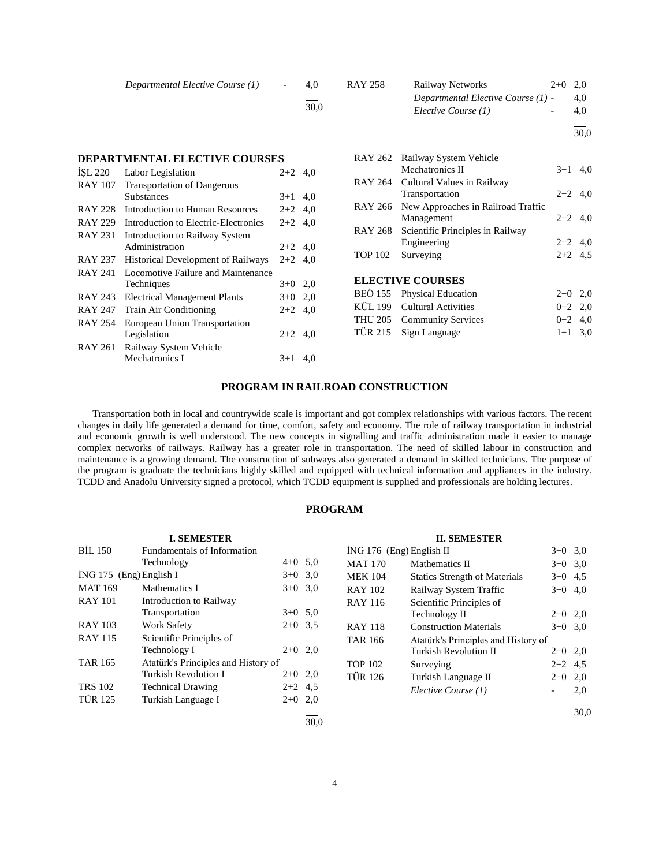| Departmental Elective Course (1) | $\overline{\phantom{0}}$ | 4.0  | RAY 258 | Railway Networks                     | $2+0$ 2.0 |
|----------------------------------|--------------------------|------|---------|--------------------------------------|-----------|
|                                  |                          |      |         | Departmental Elective Course $(1)$ - | 4.0       |
|                                  |                          | 30.0 |         | Elective Course (1)                  | 4.0       |
|                                  |                          |      |         |                                      | 30 O      |

## **DEPARTMENTAL ELECTIVE COURSES**

| ISL 220        | Labor Legislation                         | $2 + 2$   | 4,0 |
|----------------|-------------------------------------------|-----------|-----|
| <b>RAY 107</b> | <b>Transportation of Dangerous</b>        |           |     |
|                | <b>Substances</b>                         | $3+1$     | 4,0 |
| <b>RAY 228</b> | Introduction to Human Resources           | $2+2$     | 4,0 |
| <b>RAY 229</b> | Introduction to Electric-Electronics      | $2+2$     | 4.0 |
| RAY 231        | Introduction to Railway System            |           |     |
|                | Administration                            | $2+2$ 4,0 |     |
| <b>RAY 237</b> | <b>Historical Development of Railways</b> | $2+2$ 4,0 |     |
| <b>RAY 241</b> | Locomotive Failure and Maintenance        |           |     |
|                | Techniques                                | $3+0$ 2,0 |     |
| RAY 243        | <b>Electrical Management Plants</b>       | $3+0$ 2,0 |     |
| <b>RAY 247</b> | <b>Train Air Conditioning</b>             | $2+2$ 4,0 |     |
| <b>RAY 254</b> | European Union Transportation             |           |     |
|                | Legislation                               | $2+2$ 4,0 |     |
| <b>RAY 261</b> | Railway System Vehicle                    |           |     |
|                | Mechatronics I                            | $3+1$     | 4,0 |
|                |                                           |           |     |

|                |                                                                                 |           | 30,0 |
|----------------|---------------------------------------------------------------------------------|-----------|------|
| RAY 262        | Railway System Vehicle<br><b>Mechatronics II</b>                                |           |      |
| <b>RAY 264</b> | Cultural Values in Railway                                                      | $3+1$ 4,0 |      |
|                | Transportation                                                                  | $2+2$ 4.0 |      |
| <b>RAY 266</b> | New Approaches in Railroad Traffic<br>Management                                | $2+2$ 4.0 |      |
| <b>RAY 268</b> | Scientific Principles in Railway<br>Engineering                                 | $2+2$ 4.0 |      |
| <b>TOP 102</b> | Surveying                                                                       | $2+2$ 4.5 |      |
|                | <b>ELECTIVE COURSES</b>                                                         |           |      |
|                | BEÖ 155 Physical Education                                                      | $2+0$     | 2,0  |
|                | the contract of the contract of the contract of the contract of the contract of |           |      |

|                             | _ _       |  |
|-----------------------------|-----------|--|
| KÜL 199 Cultural Activities | $0+2$ 2.0 |  |
| THU 205 Community Services  | $0+2$ 4.0 |  |
| TÜR 215 Sign Language       | $1+1$ 3.0 |  |
|                             |           |  |

# **PROGRAM IN RAILROAD CONSTRUCTION**

 Transportation both in local and countrywide scale is important and got complex relationships with various factors. The recent changes in daily life generated a demand for time, comfort, safety and economy. The role of railway transportation in industrial and economic growth is well understood. The new concepts in signalling and traffic administration made it easier to manage complex networks of railways. Railway has a greater role in transportation. The need of skilled labour in construction and maintenance is a growing demand. The construction of subways also generated a demand in skilled technicians. The purpose of the program is graduate the technicians highly skilled and equipped with technical information and appliances in the industry. TCDD and Anadolu University signed a protocol, which TCDD equipment is supplied and professionals are holding lectures.

# **PROGRAM**

|                         | <b>I. SEMESTER</b>                  |           |      |                            | <b>II. SEMESTER</b>                  |           |      |
|-------------------------|-------------------------------------|-----------|------|----------------------------|--------------------------------------|-----------|------|
| <b>BIL 150</b>          | Fundamentals of Information         |           |      | $ING 176$ (Eng) English II |                                      | $3+0$ 3,0 |      |
|                         | Technology                          | $4+0$ 5.0 |      | <b>MAT 170</b>             | Mathematics II                       | $3+0$ 3.0 |      |
| İNG 175 (Eng) English I |                                     | $3+0$ 3.0 |      | <b>MEK 104</b>             | <b>Statics Strength of Materials</b> | $3+0$ 4.5 |      |
| <b>MAT 169</b>          | Mathematics I                       | $3+0$ 3.0 |      | <b>RAY 102</b>             | Railway System Traffic               | $3+0$ 4,0 |      |
| <b>RAY 101</b>          | Introduction to Railway             |           |      | <b>RAY 116</b>             | Scientific Principles of             |           |      |
|                         | Transportation                      | $3+0$ 5.0 |      |                            | Technology II                        | $2+0$ 2,0 |      |
| <b>RAY 103</b>          | <b>Work Safety</b>                  | $2+0$ 3.5 |      | <b>RAY 118</b>             | <b>Construction Materials</b>        | $3+0$ 3.0 |      |
| <b>RAY 115</b>          | Scientific Principles of            |           |      | <b>TAR 166</b>             | Atatürk's Principles and History of  |           |      |
|                         | Technology I                        | $2+0$ 2,0 |      |                            | <b>Turkish Revolution II</b>         | $2+0$ 2,0 |      |
| <b>TAR 165</b>          | Atatürk's Principles and History of |           |      | <b>TOP 102</b>             | Surveying                            | $2+2$ 4.5 |      |
|                         | <b>Turkish Revolution I</b>         | $2+0$ 2,0 |      | <b>TÜR 126</b>             | Turkish Language II                  | $2+0$ 2,0 |      |
| <b>TRS 102</b>          | <b>Technical Drawing</b>            | $2+2$ 4.5 |      |                            | Elective Course (1)                  |           | 2,0  |
| <b>TÜR 125</b>          | Turkish Language I                  | $2+0$ 2,0 |      |                            |                                      |           |      |
|                         |                                     |           |      |                            |                                      |           | 30,0 |
|                         |                                     |           | 30.0 |                            |                                      |           |      |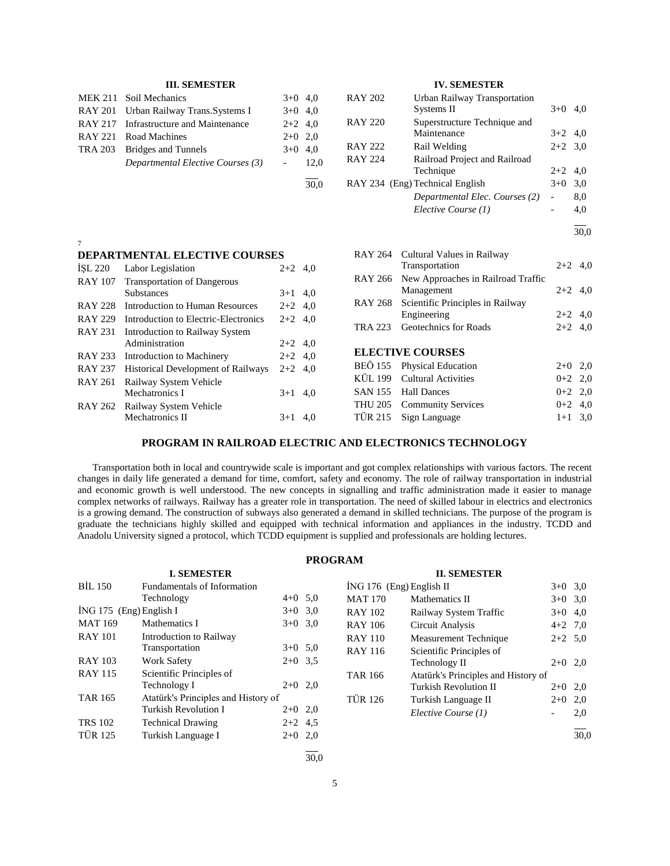|                | <b>III. SEMESTER</b>                   |                          |           |                | <b>IV. SEMESTER</b>                        |                          |           |
|----------------|----------------------------------------|--------------------------|-----------|----------------|--------------------------------------------|--------------------------|-----------|
| <b>MEK 211</b> | Soil Mechanics                         |                          | $3+0$ 4,0 | <b>RAY 202</b> | Urban Railway Transportation               |                          |           |
| <b>RAY 201</b> | Urban Railway Trans.Systems I          | $3+0$                    | 4,0       |                | Systems II                                 | $3+0$ 4,0                |           |
| <b>RAY 217</b> | Infrastructure and Maintenance         | $2+2$                    | 4.0       | <b>RAY 220</b> | Superstructure Technique and               |                          |           |
| <b>RAY 221</b> | Road Machines                          | $2+0$                    | 2,0       |                | Maintenance                                | $3+2$ 4,0                |           |
| <b>TRA 203</b> | <b>Bridges and Tunnels</b>             | $3+0$                    | 4,0       | <b>RAY 222</b> | Rail Welding                               | $2+2$ 3,0                |           |
|                | Departmental Elective Courses (3)      | $\overline{\phantom{a}}$ | 12,0      | <b>RAY 224</b> | Railroad Project and Railroad<br>Technique | $2+2$ 4,0                |           |
|                |                                        |                          | 30,0      |                | RAY 234 (Eng) Technical English            | $3+0$ 3,0                |           |
|                |                                        |                          |           |                | Departmental Elec. Courses (2)             | $\overline{\phantom{a}}$ | 8,0       |
|                |                                        |                          |           |                | Elective Course (1)                        |                          | 4,0       |
|                |                                        |                          |           |                |                                            |                          | 30,0      |
| 7              |                                        |                          |           |                |                                            |                          |           |
|                | DEPARTMENTAL ELECTIVE COURSES          |                          |           | RAY 264        | Cultural Values in Railway                 |                          |           |
| ISL 220        | Labor Legislation                      | $2+2$ 4,0                |           |                | Transportation                             |                          | $2+2$ 4,0 |
| <b>RAY 107</b> | <b>Transportation of Dangerous</b>     |                          |           | <b>RAY 266</b> | New Approaches in Railroad Traffic         |                          |           |
|                | <b>Substances</b>                      | $3+1$ 4,0                |           |                | Management                                 |                          | $2+2$ 4,0 |
| <b>RAY 228</b> | <b>Introduction to Human Resources</b> | $2+2$                    | 4,0       | <b>RAY 268</b> | Scientific Principles in Railway           |                          | $2+2$ 4,0 |
| <b>RAY 229</b> | Introduction to Electric-Electronics   | $2+2$ 4,0                |           | <b>TRA 223</b> | Engineering<br>Geotechnics for Roads       |                          |           |
| <b>RAY 231</b> | Introduction to Railway System         |                          |           |                |                                            |                          | $2+2$ 4,0 |
|                | Administration                         | $2+2$ 4,0                |           |                | <b>ELECTIVE COURSES</b>                    |                          |           |
| <b>RAY 233</b> | Introduction to Machinery              | $2+2$ 4,0                |           |                |                                            |                          |           |
| <b>RAY 237</b> | Historical Development of Railways     | $2+2$ 4,0                |           | <b>BEÖ</b> 155 | Physical Education                         |                          | $2+0$ 2,0 |
| <b>RAY 261</b> | Railway System Vehicle                 |                          |           | <b>KÜL 199</b> | <b>Cultural Activities</b>                 |                          | $0+2$ 2,0 |
|                | Mechatronics I                         | $3+1$ 4,0                |           | <b>SAN 155</b> | <b>Hall Dances</b>                         | $0 + 2$                  | 2,0       |
| <b>RAY 262</b> | Railway System Vehicle                 |                          |           | <b>THU 205</b> | <b>Community Services</b>                  | $0 + 2$                  | 4,0       |
|                | Mechatronics II                        | $3+1$ 4,0                |           | <b>TÜR 215</b> | Sign Language                              |                          | $1+1$ 3,0 |

# **PROGRAM IN RAILROAD ELECTRIC AND ELECTRONICS TECHNOLOGY**

 Transportation both in local and countrywide scale is important and got complex relationships with various factors. The recent changes in daily life generated a demand for time, comfort, safety and economy. The role of railway transportation in industrial and economic growth is well understood. The new concepts in signalling and traffic administration made it easier to manage complex networks of railways. Railway has a greater role in transportation. The need of skilled labour in electrics and electronics is a growing demand. The construction of subways also generated a demand in skilled technicians. The purpose of the program is graduate the technicians highly skilled and equipped with technical information and appliances in the industry. TCDD and Anadolu University signed a protocol, which TCDD equipment is supplied and professionals are holding lectures.

| <b>PROGRAM</b> |  |
|----------------|--|
|----------------|--|

|                         | <b>I. SEMESTER</b>                  |           |                |
|-------------------------|-------------------------------------|-----------|----------------|
| <b>BIL 150</b>          | Fundamentals of Information         |           | ING 176 (      |
|                         | Technology                          | $4+0$ 5.0 | <b>MAT 170</b> |
| İNG 175 (Eng) English I |                                     | $3+0$ 3.0 | <b>RAY 102</b> |
| <b>MAT 169</b>          | Mathematics I                       | $3+0$ 3.0 | <b>RAY 106</b> |
| <b>RAY 101</b>          | Introduction to Railway             |           | <b>RAY 110</b> |
|                         | Transportation                      | $3+0$ 5.0 | <b>RAY 116</b> |
| <b>RAY 103</b>          | <b>Work Safety</b>                  | $2+0$ 3.5 |                |
| <b>RAY 115</b>          | Scientific Principles of            |           | <b>TAR 166</b> |
|                         | Technology I                        | $2+0$ 2,0 |                |
| <b>TAR 165</b>          | Atatürk's Principles and History of |           | <b>TÜR 126</b> |
|                         | Turkish Revolution I                | $2+0$ 2,0 |                |
| <b>TRS 102</b>          | <b>Technical Drawing</b>            | $2+2$ 4.5 |                |
| <b>TÜR 125</b>          | Turkish Language I                  | $2+0$ 2,0 |                |
|                         |                                     |           |                |

|                          | <b>II. SEMESTER</b>                 |           |      |
|--------------------------|-------------------------------------|-----------|------|
| ING 176 (Eng) English II | $3+0$ 3.0                           |           |      |
| <b>MAT 170</b>           | Mathematics II                      | $3+0$ 3.0 |      |
| <b>RAY 102</b>           | Railway System Traffic              | $3+0$     | 4.0  |
| <b>RAY 106</b>           | Circuit Analysis                    | $4+2$ 7.0 |      |
| <b>RAY 110</b>           | Measurement Technique               | $2+2$ 5,0 |      |
| <b>RAY 116</b>           | Scientific Principles of            |           |      |
|                          | Technology II                       | $2+0$ 2,0 |      |
| <b>TAR 166</b>           | Atatürk's Principles and History of |           |      |
|                          | Turkish Revolution II               | $2+0$     | 2,0  |
| <b>TÜR 126</b>           | Turkish Language II                 | $2+0$     | 2,0  |
|                          | Elective Course (1)                 |           | 2,0  |
|                          |                                     |           | 30.0 |

30,0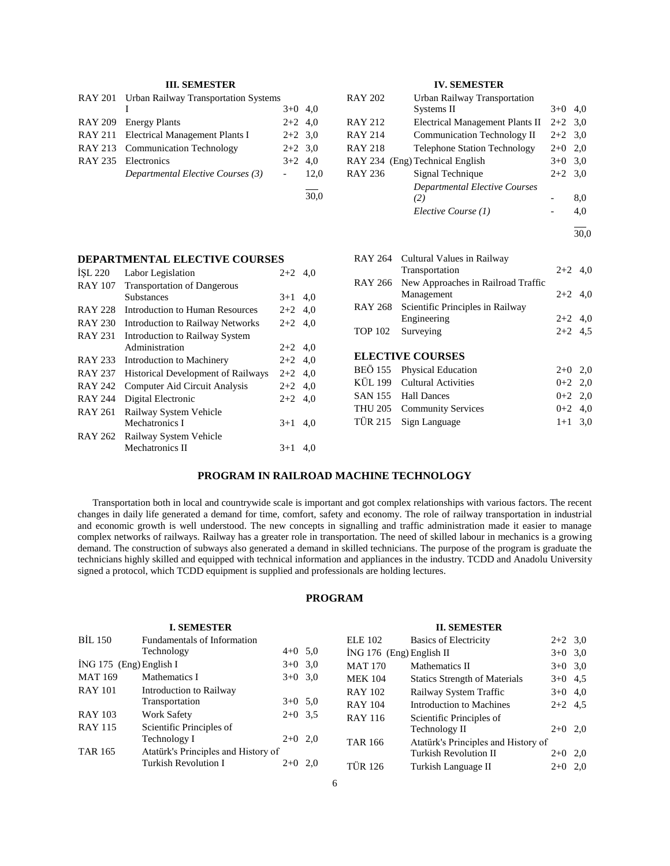# **III. SEMESTER**

| RAY 201 Urban Railway Transportation Systems |           |         |
|----------------------------------------------|-----------|---------|
|                                              | $3+0$ 4.0 |         |
| RAY 209 Energy Plants                        | $2+2$ 4.0 |         |
| RAY 211 Electrical Management Plants I       | $2+2$ 3.0 |         |
| RAY 213 Communication Technology             | $2+2$ 3.0 |         |
| RAY 235 Electronics                          | $3+2$ 4.0 |         |
| Departmental Elective Courses (3)            |           | $-12.0$ |
|                                              |           |         |

 $\frac{1}{30.0}$ 

# **IV. SEMESTER**

| <b>RAY 202</b> | Urban Railway Transportation        |           |     |
|----------------|-------------------------------------|-----------|-----|
|                | Systems II                          | $3+0$     | 4.0 |
| <b>RAY 212</b> | Electrical Management Plants II     | $2+2$ 3.0 |     |
| <b>RAY 214</b> | <b>Communication Technology II</b>  | $2+2$ 3.0 |     |
| <b>RAY 218</b> | <b>Telephone Station Technology</b> | $2+0$     | 2,0 |
|                | RAY 234 (Eng) Technical English     | $3+0$     | 3,0 |
| <b>RAY 236</b> | Signal Technique                    | $2+2$     | 3,0 |
|                | Departmental Elective Courses       |           |     |
|                | (2)                                 |           | 8,0 |
|                | Elective Course (1)                 |           | 4.0 |
|                |                                     |           |     |

30,0

|                | RAY 264 Cultural Values in Railway<br>Transportation | $2+2$ 4.0 |  |
|----------------|------------------------------------------------------|-----------|--|
| RAY 266        | New Approaches in Railroad Traffic<br>Management     | $2+2$ 4.0 |  |
|                | RAY 268 Scientific Principles in Railway             |           |  |
|                | Engineering                                          | $2+2$ 4.0 |  |
| <b>TOP 102</b> | Surveying                                            | $2+2$ 4.5 |  |
|                | <b>ELECTIVE COURSES</b>                              |           |  |
|                | BEÖ 155 Physical Education                           | $2+0$ 2,0 |  |
|                | KÜL 199 Cultural Activities                          | $0+2$ 2,0 |  |
|                | SAN 155 Hall Dances                                  | $0+2$ 2,0 |  |
|                | THU 205 Community Services                           | $0+2$ 4.0 |  |

TÜR 215 Sign Language  $1+1$  3,0

| <b>DEPARTMENTAL ELECTIVE COURSES</b> |           |  |
|--------------------------------------|-----------|--|
| $ISL 220$ Labor Legislation          | $2+2$ 4.0 |  |

| <b>RAY 107</b> | <b>Transportation of Dangerous</b>        |           |     |
|----------------|-------------------------------------------|-----------|-----|
|                | <b>Substances</b>                         | $3+1$     | 4,0 |
| <b>RAY 228</b> | Introduction to Human Resources           | $2+2$ 4.0 |     |
| <b>RAY 230</b> | Introduction to Railway Networks          | $2+2$     | 4,0 |
| <b>RAY 231</b> | <b>Introduction to Railway System</b>     |           |     |
|                | Administration                            | $2+2$ 4.0 |     |
| <b>RAY 233</b> | Introduction to Machinery                 | $2+2$ 4,0 |     |
| <b>RAY 237</b> | <b>Historical Development of Railways</b> | $2+2$ 4,0 |     |
| <b>RAY 242</b> | Computer Aid Circuit Analysis             | $2+2$     | 4,0 |
| <b>RAY 244</b> | Digital Electronic                        | $2+2$     | 4.0 |
| <b>RAY 261</b> | Railway System Vehicle                    |           |     |
|                | Mechatronics I                            | $3+1$     | 4.0 |
| RAY 262        | Railway System Vehicle                    |           |     |
|                | Mechatronics II                           | $3+1$     | 4.0 |
|                |                                           |           |     |

# **PROGRAM IN RAILROAD MACHINE TECHNOLOGY**

 Transportation both in local and countrywide scale is important and got complex relationships with various factors. The recent changes in daily life generated a demand for time, comfort, safety and economy. The role of railway transportation in industrial and economic growth is well understood. The new concepts in signalling and traffic administration made it easier to manage complex networks of railways. Railway has a greater role in transportation. The need of skilled labour in mechanics is a growing demand. The construction of subways also generated a demand in skilled technicians. The purpose of the program is graduate the technicians highly skilled and equipped with technical information and appliances in the industry. TCDD and Anadolu University signed a protocol, which TCDD equipment is supplied and professionals are holding lectures.

# **PROGRAM**

|                         | <b>I. SEMESTER</b>                  |           |           |                            | <b>II. SEMESTER</b>                  |           |  |
|-------------------------|-------------------------------------|-----------|-----------|----------------------------|--------------------------------------|-----------|--|
| <b>BİL 150</b>          | Fundamentals of Information         |           |           | <b>ELE 102</b>             | <b>Basics of Electricity</b>         | $2+2$ 3.0 |  |
|                         | Technology                          | $4+0$ 5.0 |           | $ING 176$ (Eng) English II |                                      | $3+0$ 3,0 |  |
| İNG 175 (Eng) English I |                                     |           | $3+0$ 3,0 | <b>MAT 170</b>             | Mathematics II                       | $3+0$ 3,0 |  |
| <b>MAT 169</b>          | Mathematics I                       |           | $3+0$ 3.0 | <b>MEK 104</b>             | <b>Statics Strength of Materials</b> | $3+0$ 4.5 |  |
| <b>RAY 101</b>          | Introduction to Railway             |           |           | <b>RAY 102</b>             | Railway System Traffic               | $3+0$ 4,0 |  |
|                         | Transportation                      |           | $3+0$ 5,0 | <b>RAY 104</b>             | Introduction to Machines             | $2+2$ 4.5 |  |
| <b>RAY 103</b>          | Work Safety                         | $2+0$ 3.5 |           | <b>RAY 116</b>             | Scientific Principles of             |           |  |
| <b>RAY 115</b>          | Scientific Principles of            |           |           |                            | Technology II                        | $2+0$ 2,0 |  |
|                         | Technology I                        | $2+0$ 2,0 |           | <b>TAR 166</b>             | Atatürk's Principles and History of  |           |  |
| <b>TAR 165</b>          | Atatürk's Principles and History of |           |           |                            | <b>Turkish Revolution II</b>         | $2+0$ 2,0 |  |
|                         | Turkish Revolution I                | $2+0$ 2,0 |           | TÜR 126                    | Turkish Language II                  | $2+0$ 2,0 |  |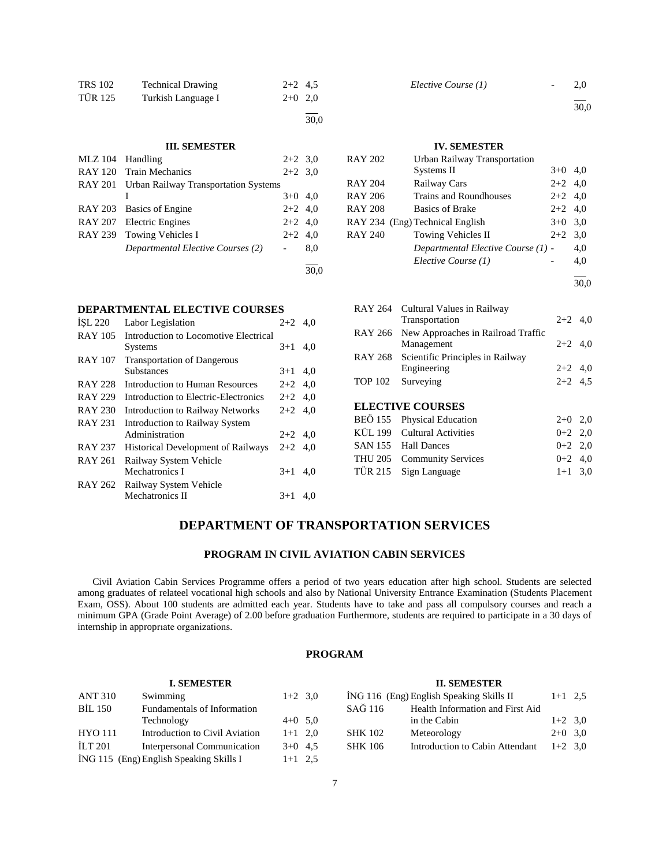| <b>TRS 102</b> | <b>Technical Drawing</b> | $2+2$ 4.5 |  |
|----------------|--------------------------|-----------|--|
| <b>TÜR 125</b> | Turkish Language I       | $2+0$ 2,0 |  |
|                |                          |           |  |

30,0

## **III. SEMESTER**

| MLZ 104 Handling |                                              | $2+2$ 3,0 |     |
|------------------|----------------------------------------------|-----------|-----|
|                  | RAY 120 Train Mechanics                      | $2+2$ 3.0 |     |
|                  | RAY 201 Urban Railway Transportation Systems |           |     |
|                  |                                              | $3+0$ 4,0 |     |
|                  | RAY 203 Basics of Engine                     | $2+2$ 4,0 |     |
|                  | RAY 207 Electric Engines                     | $2+2$ 4,0 |     |
|                  | RAY 239 Towing Vehicles I                    | $2+2$ 4,0 |     |
|                  | Departmental Elective Courses (2)            |           | 8,0 |
|                  |                                              |           |     |
|                  |                                              |           |     |

## **DEPARTMENTAL ELECTIVE COURSES**

| ISL 220        | Labor Legislation                         | $2+2$ 4.0 |     |
|----------------|-------------------------------------------|-----------|-----|
| <b>RAY 105</b> | Introduction to Locomotive Electrical     |           |     |
|                | <b>Systems</b>                            | $3+1$     | 4.0 |
| <b>RAY 107</b> | <b>Transportation of Dangerous</b>        |           |     |
|                | <b>Substances</b>                         | $3+1$ 4,0 |     |
| <b>RAY 228</b> | Introduction to Human Resources           | $2+2$ 4,0 |     |
| <b>RAY 229</b> | Introduction to Electric-Electronics      | $2+2$ 4,0 |     |
| <b>RAY 230</b> | <b>Introduction to Railway Networks</b>   | $2+2$ 4,0 |     |
| <b>RAY 231</b> | Introduction to Railway System            |           |     |
|                | Administration                            | $2+2$ 4,0 |     |
| <b>RAY 237</b> | <b>Historical Development of Railways</b> | $2+2$ 4,0 |     |
| <b>RAY 261</b> | Railway System Vehicle                    |           |     |
|                | Mechatronics I                            | $3+1$     | 4,0 |
| RAY 262        | Railway System Vehicle                    |           |     |
|                | Mechatronics II                           | $3+1$     | 4,0 |

*Elective Course (1)* - 2,0

l

30,0

# **IV. SEMESTER**

| <b>RAY 202</b> | <b>Urban Railway Transportation</b> |           |     |
|----------------|-------------------------------------|-----------|-----|
|                | Systems II                          | $3+0$ 4,0 |     |
| <b>RAY 204</b> | Railway Cars                        | $2+2$ 4.0 |     |
| <b>RAY 206</b> | Trains and Roundhouses              | $2+2$ 4.0 |     |
| <b>RAY 208</b> | <b>Basics of Brake</b>              | $2+2$ 4,0 |     |
|                | RAY 234 (Eng) Technical English     | $3+0$ 3.0 |     |
| <b>RAY 240</b> | Towing Vehicles II                  | $2+2$ 3,0 |     |
|                | Departmental Elective Course (1) -  |           | 4,0 |
|                | Elective Course (1)                 |           | 4,0 |
|                |                                     |           |     |

30,0

|         | RAY 264 Cultural Values in Railway               |             |  |
|---------|--------------------------------------------------|-------------|--|
|         | Transportation                                   | $2+2$ 4,0   |  |
| RAY 266 | New Approaches in Railroad Traffic<br>Management | $2+2$ 4,0   |  |
| RAY 268 | Scientific Principles in Railway                 |             |  |
|         | Engineering                                      | $2+2$ 4,0   |  |
| TOP 102 | Surveying                                        | $2+2$ 4.5   |  |
|         | <b>ELECTIVE COURSES</b>                          |             |  |
|         | BEÖ 155 Physical Education                       | $2+0$ 2,0   |  |
|         | KUI 199 Cultural Activities                      | $0+2$ 2 $0$ |  |

| KÜL 199 Cultural Activities | $0+2$ 2,0 |  |
|-----------------------------|-----------|--|
|                             |           |  |
| SAN 155 Hall Dances         | $0+2$ 2,0 |  |
| THU 205 Community Services  | $0+2$ 4.0 |  |
| TÜR 215 Sign Language       | $1+1$ 3.0 |  |

# **DEPARTMENT OF TRANSPORTATION SERVICES**

# **PROGRAM IN CIVIL AVIATION CABIN SERVICES**

 Civil Aviation Cabin Services Programme offers a period of two years education after high school. Students are selected among graduates of relateel vocational high schools and also by National University Entrance Examination (Students Placement Exam, OSS). About 100 students are admitted each year. Students have to take and pass all compulsory courses and reach a minimum GPA (Grade Point Average) of 2.00 before graduation Furthermore, students are required to participate in a 30 days of internship in approprıate organizations.

# **PROGRAM**

#### **I. SEMESTER** ANT 310 Swimming 1+2 3,0 BİL 150 Fundamentals of Information Technology 4+0 5,0 HYO 111 Introduction to Civil Aviation 1+1 2,0 İLT 201 Interpersonal Communication 3+0 4,5  $i$ NG 115 (Eng) English Speaking Skills I 1+1 2,5 **II. SEMESTER**  $i$ NG 116 (Eng) English Speaking Skills II 1+1 2,5 SAĞ 116 Health Information and First Aid in the Cabin  $1+2$  3,0 SHK 102 Meteorology 2+0 3,0 SHK 106 Introduction to Cabin Attendant  $1+2$  3,0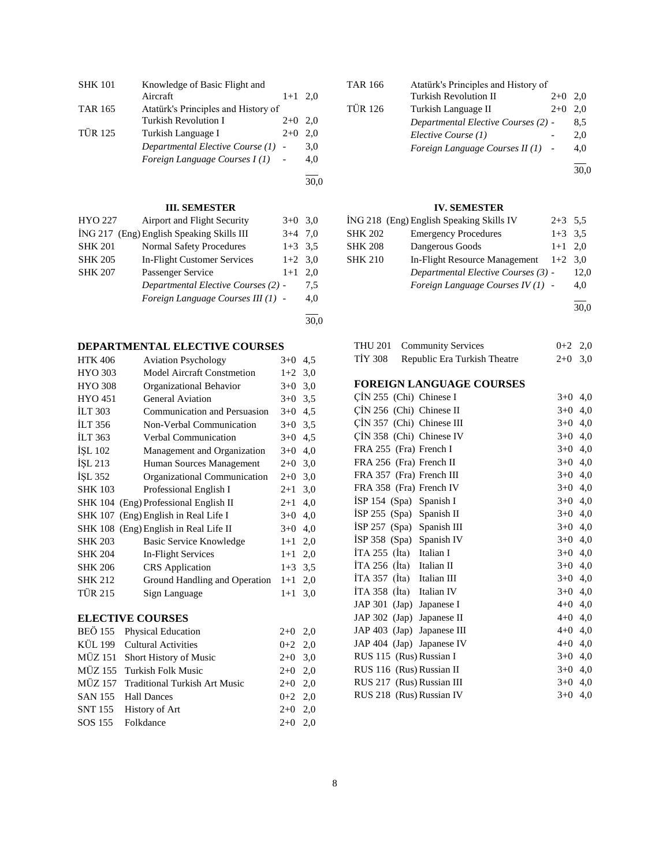| <b>SHK 101</b> | Knowledge of Basic Flight and       |           |     |
|----------------|-------------------------------------|-----------|-----|
|                | Aircraft                            | $1+1$ 2.0 |     |
| <b>TAR 165</b> | Atatürk's Principles and History of |           |     |
|                | Turkish Revolution I                | $2+0$     | 2.0 |
| <b>TÜR 125</b> | Turkish Language I                  | $2+0$     | 2.0 |
|                | Departmental Elective Course (1) -  |           | 3,0 |
|                | Foreign Language Courses I(1)       |           | 4.0 |
|                |                                     |           |     |

30,0

30,0

# **III. SEMESTER**

| HYO 227        | Airport and Flight Security               | $3+0$ 3.0 |     |
|----------------|-------------------------------------------|-----------|-----|
|                | ING 217 (Eng) English Speaking Skills III | $3+4$     | 7.0 |
| <b>SHK 201</b> | <b>Normal Safety Procedures</b>           | $1+3$ 3.5 |     |
| <b>SHK 205</b> | In-Flight Customer Services               | $1+2$ 3.0 |     |
| <b>SHK 207</b> | Passenger Service                         | $1+1$     | 2.0 |
|                | Departmental Elective Courses (2) -       |           | 7.5 |
|                | Foreign Language Courses III (1) -        |           | 4,0 |
|                |                                           |           |     |

**DEPARTMENTAL ELECTIVE COURSES**

| <b>HTK 406</b> | <b>Aviation Psychology</b>            | $3+0$   | 4,5 |
|----------------|---------------------------------------|---------|-----|
| <b>HYO 303</b> | Model Aircraft Constmetion            | $1+2$   | 3,0 |
| <b>HYO 308</b> | Organizational Behavior               | $3+0$   | 3,0 |
| <b>HYO 451</b> | General Aviation                      | $3+0$   | 3.5 |
| <b>ILT 303</b> | Communication and Persuasion          | $3+0$   | 4,5 |
| <b>ILT 356</b> | Non-Verbal Communication              | $3+0$   | 3.5 |
| <b>ILT 363</b> | Verbal Communication                  | $3+0$   | 4,5 |
| <b>ISL 102</b> | Management and Organization           | $3+0$   | 4,0 |
| ISL 213        | Human Sources Management              | $2+0$   | 3,0 |
| ISL 352        | Organizational Communication          | $2+0$   | 3,0 |
| <b>SHK 103</b> | Professional English I                | $2 + 1$ | 3,0 |
|                | SHK 104 (Eng) Professional English II | $2 + 1$ | 4,0 |
|                | SHK 107 (Eng) English in Real Life I  | $3+0$   | 4,0 |
|                | SHK 108 (Eng) English in Real Life II | $3+0$   | 4,0 |
| <b>SHK 203</b> | Basic Service Knowledge               | $1+1$   | 2,0 |
| <b>SHK 204</b> | In-Flight Services                    | $1+1$   | 2,0 |
| <b>SHK 206</b> | <b>CRS</b> Application                | $1 + 3$ | 3,5 |
| <b>SHK 212</b> | Ground Handling and Operation         | $1+1$   | 2,0 |
| <b>TÜR 215</b> | Sign Language                         | $1+1$   | 3,0 |
|                |                                       |         |     |

# **ELECTIVE COURSES**

| BEÖ 155 Physical Education            | $2+0$ 2,0 |  |
|---------------------------------------|-----------|--|
| KÜL 199 Cultural Activities           | $0+2$ 2,0 |  |
| MÜZ 151 Short History of Music        | $2+0$ 3,0 |  |
| MÜZ 155 Turkish Folk Music            | $2+0$ 2.0 |  |
| MÜZ 157 Traditional Turkish Art Music | $2+0$ 2.0 |  |
| SAN 155 Hall Dances                   | $0+2$ 2,0 |  |
| SNT 155 History of Art                | $2+0$ 2,0 |  |
| SOS 155 Folkdance                     | $2+0$ 2.0 |  |
|                                       |           |  |

| <b>TAR 166</b> | Atatürk's Principles and History of |       |      |
|----------------|-------------------------------------|-------|------|
|                | <b>Turkish Revolution II</b>        | $2+0$ | 2.0  |
| <b>TÜR 126</b> | Turkish Language II                 | $2+0$ | 2.0  |
|                | Departmental Elective Courses (2) - |       | 8,5  |
|                | Elective Course (1)                 |       | 2,0  |
|                | Foreign Language Courses II $(1)$ - |       | 4,0  |
|                |                                     |       | 30.0 |

# **IV. SEMESTER**

|         | ING 218 (Eng) English Speaking Skills IV | $2+3$ 5.5 |      |
|---------|------------------------------------------|-----------|------|
| SHK 202 | <b>Emergency Procedures</b>              | $1+3$ 3.5 |      |
| SHK 208 | Dangerous Goods                          | $1+1$ 2,0 |      |
| SHK 210 | In-Flight Resource Management            | $1+2$ 3.0 |      |
|         | Departmental Elective Courses (3) -      |           | 12,0 |
|         | Foreign Language Courses $IV(1)$ -       |           | 4,0  |
|         |                                          |           |      |

30,0

|         | THU 201 Community Services   | $0+2$ 2,0 |  |
|---------|------------------------------|-----------|--|
| TİY 308 | Republic Era Turkish Theatre | $2+0$ 3.0 |  |

# **FOREIGN LANGUAGE COURSES**

| CİN 255 (Chi) Chinese I                 | $3+0$     | 4,0 |
|-----------------------------------------|-----------|-----|
| ÇİN 256 (Chi) Chinese II                | $3+0$     | 4,0 |
| $\overline{C}$ IN 357 (Chi) Chinese III | $3+0$ 4,0 |     |
| ÇİN 358 (Chi) Chinese IV                | $3+0$ 4,0 |     |
| FRA 255 (Fra) French I                  | $3+0$ 4,0 |     |
| FRA 256 (Fra) French II                 | $3+0$ 4,0 |     |
| FRA 357 (Fra) French III                | $3+0$ 4,0 |     |
| FRA 358 (Fra) French IV                 | $3+0$ 4,0 |     |
| ISP 154 (Spa) Spanish I                 | $3+0$ 4,0 |     |
| $ISP 255$ (Spa) Spanish II              | $3+0$ 4,0 |     |
| ISP 257 (Spa) Spanish III               | $3+0$ 4,0 |     |
| ISP 358 (Spa) Spanish IV                | $3+0$ 4,0 |     |
| $ITA 255$ (Ita) Italian I               | $3+0$ 4,0 |     |
| $ITA 256$ (Ita) Italian II              | $3+0$ 4,0 |     |
| $ITA 357$ (Ita) Italian III             | $3+0$ 4,0 |     |
| ITA 358 (Ita) Italian IV                | $3+0$ 4,0 |     |
| JAP 301 (Jap) Japanese I                | $4+0$ 4,0 |     |
| JAP 302 (Jap) Japanese II               | $4+0$ 4,0 |     |
| JAP 403 (Jap) Japanese III              | $4+0$ 4,0 |     |
| JAP 404 (Jap) Japanese IV               | $4+0$ 4,0 |     |
| RUS 115 (Rus) Russian I                 | $3+0$ 4,0 |     |
| RUS 116 (Rus) Russian II                | $3+0$ 4,0 |     |
| RUS 217 (Rus) Russian III               | $3+0$ 4,0 |     |
| RUS 218 (Rus) Russian IV                | $3+0$ 4,0 |     |
|                                         |           |     |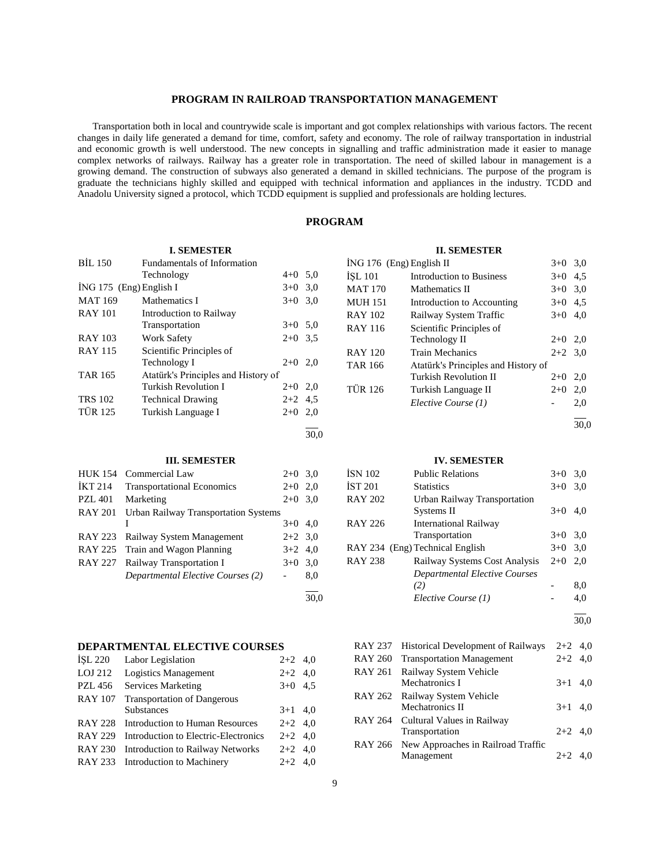# **PROGRAM IN RAILROAD TRANSPORTATION MANAGEMENT**

 Transportation both in local and countrywide scale is important and got complex relationships with various factors. The recent changes in daily life generated a demand for time, comfort, safety and economy. The role of railway transportation in industrial and economic growth is well understood. The new concepts in signalling and traffic administration made it easier to manage complex networks of railways. Railway has a greater role in transportation. The need of skilled labour in management is a growing demand. The construction of subways also generated a demand in skilled technicians. The purpose of the program is graduate the technicians highly skilled and equipped with technical information and appliances in the industry. TCDD and Anadolu University signed a protocol, which TCDD equipment is supplied and professionals are holding lectures.

# **PROGRAM**

# **I. SEMESTER**

| <b>BIL 150</b>            | Fundamentals of Information         |           |      |
|---------------------------|-------------------------------------|-----------|------|
|                           | Technology                          | $4+0$ 5,0 |      |
| $ING 175$ (Eng) English I |                                     | $3+0$ 3.0 |      |
| <b>MAT 169</b>            | Mathematics I                       | $3+0$ 3.0 |      |
| <b>RAY 101</b>            | Introduction to Railway             |           |      |
|                           | Transportation                      | $3+0$ 5.0 |      |
| <b>RAY 103</b>            | <b>Work Safety</b>                  | $2+0$ 3.5 |      |
| <b>RAY 115</b>            | Scientific Principles of            |           |      |
|                           | Technology I                        | $2+0$ 2.0 |      |
| <b>TAR 165</b>            | Atatürk's Principles and History of |           |      |
|                           | Turkish Revolution I                | $2+0$ 2,0 |      |
| <b>TRS 102</b>            | <b>Technical Drawing</b>            | $2+2$ 4.5 |      |
| <b>TÜR 125</b>            | Turkish Language I                  | $2+0$     | 2,0  |
|                           |                                     |           | 30.0 |

#### **III. SEMESTER**

| <b>HUK 154</b> | Commercial Law                              | $2+0$ 3.0 |     |
|----------------|---------------------------------------------|-----------|-----|
| <b>İKT 214</b> | <b>Transportational Economics</b>           | $2+0$     | 2,0 |
| <b>PZL 401</b> | Marketing                                   | $2+0$ 3.0 |     |
| <b>RAY 201</b> | <b>Urban Railway Transportation Systems</b> |           |     |
|                |                                             | $3+0$ 4,0 |     |
| RAY 223        | Railway System Management                   | $2+2$ 3.0 |     |
|                | RAY 225 Train and Wagon Planning            | $3+2$ 4,0 |     |
| RAY 227        | Railway Transportation I                    | $3+0$     | 3,0 |
|                | Departmental Elective Courses (2)           |           | 8,0 |
|                |                                             |           |     |

# **DEPARTMENTAL ELECTIVE COURSES**

| <b>ISL 220</b> | Labor Legislation                    | $2+2$ 4,0 |  |
|----------------|--------------------------------------|-----------|--|
| LOJ 212        | Logistics Management                 | $2+2$ 4,0 |  |
| <b>PZL 456</b> | Services Marketing                   | $3+0$ 4.5 |  |
| <b>RAY 107</b> | <b>Transportation of Dangerous</b>   |           |  |
|                | <b>Substances</b>                    | $3+1$ 4,0 |  |
| RAY 228        | Introduction to Human Resources      | $2+2$ 4.0 |  |
| <b>RAY 229</b> | Introduction to Electric-Electronics | $2+2$ 4,0 |  |
| <b>RAY 230</b> | Introduction to Railway Networks     | $2+2$ 4,0 |  |
|                | RAY 233 Introduction to Machinery    | $2+2$ 4.0 |  |
|                |                                      |           |  |

# **II. SEMESTER**

| $ING 176$ (Eng) English II |                                     | $3+0$     | 3,0 |
|----------------------------|-------------------------------------|-----------|-----|
| İŞL 101                    | <b>Introduction to Business</b>     | $3+0$     | 4,5 |
| <b>MAT 170</b>             | Mathematics II                      | $3+0$     | 3,0 |
| <b>MUH 151</b>             | Introduction to Accounting          | $3+0$     | 4,5 |
| <b>RAY 102</b>             | Railway System Traffic              | $3+0$     | 4.0 |
| <b>RAY 116</b>             | Scientific Principles of            |           |     |
|                            | Technology II                       | $2+0$     | 2,0 |
| <b>RAY 120</b>             | <b>Train Mechanics</b>              | $2+2$ 3.0 |     |
| <b>TAR 166</b>             | Atatürk's Principles and History of |           |     |
|                            | Turkish Revolution II               | $2+0$     | 2,0 |
| <b>TÜR 126</b>             | Turkish Language II                 | $2+0$     | 2,0 |
|                            | Elective Course (1)                 |           | 2,0 |
|                            |                                     |           |     |

 $\frac{1}{30.0}$ 

#### **IV. SEMESTER**

| ISN 102        | <b>Public Relations</b>         | $3+0$ | 3,0 |
|----------------|---------------------------------|-------|-----|
| IST 201        | <b>Statistics</b>               | $3+0$ | 3,0 |
| <b>RAY 202</b> | Urban Railway Transportation    |       |     |
|                | Systems II                      | $3+0$ | 4,0 |
| <b>RAY 226</b> | <b>International Railway</b>    |       |     |
|                | Transportation                  | $3+0$ | 3,0 |
|                | RAY 234 (Eng) Technical English | $3+0$ | 3,0 |
| <b>RAY 238</b> | Railway Systems Cost Analysis   | $2+0$ | 2,0 |
|                | Departmental Elective Courses   |       |     |
|                | (2)                             |       | 8,0 |
|                | Elective Course (1)             |       | 4,0 |
|                |                                 |       |     |

30,0

# RAY 237 Historical Development of Railways 2+2 4,0 RAY 260 Transportation Management 2+2 4,0 RAY 261 Railway System Vehicle Mechatronics I  $3+1$  4,0 RAY 262 Railway System Vehicle  $M_{\text{echstronic}}$  II  $3+1$  4.0

| NICCHALLOTIICS 11                          | $3+1$ 4.0 |  |
|--------------------------------------------|-----------|--|
| RAY 264 Cultural Values in Railway         |           |  |
| Transportation                             | $2+2$ 4.0 |  |
| RAY 266 New Approaches in Railroad Traffic |           |  |
| Management                                 | $2+2$ 4.0 |  |

 $\frac{1}{30.0}$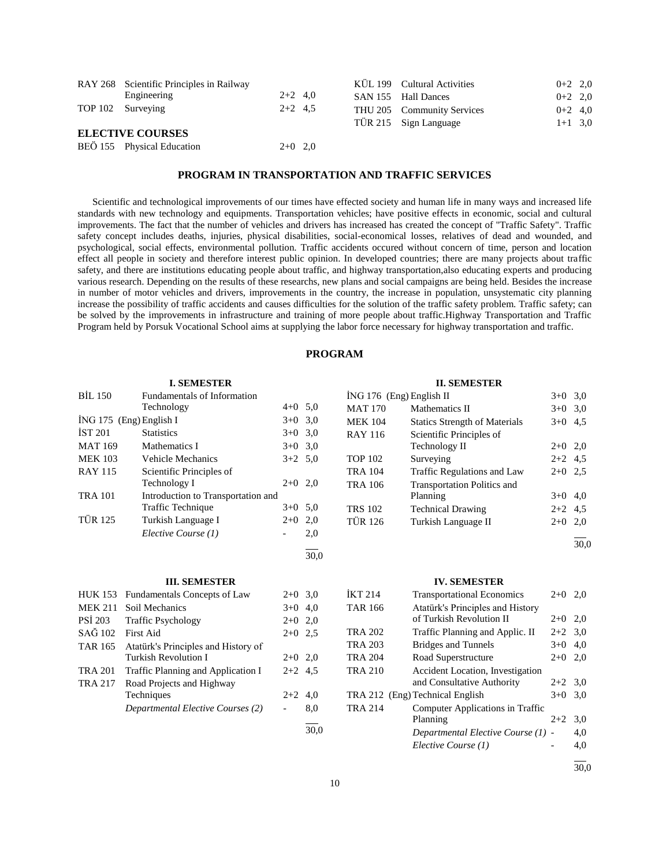| RAY 268 Scientific Principles in Railway |           |  | KÜL 199 Cultural Activities | $0+2$ 2,0 |  |
|------------------------------------------|-----------|--|-----------------------------|-----------|--|
| Engineering                              | $2+2$ 4,0 |  | SAN 155 Hall Dances         | $0+2$ 2,0 |  |
| TOP 102 Surveying                        | $2+2$ 4.5 |  | THU 205 Community Services  | $0+2$ 4,0 |  |
|                                          |           |  | TÜR 215 Sign Language       | $1+1$ 3,0 |  |
| <b>ELECTIVE COURSES</b>                  |           |  |                             |           |  |
| BEÖ 155 Physical Education               | $2+0$ 2,0 |  |                             |           |  |

# **PROGRAM IN TRANSPORTATION AND TRAFFIC SERVICES**

 Scientific and technological improvements of our times have effected society and human life in many ways and increased life standards with new technology and equipments. Transportation vehicles; have positive effects in economic, social and cultural improvements. The fact that the number of vehicles and drivers has increased has created the concept of "Traffic Safety". Traffic safety concept includes deaths, injuries, physical disabilities, social-economical losses, relatives of dead and wounded, and psychological, social effects, environmental pollution. Traffic accidents occured without concern of time, person and location effect all people in society and therefore interest public opinion. In developed countries; there are many projects about traffic safety, and there are institutions educating people about traffic, and highway transportation,also educating experts and producing various research. Depending on the results of these researchs, new plans and social campaigns are being held. Besides the increase in number of motor vehicles and drivers, improvements in the country, the increase in population, unsystematic city planning increase the possibility of traffic accidents and causes difficulties for the solution of the traffic safety problem. Traffic safety; can be solved by the improvements in infrastructure and training of more people about traffic.Highway Transportation and Traffic Program held by Porsuk Vocational School aims at supplying the labor force necessary for highway transportation and traffic.

# **PROGRAM**

30,0

|                           | <b>I. SEMESTER</b>                 |           |     |
|---------------------------|------------------------------------|-----------|-----|
| <b>BIL 150</b>            | <b>Fundamentals of Information</b> |           |     |
|                           | Technology                         | $4+0$ 5.0 |     |
| $ING 175$ (Eng) English I |                                    | $3+0$     | 3,0 |
| <b>IST 201</b>            | <b>Statistics</b>                  | $3+0$     | 3,0 |
| <b>MAT 169</b>            | Mathematics I                      | $3+0$ 3.0 |     |
| <b>MEK 103</b>            | <b>Vehicle Mechanics</b>           | $3+2$ 5.0 |     |
| <b>RAY 115</b>            | Scientific Principles of           |           |     |
|                           | Technology I                       | $2+0$     | 2.0 |
| <b>TRA 101</b>            | Introduction to Transportation and |           |     |
|                           | Traffic Technique                  | $3+0$ 5.0 |     |
| <b>TÜR 125</b>            | Turkish Language I                 | $2+0$     | 2,0 |
|                           | Elective Course (1)                |           | 2,0 |
|                           |                                    |           |     |

#### **III. SEMESTER**

|                   | HUK 153 Fundamentals Concepts of Law | $2+0$ 3,0 |     |
|-------------------|--------------------------------------|-----------|-----|
|                   | MEK 211 Soil Mechanics               | $3+0$ 4,0 |     |
| PSI 203           | <b>Traffic Psychology</b>            | $2+0$ 2,0 |     |
| $SA\tilde{G}$ 102 | First Aid                            | $2+0$ 2.5 |     |
| TAR 165           | Atatürk's Principles and History of  |           |     |
|                   | <b>Turkish Revolution I</b>          | $2+0$ 2,0 |     |
| <b>TRA 201</b>    | Traffic Planning and Application I   | $2+2$ 4.5 |     |
| <b>TRA 217</b>    | Road Projects and Highway            |           |     |
|                   | Techniques                           | $2+2$ 4,0 |     |
|                   | Departmental Elective Courses (2)    |           | 8,0 |
|                   |                                      |           |     |

| <b>II. SEMESTER</b>        |                                      |           |           |  |
|----------------------------|--------------------------------------|-----------|-----------|--|
| $ING 176$ (Eng) English II |                                      |           | $3+0$ 3.0 |  |
| <b>MAT 170</b>             | Mathematics II                       | $3+0$ 3.0 |           |  |
| <b>MEK 104</b>             | <b>Statics Strength of Materials</b> | $3+0$ 4.5 |           |  |
| RAY 116                    | Scientific Principles of             |           |           |  |
|                            | Technology II                        | $2+0$ 2,0 |           |  |
| <b>TOP 102</b>             | Surveying                            | $2+2$ 4.5 |           |  |
| <b>TRA 104</b>             | Traffic Regulations and Law          | $2+0$ 2.5 |           |  |
| <b>TRA 106</b>             | <b>Transportation Politics and</b>   |           |           |  |
|                            | Planning                             | $3+0$     | 4,0       |  |
| <b>TRS 102</b>             | <b>Technical Drawing</b>             | $2+2$ 4.5 |           |  |
| <b>TÜR 126</b>             | Turkish Language II                  | $2+0$ 2,0 |           |  |
|                            |                                      |           |           |  |

#### **IV. SEMESTER**

| <b>IKT 214</b> | <b>Transportational Economics</b>  | $2+0$     | 2,0 |
|----------------|------------------------------------|-----------|-----|
| <b>TAR 166</b> | Atatürk's Principles and History   |           |     |
|                | of Turkish Revolution II           | $2+0$     | 2,0 |
| <b>TRA 202</b> | Traffic Planning and Applic. II    | $2+2$ 3,0 |     |
| <b>TRA 203</b> | <b>Bridges and Tunnels</b>         | $3+0$     | 4,0 |
| <b>TRA 204</b> | Road Superstructure                | $2+0$     | 2,0 |
| <b>TRA 210</b> | Accident Location, Investigation   |           |     |
|                | and Consultative Authority         | $2+2$ 3,0 |     |
|                | TRA 212 (Eng) Technical English    | $3+0$     | 3.0 |
| <b>TRA 214</b> | Computer Applications in Traffic   |           |     |
|                | Planning                           | $2+2$     | 3,0 |
|                | Departmental Elective Course (1) - |           | 4,0 |
|                | Elective Course (1)                |           | 4,0 |
|                |                                    |           |     |

30,0

30,0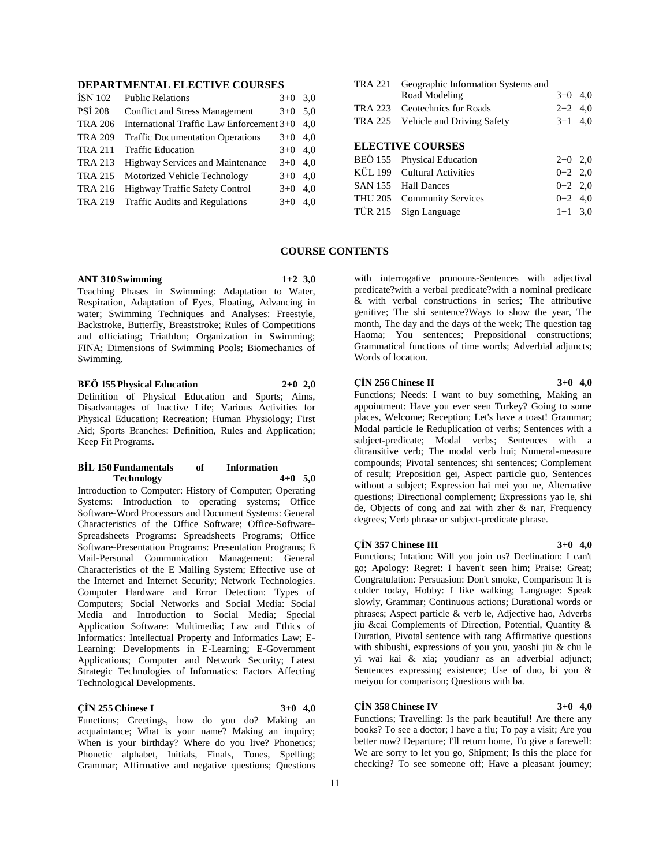# **DEPARTMENTAL ELECTIVE COURSES**

| <b>İSN 102</b> | <b>Public Relations</b>                   | $3+0$ | 3,0 |
|----------------|-------------------------------------------|-------|-----|
| <b>PSI 208</b> | <b>Conflict and Stress Management</b>     | $3+0$ | 5,0 |
| <b>TRA 206</b> | International Traffic Law Enforcement 3+0 |       | 4.0 |
| <b>TRA 209</b> | <b>Traffic Documentation Operations</b>   | $3+0$ | 4,0 |
| <b>TRA 211</b> | <b>Traffic Education</b>                  | $3+0$ | 4.0 |
| <b>TRA 213</b> | <b>Highway Services and Maintenance</b>   | $3+0$ | 4,0 |
| <b>TRA 215</b> | Motorized Vehicle Technology              | $3+0$ | 4.0 |
| <b>TRA 216</b> | Highway Traffic Safety Control            | $3+0$ | 4,0 |
| <b>TRA 219</b> | <b>Traffic Audits and Regulations</b>     | $3+0$ | 4.0 |
|                |                                           |       |     |

| TRA 221 Geographic Information Systems and |           |  |
|--------------------------------------------|-----------|--|
| Road Modeling                              | $3+0$ 4.0 |  |
| TRA 223 Geotechnics for Roads              | $2+2$ 4,0 |  |
| TRA 225 Vehicle and Driving Safety         | $3+1$ 4,0 |  |
|                                            |           |  |
| <b>ELECTIVE COURSES</b>                    |           |  |
| BEÖ 155 Physical Education                 | $2+0$ 2.0 |  |
| KÜL 199 Cultural Activities                | $0+2$ 2.0 |  |
| SAN 155 Hall Dances                        | $0+2$ 2.0 |  |

THU 205 Community Services 0+2 4,0 TÜR 215 Sign Language  $1+1$  3,0

# **COURSE CONTENTS**

#### **ANT 310 Swimming 1+2 3,0**

Teaching Phases in Swimming: Adaptation to Water, Respiration, Adaptation of Eyes, Floating, Advancing in water; Swimming Techniques and Analyses: Freestyle, Backstroke, Butterfly, Breaststroke; Rules of Competitions and officiating; Triathlon; Organization in Swimming; FINA; Dimensions of Swimming Pools; Biomechanics of Swimming.

# **BEÖ 155 Physical Education 2+0 2,0**

Definition of Physical Education and Sports; Aims, Disadvantages of Inactive Life; Various Activities for Physical Education; Recreation; Human Physiology; First Aid; Sports Branches: Definition, Rules and Application; Keep Fit Programs.

#### **BİL 150 Fundamentals of Information Technology 4+0 5,0**

Introduction to Computer: History of Computer; Operating Systems: Introduction to operating systems; Office Software-Word Processors and Document Systems: General Characteristics of the Office Software; Office-Software-Spreadsheets Programs: Spreadsheets Programs; Office Software-Presentation Programs: Presentation Programs; E Mail-Personal Communication Management: General Characteristics of the E Mailing System; Effective use of the Internet and Internet Security; Network Technologies. Computer Hardware and Error Detection: Types of Computers; Social Networks and Social Media: Social Media and Introduction to Social Media; Special Application Software: Multimedia; Law and Ethics of Informatics: Intellectual Property and Informatics Law; E-Learning: Developments in E-Learning; E-Government Applications; Computer and Network Security; Latest Strategic Technologies of Informatics: Factors Affecting Technological Developments.

# **ÇİN 255 Chinese I 3+0 4,0**

Functions; Greetings, how do you do? Making an acquaintance; What is your name? Making an inquiry; When is your birthday? Where do you live? Phonetics; Phonetic alphabet, Initials, Finals, Tones, Spelling; Grammar; Affirmative and negative questions; Questions

with interrogative pronouns-Sentences with adjectival predicate?with a verbal predicate?with a nominal predicate & with verbal constructions in series; The attributive genitive; The shi sentence?Ways to show the year, The month, The day and the days of the week; The question tag Haoma; You sentences; Prepositional constructions; Grammatical functions of time words; Adverbial adjuncts; Words of location.

# **ÇİN 256 Chinese II 3+0 4,0**

Functions; Needs: I want to buy something, Making an appointment: Have you ever seen Turkey? Going to some places, Welcome; Reception; Let's have a toast! Grammar; Modal particle le Reduplication of verbs; Sentences with a subject-predicate; Modal verbs; Sentences with a ditransitive verb; The modal verb hui; Numeral-measure compounds; Pivotal sentences; shi sentences; Complement of result; Preposition gei, Aspect particle guo, Sentences without a subject; Expression hai mei you ne, Alternative questions; Directional complement; Expressions yao le, shi de, Objects of cong and zai with zher & nar, Frequency degrees; Verb phrase or subject-predicate phrase.

#### **ÇİN 357 Chinese III 3+0 4,0**

Functions; Intation: Will you join us? Declination: I can't go; Apology: Regret: I haven't seen him; Praise: Great; Congratulation: Persuasion: Don't smoke, Comparison: It is colder today, Hobby: I like walking; Language: Speak slowly, Grammar; Continuous actions; Durational words or phrases; Aspect particle & verb le, Adjective hao, Adverbs jiu &cai Complements of Direction, Potential, Quantity & Duration, Pivotal sentence with rang Affirmative questions with shibushi, expressions of you you, yaoshi jiu & chu le yi wai kai & xia; youdianr as an adverbial adjunct; Sentences expressing existence; Use of duo, bi you & meiyou for comparison; Questions with ba.

We are sorry to let you go, Shipment; Is this the place for checking? To see someone off; Have a pleasant journey;

# **ÇİN 358 Chinese IV 3+0 4,0**

Functions; Travelling: Is the park beautiful! Are there any books? To see a doctor; I have a flu; To pay a visit; Are you better now? Departure; I'll return home, To give a farewell: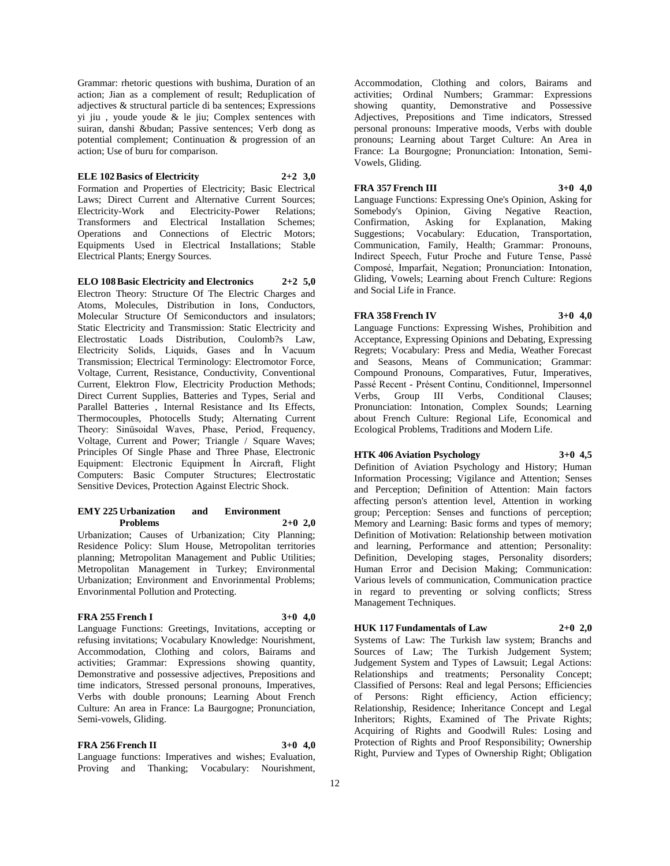Grammar: rhetoric questions with bushima, Duration of an action; Jian as a complement of result; Reduplication of adjectives & structural particle di ba sentences; Expressions yi jiu , youde youde & le jiu; Complex sentences with suiran, danshi &budan; Passive sentences; Verb dong as potential complement; Continuation & progression of an action; Use of buru for comparison.

#### **ELE 102 Basics of Electricity 2+2 3,0**

Formation and Properties of Electricity; Basic Electrical Laws; Direct Current and Alternative Current Sources;<br>Electricity-Work and Electricity-Power Relations; Electricity-Power Transformers and Electrical Installation Schemes; Operations and Connections of Electric Motors; Equipments Used in Electrical Installations; Stable Electrical Plants; Energy Sources.

**ELO 108 Basic Electricity and Electronics 2+2 5,0** Electron Theory: Structure Of The Electric Charges and Atoms, Molecules, Distribution in Ions, Conductors, Molecular Structure Of Semiconductors and insulators; Static Electricity and Transmission: Static Electricity and Electrostatic Loads Distribution, Coulomb?s Law, Electricity Solids, Liquids, Gases and İn Vacuum Transmission; Electrical Terminology: Electromotor Force, Voltage, Current, Resistance, Conductivity, Conventional Current, Elektron Flow, Electricity Production Methods; Direct Current Supplies, Batteries and Types, Serial and Parallel Batteries , Internal Resistance and Its Effects, Thermocouples, Photocells Study; Alternating Current Theory: Sinüsoidal Waves, Phase, Period, Frequency, Voltage, Current and Power; Triangle / Square Waves; Principles Of Single Phase and Three Phase, Electronic Equipment: Electronic Equipment İn Aircraft, Flight Computers: Basic Computer Structures; Electrostatic Sensitive Devices, Protection Against Electric Shock.

#### **EMY 225 Urbanization and Environment Problems 2+0 2,0**

Urbanization; Causes of Urbanization; City Planning; Residence Policy: Slum House, Metropolitan territories planning; Metropolitan Management and Public Utilities; Metropolitan Management in Turkey; Environmental Urbanization; Environment and Envorinmental Problems; Envorinmental Pollution and Protecting.

#### **FRA 255 French I 3+0 4,0**

Language Functions: Greetings, Invitations, accepting or refusing invitations; Vocabulary Knowledge: Nourishment, Accommodation, Clothing and colors, Bairams and activities; Grammar: Expressions showing quantity, Demonstrative and possessive adjectives, Prepositions and time indicators, Stressed personal pronouns, Imperatives, Verbs with double pronouns; Learning About French Culture: An area in France: La Baurgogne; Pronunciation, Semi-vowels, Gliding.

# **FRA 256 French II 3+0 4,0**

Language functions: Imperatives and wishes; Evaluation, Proving and Thanking; Vocabulary: Nourishment,

Accommodation, Clothing and colors, Bairams and activities; Ordinal Numbers; Grammar: Expressions showing quantity, Demonstrative and Possessive Adjectives, Prepositions and Time indicators, Stressed personal pronouns: Imperative moods, Verbs with double pronouns; Learning about Target Culture: An Area in France: La Bourgogne; Pronunciation: Intonation, Semi-Vowels, Gliding.

#### **FRA 357 French III 3+0 4,0**

Language Functions: Expressing One's Opinion, Asking for Giving Negative Reaction, Confirmation, Asking for Explanation, Making Suggestions; Vocabulary: Education, Transportation, Communication, Family, Health; Grammar: Pronouns, Indirect Speech, Futur Proche and Future Tense, Passé Composé, Imparfait, Negation; Pronunciation: Intonation, Gliding, Vowels; Learning about French Culture: Regions and Social Life in France.

#### **FRA 358 French IV 3+0 4,0**

Language Functions: Expressing Wishes, Prohibition and Acceptance, Expressing Opinions and Debating, Expressing Regrets; Vocabulary: Press and Media, Weather Forecast and Seasons, Means of Communication; Grammar: Compound Pronouns, Comparatives, Futur, Imperatives, Passé Recent - Présent Continu, Conditionnel, Impersonnel<br>Verbs, Group III Verbs, Conditional Clauses; Conditional Clauses; Pronunciation: Intonation, Complex Sounds; Learning about French Culture: Regional Life, Economical and Ecological Problems, Traditions and Modern Life.

# **HTK 406 Aviation Psychology 3+0 4,5**

Definition of Aviation Psychology and History; Human Information Processing; Vigilance and Attention; Senses and Perception; Definition of Attention: Main factors affecting person's attention level, Attention in working group; Perception: Senses and functions of perception; Memory and Learning: Basic forms and types of memory; Definition of Motivation: Relationship between motivation and learning, Performance and attention; Personality: Definition, Developing stages, Personality disorders; Human Error and Decision Making; Communication: Various levels of communication, Communication practice in regard to preventing or solving conflicts; Stress Management Techniques.

# **HUK 117 Fundamentals of Law 2+0 2,0**

Systems of Law: The Turkish law system; Branchs and Sources of Law; The Turkish Judgement System; Judgement System and Types of Lawsuit; Legal Actions: Relationships and treatments; Personality Concept; Classified of Persons: Real and legal Persons; Efficiencies of Persons: Right efficiency, Action efficiency; Relationship, Residence; Inheritance Concept and Legal Inheritors; Rights, Examined of The Private Rights; Acquiring of Rights and Goodwill Rules: Losing and Protection of Rights and Proof Responsibility; Ownership Right, Purview and Types of Ownership Right; Obligation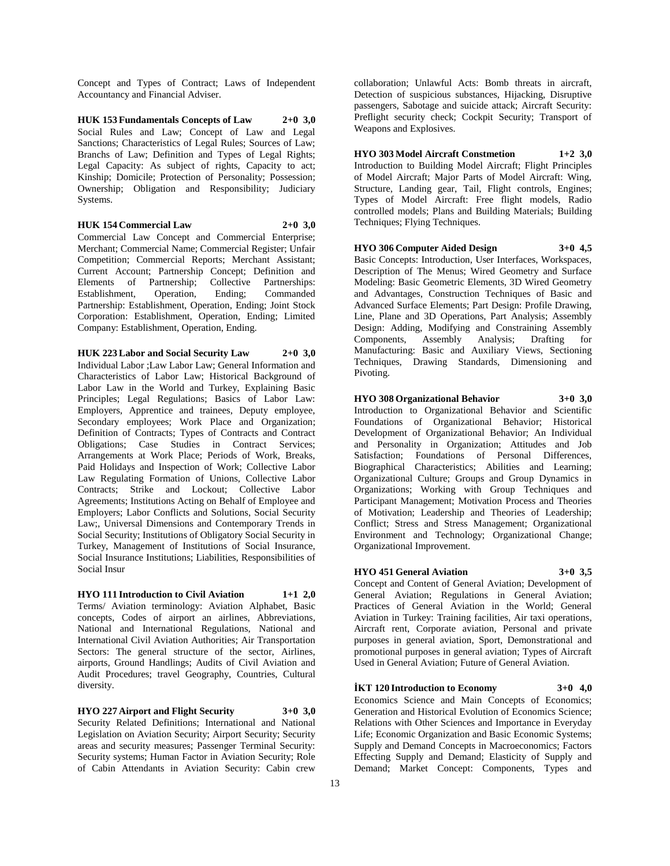Concept and Types of Contract; Laws of Independent Accountancy and Financial Adviser.

**HUK 153 Fundamentals Concepts of Law 2+0 3,0** Social Rules and Law; Concept of Law and Legal Sanctions; Characteristics of Legal Rules; Sources of Law; Branchs of Law; Definition and Types of Legal Rights; Legal Capacity: As subject of rights, Capacity to act; Kinship; Domicile; Protection of Personality; Possession; Ownership; Obligation and Responsibility; Judiciary Systems.

**HUK 154 Commercial Law 2+0 3,0**

Commercial Law Concept and Commercial Enterprise; Merchant; Commercial Name; Commercial Register; Unfair Competition; Commercial Reports; Merchant Assistant; Current Account; Partnership Concept; Definition and Elements of Partnership; Collective Partnerships: Establishment, Operation, Ending; Commanded Partnership: Establishment, Operation, Ending; Joint Stock Corporation: Establishment, Operation, Ending; Limited Company: Establishment, Operation, Ending.

**HUK 223 Labor and Social Security Law 2+0 3,0** Individual Labor ;Law Labor Law; General Information and Characteristics of Labor Law; Historical Background of Labor Law in the World and Turkey, Explaining Basic Principles; Legal Regulations; Basics of Labor Law: Employers, Apprentice and trainees, Deputy employee, Secondary employees; Work Place and Organization; Definition of Contracts; Types of Contracts and Contract Obligations; Case Studies in Contract Services; Arrangements at Work Place; Periods of Work, Breaks, Paid Holidays and Inspection of Work; Collective Labor Law Regulating Formation of Unions, Collective Labor Contracts; Strike and Lockout; Collective Labor Agreements; Institutions Acting on Behalf of Employee and Employers; Labor Conflicts and Solutions, Social Security Law;, Universal Dimensions and Contemporary Trends in Social Security; Institutions of Obligatory Social Security in Turkey, Management of Institutions of Social Insurance, Social Insurance Institutions; Liabilities, Responsibilities of Social Insur

**HYO 111 Introduction to Civil Aviation 1+1 2,0** Terms/ Aviation terminology: Aviation Alphabet, Basic concepts, Codes of airport an airlines, Abbreviations, National and International Regulations, National and International Civil Aviation Authorities; Air Transportation Sectors: The general structure of the sector, Airlines, airports, Ground Handlings; Audits of Civil Aviation and Audit Procedures; travel Geography, Countries, Cultural diversity.

**HYO 227 Airport and Flight Security 3+0 3,0** Security Related Definitions; International and National Legislation on Aviation Security; Airport Security; Security areas and security measures; Passenger Terminal Security: Security systems; Human Factor in Aviation Security; Role of Cabin Attendants in Aviation Security: Cabin crew

collaboration; Unlawful Acts: Bomb threats in aircraft, Detection of suspicious substances, Hijacking, Disruptive passengers, Sabotage and suicide attack; Aircraft Security: Preflight security check; Cockpit Security; Transport of Weapons and Explosives.

**HYO 303 Model Aircraft Constmetion 1+2 3,0** Introduction to Building Model Aircraft; Flight Principles of Model Aircraft; Major Parts of Model Aircraft: Wing, Structure, Landing gear, Tail, Flight controls, Engines; Types of Model Aircraft: Free flight models, Radio controlled models; Plans and Building Materials; Building Techniques; Flying Techniques.

#### **HYO 306 Computer Aided Design 3+0 4,5**

Basic Concepts: Introduction, User Interfaces, Workspaces, Description of The Menus; Wired Geometry and Surface Modeling: Basic Geometric Elements, 3D Wired Geometry and Advantages, Construction Techniques of Basic and Advanced Surface Elements; Part Design: Profile Drawing, Line, Plane and 3D Operations, Part Analysis; Assembly Design: Adding, Modifying and Constraining Assembly<br>Components, Assembly Analysis; Drafting for Components, Assembly Analysis; Drafting for Manufacturing: Basic and Auxiliary Views, Sectioning Techniques, Drawing Standards, Dimensioning and Pivoting.

**HYO 308 Organizational Behavior 3+0 3,0** Introduction to Organizational Behavior and Scientific Foundations of Organizational Behavior; Historical Development of Organizational Behavior; An Individual and Personality in Organization; Attitudes and Job Satisfaction; Foundations of Personal Differences, Biographical Characteristics; Abilities and Learning; Organizational Culture; Groups and Group Dynamics in Organizations; Working with Group Techniques and Participant Management; Motivation Process and Theories of Motivation; Leadership and Theories of Leadership; Conflict; Stress and Stress Management; Organizational Environment and Technology; Organizational Change; Organizational Improvement.

# **HYO 451 General Aviation 3+0 3,5**

Concept and Content of General Aviation; Development of General Aviation; Regulations in General Aviation; Practices of General Aviation in the World; General Aviation in Turkey: Training facilities, Air taxi operations, Aircraft rent, Corporate aviation, Personal and private purposes in general aviation, Sport, Demonstrational and promotional purposes in general aviation; Types of Aircraft Used in General Aviation; Future of General Aviation.

**İKT 120 Introduction to Economy 3+0 4,0**

Economics Science and Main Concepts of Economics; Generation and Historical Evolution of Economics Science; Relations with Other Sciences and Importance in Everyday Life; Economic Organization and Basic Economic Systems; Supply and Demand Concepts in Macroeconomics; Factors Effecting Supply and Demand; Elasticity of Supply and Demand; Market Concept: Components, Types and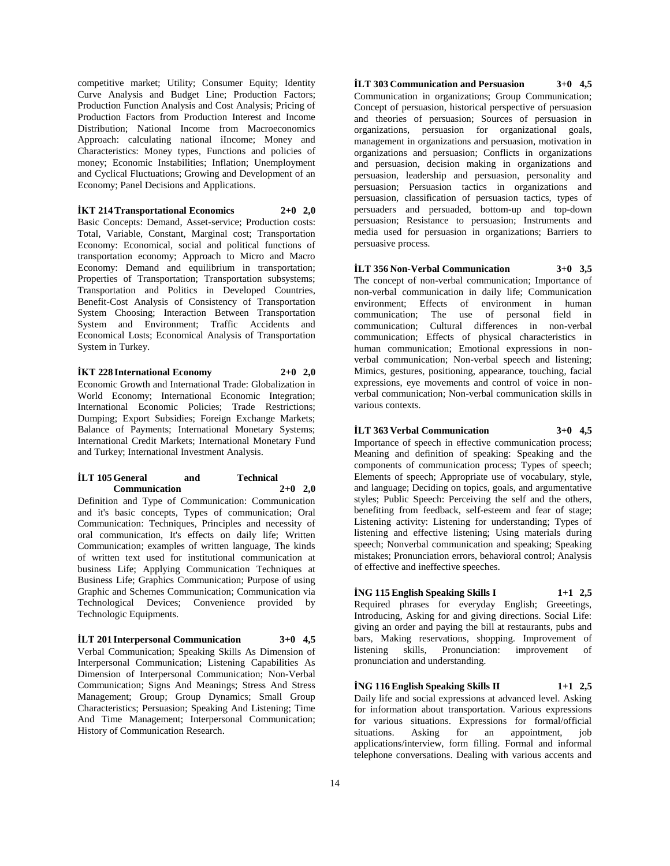competitive market; Utility; Consumer Equity; Identity Curve Analysis and Budget Line; Production Factors; Production Function Analysis and Cost Analysis; Pricing of Production Factors from Production Interest and Income Distribution; National Income from Macroeconomics Approach: calculating national iIncome; Money and Characteristics: Money types, Functions and policies of money; Economic Instabilities; Inflation; Unemployment and Cyclical Fluctuations; Growing and Development of an Economy; Panel Decisions and Applications.

**İKT 214 Transportational Economics 2+0 2,0**

Basic Concepts: Demand, Asset-service; Production costs: Total, Variable, Constant, Marginal cost; Transportation Economy: Economical, social and political functions of transportation economy; Approach to Micro and Macro Economy: Demand and equilibrium in transportation; Properties of Transportation; Transportation subsystems; Transportation and Politics in Developed Countries, Benefit-Cost Analysis of Consistency of Transportation System Choosing; Interaction Between Transportation System and Environment; Traffic Accidents and Economical Losts; Economical Analysis of Transportation System in Turkey.

**İKT 228 International Economy 2+0 2,0**

Economic Growth and International Trade: Globalization in World Economy; International Economic Integration; International Economic Policies; Trade Restrictions; Dumping; Export Subsidies; Foreign Exchange Markets; Balance of Payments; International Monetary Systems; International Credit Markets; International Monetary Fund and Turkey; International Investment Analysis.

#### **İLT 105 General and Technical Communication 2+0 2,0**

Definition and Type of Communication: Communication and it's basic concepts, Types of communication; Oral Communication: Techniques, Principles and necessity of oral communication, It's effects on daily life; Written Communication; examples of written language, The kinds of written text used for institutional communication at business Life; Applying Communication Techniques at Business Life; Graphics Communication; Purpose of using Graphic and Schemes Communication; Communication via Technological Devices; Convenience provided by Technologic Equipments.

**İLT 201 Interpersonal Communication 3+0 4,5** Verbal Communication; Speaking Skills As Dimension of Interpersonal Communication; Listening Capabilities As Dimension of Interpersonal Communication; Non-Verbal Communication; Signs And Meanings; Stress And Stress Management; Group; Group Dynamics; Small Group Characteristics; Persuasion; Speaking And Listening; Time And Time Management; Interpersonal Communication; History of Communication Research.

**İLT 303 Communication and Persuasion 3+0 4,5** Communication in organizations; Group Communication; Concept of persuasion, historical perspective of persuasion and theories of persuasion; Sources of persuasion in organizations, persuasion for organizational goals, management in organizations and persuasion, motivation in organizations and persuasion; Conflicts in organizations and persuasion, decision making in organizations and persuasion, leadership and persuasion, personality and persuasion; Persuasion tactics in organizations and persuasion, classification of persuasion tactics, types of persuaders and persuaded, bottom-up and top-down persuasion; Resistance to persuasion; Instruments and media used for persuasion in organizations; Barriers to persuasive process.

**İLT 356 Non-Verbal Communication 3+0 3,5** The concept of non-verbal communication; Importance of non-verbal communication in daily life; Communication environment; Effects of environment in human communication; The use of personal field in communication; Cultural differences in non-verbal communication; Effects of physical characteristics in human communication; Emotional expressions in nonverbal communication; Non-verbal speech and listening; Mimics, gestures, positioning, appearance, touching, facial expressions, eye movements and control of voice in nonverbal communication; Non-verbal communication skills in various contexts.

# **İLT 363 Verbal Communication 3+0 4,5**

Importance of speech in effective communication process; Meaning and definition of speaking: Speaking and the components of communication process; Types of speech; Elements of speech; Appropriate use of vocabulary, style, and language; Deciding on topics, goals, and argumentative styles; Public Speech: Perceiving the self and the others, benefiting from feedback, self-esteem and fear of stage; Listening activity: Listening for understanding; Types of listening and effective listening; Using materials during speech; Nonverbal communication and speaking; Speaking mistakes; Pronunciation errors, behavioral control; Analysis of effective and ineffective speeches.

**İNG 115 English Speaking Skills I 1+1 2,5** Required phrases for everyday English; Greeetings, Introducing, Asking for and giving directions. Social Life: giving an order and paying the bill at restaurants, pubs and bars, Making reservations, shopping. Improvement of listening skills, Pronunciation: improvement of pronunciation and understanding.

**İNG 116 English Speaking Skills II 1+1 2,5** Daily life and social expressions at advanced level. Asking for information about transportation. Various expressions for various situations. Expressions for formal/official situations. Asking for an appointment, job applications/interview, form filling. Formal and informal telephone conversations. Dealing with various accents and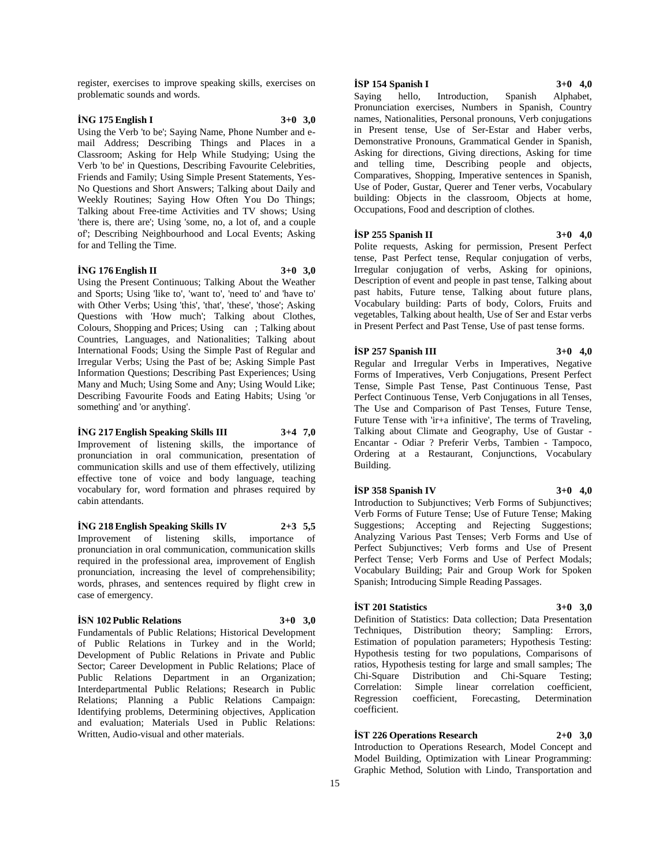register, exercises to improve speaking skills, exercises on problematic sounds and words.

# **İNG 175 English I 3+0 3,0**

Using the Verb 'to be'; Saying Name, Phone Number and email Address; Describing Things and Places in a Classroom; Asking for Help While Studying; Using the Verb 'to be' in Questions, Describing Favourite Celebrities, Friends and Family; Using Simple Present Statements, Yes-No Questions and Short Answers; Talking about Daily and Weekly Routines; Saying How Often You Do Things; Talking about Free-time Activities and TV shows; Using 'there is, there are'; Using 'some, no, a lot of, and a couple of'; Describing Neighbourhood and Local Events; Asking for and Telling the Time.

#### **İNG 176 English II 3+0 3,0**

Using the Present Continuous; Talking About the Weather and Sports; Using 'like to', 'want to', 'need to' and 'have to' with Other Verbs; Using 'this', 'that', 'these', 'those'; Asking Questions with 'How much'; Talking about Clothes, Colours, Shopping and Prices; Using can; Talking about Countries, Languages, and Nationalities; Talking about International Foods; Using the Simple Past of Regular and Irregular Verbs; Using the Past of be; Asking Simple Past Information Questions; Describing Past Experiences; Using Many and Much; Using Some and Any; Using Would Like; Describing Favourite Foods and Eating Habits; Using 'or something' and 'or anything'.

#### **İNG 217 English Speaking Skills III 3+4 7,0**

Improvement of listening skills, the importance of pronunciation in oral communication, presentation of communication skills and use of them effectively, utilizing effective tone of voice and body language, teaching vocabulary for, word formation and phrases required by cabin attendants.

#### **İNG 218 English Speaking Skills IV 2+3 5,5**

Improvement of listening skills, importance of pronunciation in oral communication, communication skills required in the professional area, improvement of English pronunciation, increasing the level of comprehensibility; words, phrases, and sentences required by flight crew in case of emergency.

## **İSN 102 Public Relations 3+0 3,0**

Fundamentals of Public Relations; Historical Development of Public Relations in Turkey and in the World; Development of Public Relations in Private and Public Sector; Career Development in Public Relations; Place of Public Relations Department in an Organization; Interdepartmental Public Relations; Research in Public Relations; Planning a Public Relations Campaign: Identifying problems, Determining objectives, Application and evaluation; Materials Used in Public Relations: Written, Audio-visual and other materials.

## **İSP 154 Spanish I 3+0 4,0**

Saying hello, Introduction, Spanish Alphabet, Pronunciation exercises, Numbers in Spanish, Country names, Nationalities, Personal pronouns, Verb conjugations in Present tense, Use of Ser-Estar and Haber verbs, Demonstrative Pronouns, Grammatical Gender in Spanish, Asking for directions, Giving directions, Asking for time and telling time, Describing people and objects, Comparatives, Shopping, Imperative sentences in Spanish, Use of Poder, Gustar, Querer and Tener verbs, Vocabulary building: Objects in the classroom, Objects at home, Occupations, Food and description of clothes.

# **İSP 255 Spanish II 3+0 4,0**

Polite requests, Asking for permission, Present Perfect tense, Past Perfect tense, Reqular conjugation of verbs, Irregular conjugation of verbs, Asking for opinions, Description of event and people in past tense, Talking about past habits, Future tense, Talking about future plans, Vocabulary building: Parts of body, Colors, Fruits and vegetables, Talking about health, Use of Ser and Estar verbs in Present Perfect and Past Tense, Use of past tense forms.

#### **İSP 257 Spanish III 3+0 4,0**

Regular and Irregular Verbs in Imperatives, Negative Forms of Imperatives, Verb Conjugations, Present Perfect Tense, Simple Past Tense, Past Continuous Tense, Past Perfect Continuous Tense, Verb Conjugations in all Tenses, The Use and Comparison of Past Tenses, Future Tense, Future Tense with 'ir+a infinitive', The terms of Traveling, Talking about Climate and Geography, Use of Gustar - Encantar - Odiar ? Preferir Verbs, Tambien - Tampoco, Ordering at a Restaurant, Conjunctions, Vocabulary Building.

#### **İSP 358 Spanish IV 3+0 4,0**

Introduction to Subjunctives; Verb Forms of Subjunctives; Verb Forms of Future Tense; Use of Future Tense; Making Suggestions; Accepting and Rejecting Suggestions; Analyzing Various Past Tenses; Verb Forms and Use of Perfect Subjunctives; Verb forms and Use of Present Perfect Tense; Verb Forms and Use of Perfect Modals; Vocabulary Building; Pair and Group Work for Spoken Spanish; Introducing Simple Reading Passages.

#### **İST 201 Statistics 3+0 3,0**

Definition of Statistics: Data collection; Data Presentation Techniques, Distribution theory; Sampling: Errors, Estimation of population parameters; Hypothesis Testing: Hypothesis testing for two populations, Comparisons of ratios, Hypothesis testing for large and small samples; The Chi-Square Distribution and Chi-Square Testing; Correlation: Simple linear correlation coefficient, Regression coefficient, Forecasting, Determination coefficient.

**İST 226 Operations Research 2+0 3,0**

Introduction to Operations Research, Model Concept and Model Building, Optimization with Linear Programming: Graphic Method, Solution with Lindo, Transportation and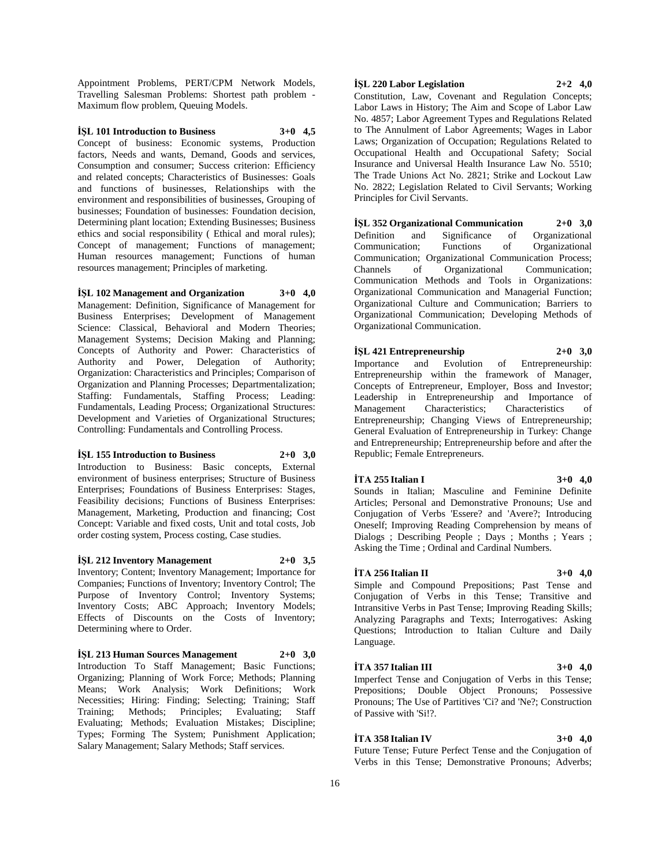Appointment Problems, PERT/CPM Network Models, Travelling Salesman Problems: Shortest path problem - Maximum flow problem, Queuing Models.

# **İŞL 101 Introduction to Business 3+0 4,5**

Concept of business: Economic systems, Production factors, Needs and wants, Demand, Goods and services, Consumption and consumer; Success criterion: Efficiency and related concepts; Characteristics of Businesses: Goals and functions of businesses, Relationships with the environment and responsibilities of businesses, Grouping of businesses; Foundation of businesses: Foundation decision, Determining plant location; Extending Businesses; Business ethics and social responsibility ( Ethical and moral rules); Concept of management; Functions of management; Human resources management; Functions of human resources management; Principles of marketing.

# **İŞL 102 Management and Organization 3+0 4,0**

Management: Definition, Significance of Management for Business Enterprises; Development of Management Science: Classical, Behavioral and Modern Theories; Management Systems; Decision Making and Planning; Concepts of Authority and Power: Characteristics of Authority and Power, Delegation of Authority; Organization: Characteristics and Principles; Comparison of Organization and Planning Processes; Departmentalization; Staffing: Fundamentals, Staffing Process; Leading: Fundamentals, Leading Process; Organizational Structures: Development and Varieties of Organizational Structures; Controlling: Fundamentals and Controlling Process.

#### **İŞL 155 Introduction to Business 2+0 3,0**

Introduction to Business: Basic concepts, External environment of business enterprises; Structure of Business Enterprises; Foundations of Business Enterprises: Stages, Feasibility decisions; Functions of Business Enterprises: Management, Marketing, Production and financing; Cost Concept: Variable and fixed costs, Unit and total costs, Job order costing system, Process costing, Case studies.

#### **İŞL 212 Inventory Management 2+0 3,5**

Inventory; Content; Inventory Management; Importance for Companies; Functions of Inventory; Inventory Control; The Purpose of Inventory Control; Inventory Systems; Inventory Costs; ABC Approach; Inventory Models; Effects of Discounts on the Costs of Inventory; Determining where to Order.

**İŞL 213 Human Sources Management 2+0 3,0** Introduction To Staff Management; Basic Functions; Organizing; Planning of Work Force; Methods; Planning Means; Work Analysis; Work Definitions; Work Necessities; Hiring: Finding; Selecting; Training; Staff Training; Methods; Principles; Evaluating; Staff Evaluating; Methods; Evaluation Mistakes; Discipline; Types; Forming The System; Punishment Application;

Salary Management; Salary Methods; Staff services.

# **İŞL 220 Labor Legislation 2+2 4,0**

Constitution, Law, Covenant and Regulation Concepts; Labor Laws in History; The Aim and Scope of Labor Law No. 4857; Labor Agreement Types and Regulations Related to The Annulment of Labor Agreements; Wages in Labor Laws; Organization of Occupation; Regulations Related to Occupational Health and Occupational Safety; Social Insurance and Universal Health Insurance Law No. 5510; The Trade Unions Act No. 2821; Strike and Lockout Law No. 2822; Legislation Related to Civil Servants; Working Principles for Civil Servants.

**İŞL 352 Organizational Communication 2+0 3,0** Definition and Significance of Organizational Communication; Functions of Organizational Communication; Organizational Communication Process; Channels of Organizational Communication; Communication Methods and Tools in Organizations: Organizational Communication and Managerial Function; Organizational Culture and Communication; Barriers to Organizational Communication; Developing Methods of Organizational Communication.

# **İŞL 421 Entrepreneurship 2+0 3,0** Importance and Evolution of Entrepreneurship: Entrepreneurship within the framework of Manager, Concepts of Entrepreneur, Employer, Boss and Investor; Leadership in Entrepreneurship and Importance of Management Characteristics; Characteristics of Management Characteristics; Characteristics of Entrepreneurship; Changing Views of Entrepreneurship; General Evaluation of Entrepreneurship in Turkey: Change

and Entrepreneurship; Entrepreneurship before and after the Republic; Female Entrepreneurs.

# **İTA 255 Italian I 3+0 4,0**

Sounds in Italian; Masculine and Feminine Definite Articles; Personal and Demonstrative Pronouns; Use and Conjugation of Verbs 'Essere? and 'Avere?; Introducing Oneself; Improving Reading Comprehension by means of Dialogs ; Describing People ; Days ; Months ; Years ; Asking the Time ; Ordinal and Cardinal Numbers.

#### **İTA 256 Italian II 3+0 4,0**

Simple and Compound Prepositions; Past Tense and Conjugation of Verbs in this Tense; Transitive and Intransitive Verbs in Past Tense; Improving Reading Skills; Analyzing Paragraphs and Texts; Interrogatives: Asking Questions; Introduction to Italian Culture and Daily Language.

# **İTA 357 Italian III 3+0 4,0**

Imperfect Tense and Conjugation of Verbs in this Tense; Prepositions; Double Object Pronouns; Possessive Pronouns; The Use of Partitives 'Ci? and 'Ne?; Construction of Passive with 'Si!?.

# **İTA 358 Italian IV 3+0 4,0**

Future Tense; Future Perfect Tense and the Conjugation of Verbs in this Tense; Demonstrative Pronouns; Adverbs;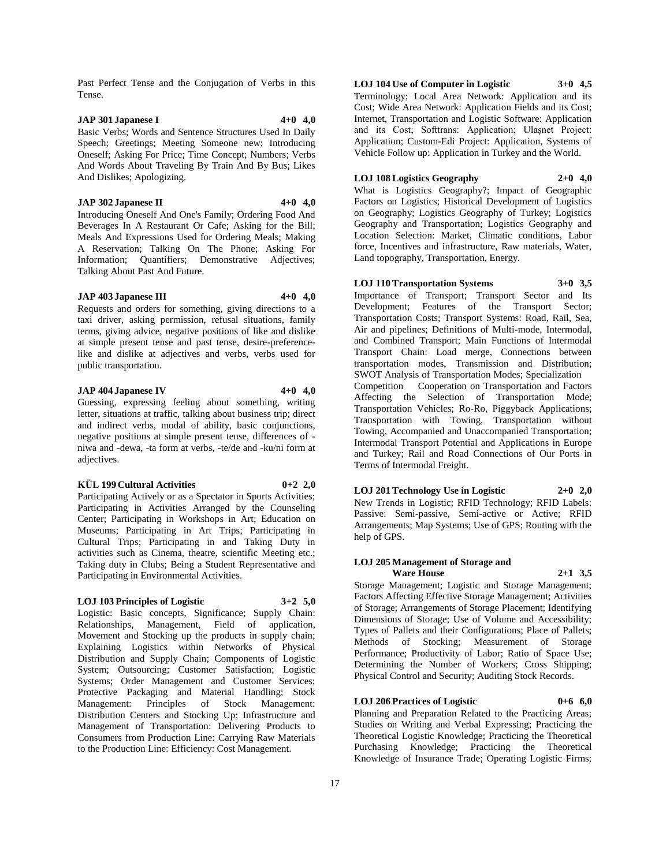Past Perfect Tense and the Conjugation of Verbs in this Tense.

# **JAP 301 Japanese I 4+0 4,0**

Basic Verbs; Words and Sentence Structures Used In Daily Speech; Greetings; Meeting Someone new; Introducing Oneself; Asking For Price; Time Concept; Numbers; Verbs And Words About Traveling By Train And By Bus; Likes And Dislikes; Apologizing.

#### **JAP 302 Japanese II 4+0 4,0**

Introducing Oneself And One's Family; Ordering Food And Beverages In A Restaurant Or Cafe; Asking for the Bill; Meals And Expressions Used for Ordering Meals; Making A Reservation; Talking On The Phone; Asking For Information; Quantifiers; Demonstrative Adjectives; Talking About Past And Future.

# **JAP 403 Japanese III 4+0 4,0**

Requests and orders for something, giving directions to a taxi driver, asking permission, refusal situations, family terms, giving advice, negative positions of like and dislike at simple present tense and past tense, desire-preferencelike and dislike at adjectives and verbs, verbs used for public transportation.

# **JAP 404 Japanese IV 4+0 4,0**

Guessing, expressing feeling about something, writing letter, situations at traffic, talking about business trip; direct and indirect verbs, modal of ability, basic conjunctions, negative positions at simple present tense, differences of niwa and -dewa, -ta form at verbs, -te/de and -ku/ni form at adjectives.

#### **KÜL 199 Cultural Activities 0+2 2,0**

Participating Actively or as a Spectator in Sports Activities; Participating in Activities Arranged by the Counseling Center; Participating in Workshops in Art; Education on Museums; Participating in Art Trips; Participating in Cultural Trips; Participating in and Taking Duty in activities such as Cinema, theatre, scientific Meeting etc.; Taking duty in Clubs; Being a Student Representative and Participating in Environmental Activities.

#### **LOJ 103 Principles of Logistic 3+2 5,0**

Logistic: Basic concepts, Significance; Supply Chain: Relationships, Management, Field of application, Movement and Stocking up the products in supply chain; Explaining Logistics within Networks of Physical Distribution and Supply Chain; Components of Logistic System; Outsourcing; Customer Satisfaction; Logistic Systems; Order Management and Customer Services; Protective Packaging and Material Handling; Stock Management: Principles of Stock Management: Distribution Centers and Stocking Up; Infrastructure and Management of Transportation: Delivering Products to Consumers from Production Line: Carrying Raw Materials to the Production Line: Efficiency: Cost Management.

**LOJ 104 Use of Computer in Logistic 3+0 4,5** Terminology; Local Area Network: Application and its Cost; Wide Area Network: Application Fields and its Cost; Internet, Transportation and Logistic Software: Application and its Cost; Softtrans: Application; Ulaşnet Project: Application; Custom-Edi Project: Application, Systems of Vehicle Follow up: Application in Turkey and the World.

**LOJ 108 Logistics Geography 2+0 4,0**

What is Logistics Geography?; Impact of Geographic Factors on Logistics; Historical Development of Logistics on Geography; Logistics Geography of Turkey; Logistics Geography and Transportation; Logistics Geography and Location Selection: Market, Climatic conditions, Labor force, Incentives and infrastructure, Raw materials, Water, Land topography, Transportation, Energy.

**LOJ 110 Transportation Systems 3+0 3,5**

Importance of Transport; Transport Sector and Its Development; Features of the Transport Sector; Transportation Costs; Transport Systems: Road, Rail, Sea, Air and pipelines; Definitions of Multi-mode, Intermodal, and Combined Transport; Main Functions of Intermodal Transport Chain: Load merge, Connections between transportation modes, Transmission and Distribution; SWOT Analysis of Transportation Modes; Specialization Competition Cooperation on Transportation and Factors Affecting the Selection of Transportation Mode; Transportation Vehicles; Ro-Ro, Piggyback Applications; Transportation with Towing, Transportation without Towing, Accompanied and Unaccompanied Transportation; Intermodal Transport Potential and Applications in Europe and Turkey; Rail and Road Connections of Our Ports in Terms of Intermodal Freight.

**LOJ 201 Technology Use in Logistic 2+0 2,0** New Trends in Logistic; RFID Technology; RFID Labels: Passive: Semi-passive, Semi-active or Active; RFID Arrangements; Map Systems; Use of GPS; Routing with the help of GPS.

# **LOJ 205 Management of Storage and**

**Ware House 2+1 3,5** Storage Management; Logistic and Storage Management; Factors Affecting Effective Storage Management; Activities of Storage; Arrangements of Storage Placement; Identifying Dimensions of Storage; Use of Volume and Accessibility; Types of Pallets and their Configurations; Place of Pallets; Methods of Stocking; Measurement of Storage Performance; Productivity of Labor; Ratio of Space Use; Determining the Number of Workers; Cross Shipping; Physical Control and Security; Auditing Stock Records.

**LOJ 206 Practices of Logistic 0+6 6,0**

Planning and Preparation Related to the Practicing Areas; Studies on Writing and Verbal Expressing; Practicing the Theoretical Logistic Knowledge; Practicing the Theoretical Purchasing Knowledge; Practicing the Theoretical Knowledge of Insurance Trade; Operating Logistic Firms;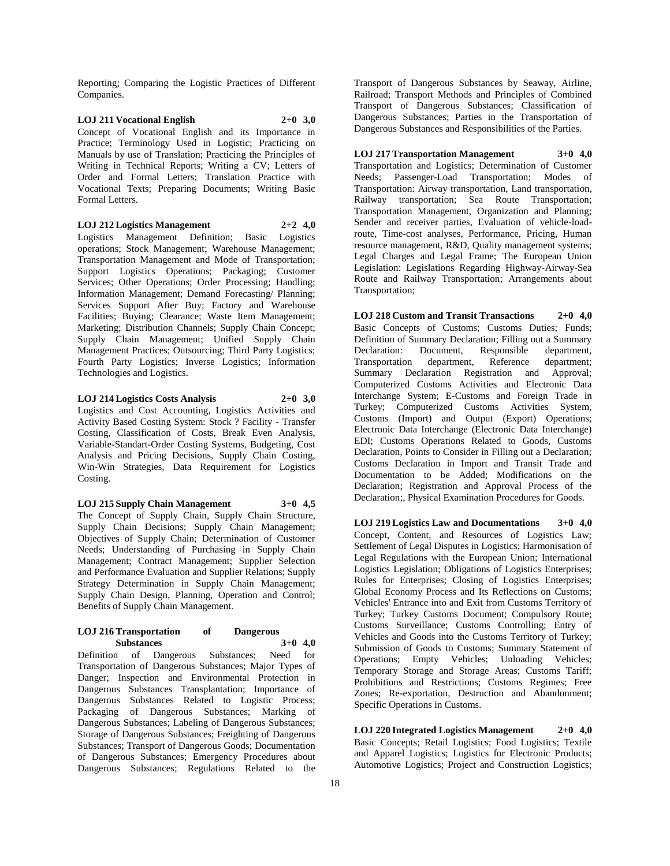Reporting; Comparing the Logistic Practices of Different Companies.

**LOJ 211 Vocational English 2+0 3,0** Concept of Vocational English and its Importance in Practice; Terminology Used in Logistic; Practicing on Manuals by use of Translation; Practicing the Principles of Writing in Technical Reports; Writing a CV; Letters of Order and Formal Letters; Translation Practice with Vocational Texts; Preparing Documents; Writing Basic Formal Letters.

**LOJ 212 Logistics Management 2+2 4,0**

Logistics Management Definition; Basic Logistics operations; Stock Management; Warehouse Management; Transportation Management and Mode of Transportation; Support Logistics Operations; Packaging; Customer Services; Other Operations; Order Processing; Handling; Information Management; Demand Forecasting/ Planning; Services Support After Buy; Factory and Warehouse Facilities; Buying; Clearance; Waste Item Management; Marketing; Distribution Channels; Supply Chain Concept; Supply Chain Management; Unified Supply Chain Management Practices; Outsourcing; Third Party Logistics; Fourth Party Logistics; Inverse Logistics; Information Technologies and Logistics.

**LOJ 214 Logistics Costs Analysis 2+0 3,0** Logistics and Cost Accounting, Logistics Activities and Activity Based Costing System: Stock ? Facility - Transfer Costing, Classification of Costs, Break Even Analysis, Variable-Standart-Order Costing Systems, Budgeting, Cost Analysis and Pricing Decisions, Supply Chain Costing, Win-Win Strategies, Data Requirement for Logistics Costing.

**LOJ 215 Supply Chain Management 3+0 4,5**

The Concept of Supply Chain, Supply Chain Structure, Supply Chain Decisions; Supply Chain Management; Objectives of Supply Chain; Determination of Customer Needs; Understanding of Purchasing in Supply Chain Management; Contract Management; Supplier Selection and Performance Evaluation and Supplier Relations; Supply Strategy Determination in Supply Chain Management; Supply Chain Design, Planning, Operation and Control; Benefits of Supply Chain Management.

#### **LOJ 216 Transportation of Dangerous Substances 3+0 4,0**

Definition of Dangerous Substances; Need for Transportation of Dangerous Substances; Major Types of Danger; Inspection and Environmental Protection in Dangerous Substances Transplantation; Importance of Dangerous Substances Related to Logistic Process; Packaging of Dangerous Substances; Marking of Dangerous Substances; Labeling of Dangerous Substances; Storage of Dangerous Substances; Freighting of Dangerous Substances; Transport of Dangerous Goods; Documentation of Dangerous Substances; Emergency Procedures about Dangerous Substances; Regulations Related to the

Transport of Dangerous Substances by Seaway, Airline, Railroad; Transport Methods and Principles of Combined Transport of Dangerous Substances; Classification of Dangerous Substances; Parties in the Transportation of Dangerous Substances and Responsibilities of the Parties.

**LOJ 217 Transportation Management 3+0 4,0** Transportation and Logistics; Determination of Customer Needs; Passenger-Load Transportation; Modes of Transportation: Airway transportation, Land transportation, Railway transportation; Sea Route Transportation; Transportation Management, Organization and Planning; Sender and receiver parties, Evaluation of vehicle-loadroute, Time-cost analyses, Performance, Pricing, Human resource management, R&D, Quality management systems; Legal Charges and Legal Frame; The European Union Legislation: Legislations Regarding Highway-Airway-Sea Route and Railway Transportation; Arrangements about Transportation;

**LOJ 218 Custom and Transit Transactions 2+0 4,0** Basic Concepts of Customs; Customs Duties; Funds; Definition of Summary Declaration; Filling out a Summary Declaration: Document, Responsible department, Transportation department, Reference department; Summary Declaration Registration and Approval; Computerized Customs Activities and Electronic Data Interchange System; E-Customs and Foreign Trade in Turkey; Computerized Customs Activities System, Customs (Import) and Output (Export) Operations; Electronic Data Interchange (Electronic Data Interchange) EDI; Customs Operations Related to Goods, Customs Declaration, Points to Consider in Filling out a Declaration; Customs Declaration in Import and Transit Trade and Documentation to be Added; Modifications on the Declaration; Registration and Approval Process of the Declaration;, Physical Examination Procedures for Goods.

**LOJ 219 Logistics Law and Documentations 3+0 4,0** Concept, Content, and Resources of Logistics Law; Settlement of Legal Disputes in Logistics; Harmonisation of Legal Regulations with the European Union; International Logistics Legislation; Obligations of Logistics Enterprises; Rules for Enterprises; Closing of Logistics Enterprises; Global Economy Process and Its Reflections on Customs; Vehicles' Entrance into and Exit from Customs Territory of Turkey; Turkey Customs Document; Compulsory Route; Customs Surveillance; Customs Controlling; Entry of Vehicles and Goods into the Customs Territory of Turkey; Submission of Goods to Customs; Summary Statement of Operations; Empty Vehicles; Unloading Vehicles; Temporary Storage and Storage Areas; Customs Tariff; Prohibitions and Restrictions; Customs Regimes; Free Zones; Re-exportation, Destruction and Abandonment; Specific Operations in Customs.

**LOJ 220 Integrated Logistics Management 2+0 4,0** Basic Concepts; Retail Logistics; Food Logistics; Textile and Apparel Logistics; Logistics for Electronic Products; Automotive Logistics; Project and Construction Logistics;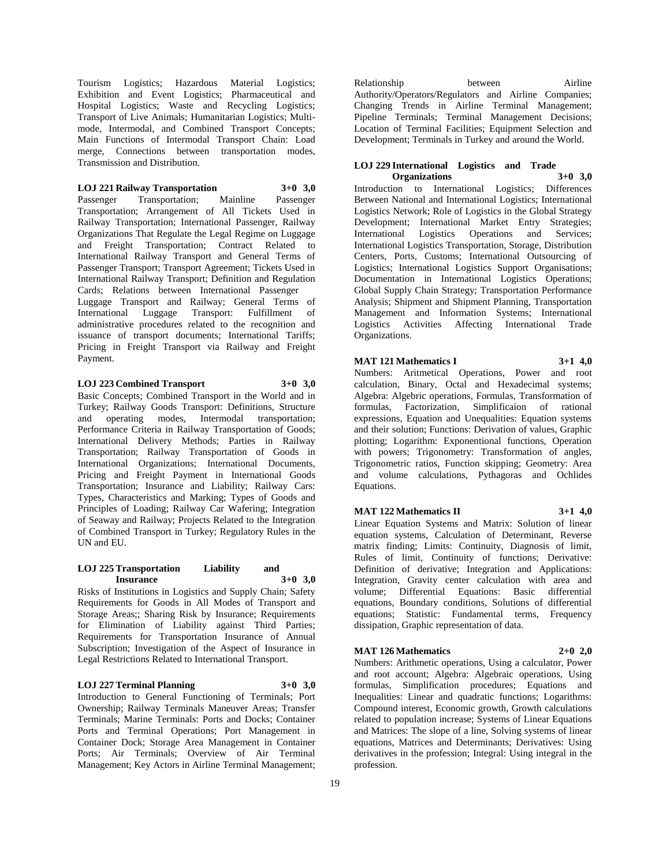Tourism Logistics; Hazardous Material Logistics; Exhibition and Event Logistics; Pharmaceutical and Hospital Logistics; Waste and Recycling Logistics; Transport of Live Animals; Humanitarian Logistics; Multimode, Intermodal, and Combined Transport Concepts; Main Functions of Intermodal Transport Chain: Load merge, Connections between transportation modes, Transmission and Distribution.

# **LOJ 221 Railway Transportation 3+0 3,0**

Passenger Transportation; Mainline Passenger Transportation; Arrangement of All Tickets Used in Railway Transportation; International Passenger, Railway Organizations That Regulate the Legal Regime on Luggage and Freight Transportation; Contract Related to International Railway Transport and General Terms of Passenger Transport; Transport Agreement; Tickets Used in International Railway Transport; Definition and Regulation Cards; Relations between International Passenger Luggage Transport and Railway; General Terms of International Luggage Transport: Fulfillment of administrative procedures related to the recognition and issuance of transport documents; International Tariffs; Pricing in Freight Transport via Railway and Freight Payment.

# **LOJ 223 Combined Transport 3+0 3,0**

Basic Concepts; Combined Transport in the World and in Turkey; Railway Goods Transport: Definitions, Structure and operating modes, Intermodal transportation; Performance Criteria in Railway Transportation of Goods; International Delivery Methods; Parties in Railway Transportation; Railway Transportation of Goods in International Organizations; International Documents, Pricing and Freight Payment in International Goods Transportation; Insurance and Liability; Railway Cars: Types, Characteristics and Marking; Types of Goods and Principles of Loading; Railway Car Wafering; Integration of Seaway and Railway; Projects Related to the Integration of Combined Transport in Turkey; Regulatory Rules in the UN and EU.

#### **LOJ 225 Transportation Liability and Insurance 3+0 3,0**

Risks of Institutions in Logistics and Supply Chain; Safety Requirements for Goods in All Modes of Transport and Storage Areas;; Sharing Risk by Insurance; Requirements for Elimination of Liability against Third Parties; Requirements for Transportation Insurance of Annual Subscription; Investigation of the Aspect of Insurance in Legal Restrictions Related to International Transport.

# **LOJ 227 Terminal Planning 3+0 3,0**

Introduction to General Functioning of Terminals; Port Ownership; Railway Terminals Maneuver Areas; Transfer Terminals; Marine Terminals: Ports and Docks; Container Ports and Terminal Operations; Port Management in Container Dock; Storage Area Management in Container Ports; Air Terminals; Overview of Air Terminal Management; Key Actors in Airline Terminal Management;

Relationship between Airline Authority/Operators/Regulators and Airline Companies; Changing Trends in Airline Terminal Management; Pipeline Terminals; Terminal Management Decisions; Location of Terminal Facilities; Equipment Selection and Development; Terminals in Turkey and around the World.

#### **LOJ 229 International Logistics and Trade Organizations 3+0 3,0**

Introduction to International Logistics; Differences Between National and International Logistics; International Logistics Network; Role of Logistics in the Global Strategy Development; International Market Entry Strategies; International Logistics Operations and Services; International Logistics Transportation, Storage, Distribution Centers, Ports, Customs; International Outsourcing of Logistics; International Logistics Support Organisations; Documentation in International Logistics Operations; Global Supply Chain Strategy; Transportation Performance Analysis; Shipment and Shipment Planning, Transportation Management and Information Systems; International Logistics Activities Affecting International Trade Organizations.

**MAT 121 Mathematics I 3+1 4,0**

Numbers: Aritmetical Operations, Power and root calculation, Binary, Octal and Hexadecimal systems; Algebra: Algebric operations, Formulas, Transformation of formulas, Factorization, Simplificaion of rational expressions, Equation and Unequalities: Equation systems and their solution; Functions: Derivation of values, Graphic plotting; Logarithm: Exponentional functions, Operation with powers; Trigonometry: Transformation of angles, Trigonometric ratios, Function skipping; Geometry: Area and volume calculations, Pythagoras and Ochlides Equations.

**MAT 122 Mathematics II 3+1 4,0**

Linear Equation Systems and Matrix: Solution of linear equation systems, Calculation of Determinant, Reverse matrix finding; Limits: Continuity, Diagnosis of limit, Rules of limit, Continuity of functions; Derivative: Definition of derivative; Integration and Applications: Integration, Gravity center calculation with area and volume; Differential Equations: Basic differential equations, Boundary conditions, Solutions of differential equations; Statistic: Fundamental terms, Frequency dissipation, Graphic representation of data.

# **MAT 126 Mathematics 2+0 2,0**

Numbers: Arithmetic operations, Using a calculator, Power and root account; Algebra: Algebraic operations, Using formulas, Simplification procedures; Equations and Inequalities: Linear and quadratic functions; Logarithms: Compound interest, Economic growth, Growth calculations related to population increase; Systems of Linear Equations and Matrices: The slope of a line, Solving systems of linear equations, Matrices and Determinants; Derivatives: Using derivatives in the profession; Integral: Using integral in the profession.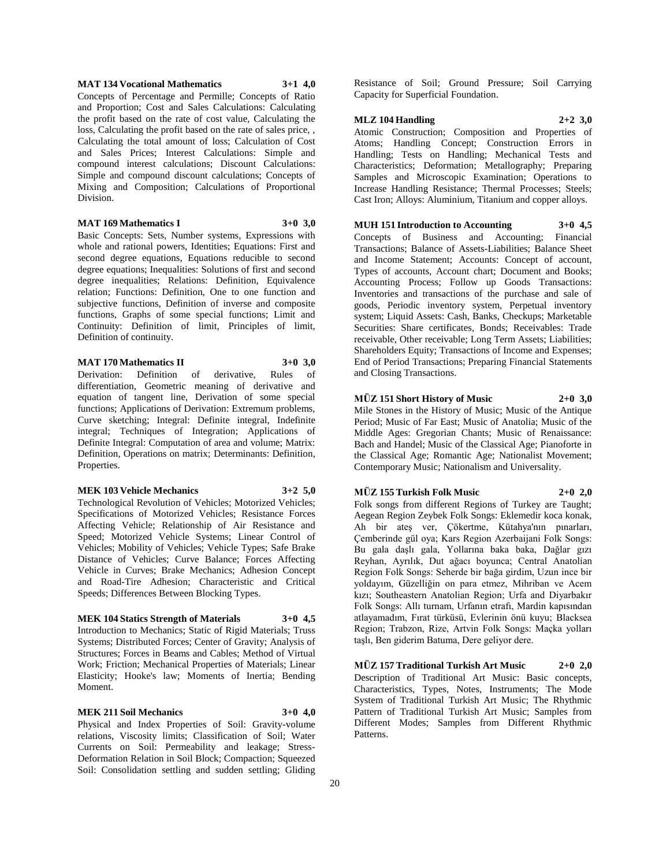#### **MAT 134 Vocational Mathematics 3+1 4,0**

Concepts of Percentage and Permille; Concepts of Ratio and Proportion; Cost and Sales Calculations: Calculating the profit based on the rate of cost value, Calculating the loss, Calculating the profit based on the rate of sales price, , Calculating the total amount of loss; Calculation of Cost and Sales Prices; Interest Calculations: Simple and compound interest calculations; Discount Calculations: Simple and compound discount calculations; Concepts of Mixing and Composition; Calculations of Proportional Division.

# **MAT 169 Mathematics I 3+0 3,0**

Basic Concepts: Sets, Number systems, Expressions with whole and rational powers, Identities; Equations: First and second degree equations, Equations reducible to second degree equations; Inequalities: Solutions of first and second degree inequalities; Relations: Definition, Equivalence relation; Functions: Definition, One to one function and subjective functions, Definition of inverse and composite functions, Graphs of some special functions; Limit and Continuity: Definition of limit, Principles of limit, Definition of continuity.

# **MAT 170 Mathematics II 3+0 3,0**

Derivation: Definition of derivative, Rules of differentiation, Geometric meaning of derivative and equation of tangent line, Derivation of some special functions; Applications of Derivation: Extremum problems, Curve sketching; Integral: Definite integral, Indefinite integral; Techniques of Integration; Applications of Definite Integral: Computation of area and volume; Matrix: Definition, Operations on matrix; Determinants: Definition, Properties.

#### **MEK 103 Vehicle Mechanics 3+2 5,0**

Technological Revolution of Vehicles; Motorized Vehicles; Specifications of Motorized Vehicles; Resistance Forces Affecting Vehicle; Relationship of Air Resistance and Speed; Motorized Vehicle Systems; Linear Control of Vehicles; Mobility of Vehicles; Vehicle Types; Safe Brake Distance of Vehicles; Curve Balance; Forces Affecting Vehicle in Curves; Brake Mechanics; Adhesion Concept and Road-Tire Adhesion; Characteristic and Critical Speeds; Differences Between Blocking Types.

# **MEK 104 Statics Strength of Materials 3+0 4,5**

Introduction to Mechanics; Static of Rigid Materials; Truss Systems; Distributed Forces; Center of Gravity; Analysis of Structures; Forces in Beams and Cables; Method of Virtual Work; Friction; Mechanical Properties of Materials; Linear Elasticity; Hooke's law; Moments of Inertia; Bending Moment.

# **MEK 211 Soil Mechanics 3+0 4,0**

Physical and Index Properties of Soil: Gravity-volume relations, Viscosity limits; Classification of Soil; Water Currents on Soil: Permeability and leakage; Stress-Deformation Relation in Soil Block; Compaction; Squeezed Soil: Consolidation settling and sudden settling; Gliding

Resistance of Soil; Ground Pressure; Soil Carrying Capacity for Superficial Foundation.

#### **MLZ 104 Handling 2+2 3,0**

Atomic Construction; Composition and Properties of Atoms; Handling Concept; Construction Errors in Handling; Tests on Handling; Mechanical Tests and Characteristics; Deformation; Metallography; Preparing Samples and Microscopic Examination; Operations to Increase Handling Resistance; Thermal Processes; Steels; Cast Iron; Alloys: Aluminium, Titanium and copper alloys.

**MUH 151 Introduction to Accounting 3+0 4,5** Concepts of Business and Accounting; Financial Transactions; Balance of Assets-Liabilities; Balance Sheet and Income Statement; Accounts: Concept of account, Types of accounts, Account chart; Document and Books; Accounting Process; Follow up Goods Transactions: Inventories and transactions of the purchase and sale of goods, Periodic inventory system, Perpetual inventory system; Liquid Assets: Cash, Banks, Checkups; Marketable Securities: Share certificates, Bonds; Receivables: Trade receivable, Other receivable; Long Term Assets; Liabilities; Shareholders Equity; Transactions of Income and Expenses; End of Period Transactions; Preparing Financial Statements and Closing Transactions.

#### **MÜZ 151 Short History of Music 2+0 3,0**

Mile Stones in the History of Music; Music of the Antique Period; Music of Far East; Music of Anatolia; Music of the Middle Ages: Gregorian Chants; Music of Renaissance: Bach and Handel; Music of the Classical Age; Pianoforte in the Classical Age; Romantic Age; Nationalist Movement; Contemporary Music; Nationalism and Universality.

#### **MÜZ 155 Turkish Folk Music 2+0 2,0**

Folk songs from different Regions of Turkey are Taught; Aegean Region Zeybek Folk Songs: Eklemedir koca konak, Ah bir ateş ver, Çökertme, Kütahya'nın pınarları, Çemberinde gül oya; Kars Region Azerbaijani Folk Songs: Bu gala daşlı gala, Yollarına baka baka, Dağlar gızı Reyhan, Ayrılık, Dut ağacı boyunca; Central Anatolian Region Folk Songs: Seherde bir bağa girdim, Uzun ince bir yoldayım, Güzelliğin on para etmez, Mihriban ve Acem kızı; Southeastern Anatolian Region; Urfa and Diyarbakır Folk Songs: Allı turnam, Urfanın etrafı, Mardin kapısından atlayamadım, Fırat türküsü, Evlerinin önü kuyu; Blacksea Region; Trabzon, Rize, Artvin Folk Songs: Maçka yolları taşlı, Ben giderim Batuma, Dere geliyor dere.

**MÜZ 157 Traditional Turkish Art Music 2+0 2,0** Description of Traditional Art Music: Basic concepts, Characteristics, Types, Notes, Instruments; The Mode System of Traditional Turkish Art Music; The Rhythmic Pattern of Traditional Turkish Art Music; Samples from Different Modes; Samples from Different Rhythmic Patterns.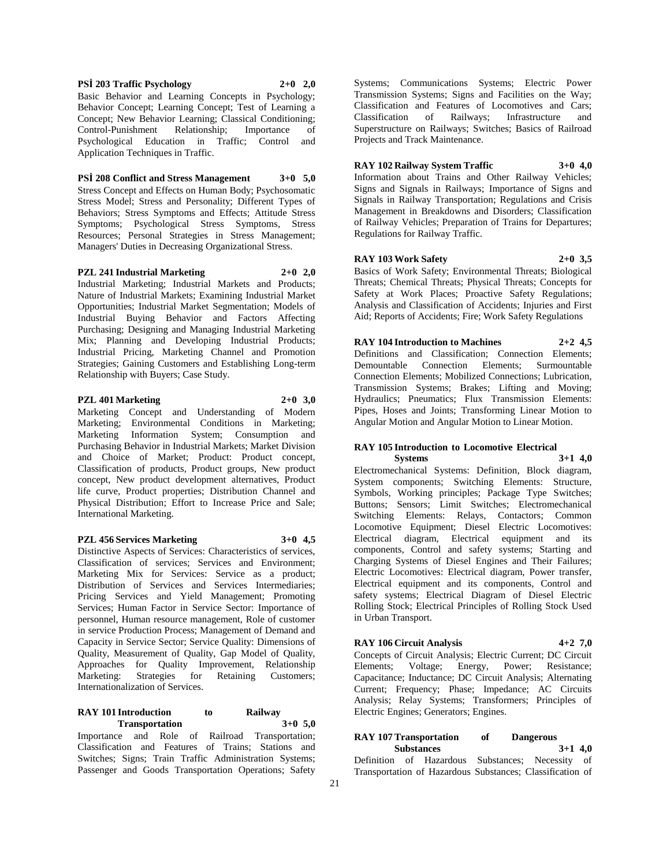**PSİ 203 Traffic Psychology 2+0 2,0** Basic Behavior and Learning Concepts in Psychology; Behavior Concept; Learning Concept; Test of Learning a Concept; New Behavior Learning; Classical Conditioning; Control-Punishment Relationship; Importance of Psychological Education in Traffic; Control and Application Techniques in Traffic.

**PSİ 208 Conflict and Stress Management 3+0 5,0**

Stress Concept and Effects on Human Body; Psychosomatic Stress Model; Stress and Personality; Different Types of Behaviors; Stress Symptoms and Effects; Attitude Stress Symptoms; Psychological Stress Symptoms, Stress Resources; Personal Strategies in Stress Management; Managers' Duties in Decreasing Organizational Stress.

**PZL 241 Industrial Marketing 2+0 2,0** Industrial Marketing; Industrial Markets and Products; Nature of Industrial Markets; Examining Industrial Market Opportunities; Industrial Market Segmentation; Models of Industrial Buying Behavior and Factors Affecting Purchasing; Designing and Managing Industrial Marketing Mix; Planning and Developing Industrial Products; Industrial Pricing, Marketing Channel and Promotion Strategies; Gaining Customers and Establishing Long-term

#### **PZL 401 Marketing 2+0 3,0**

Relationship with Buyers; Case Study.

Marketing Concept and Understanding of Modern Marketing; Environmental Conditions in Marketing; Marketing Information System; Consumption and Purchasing Behavior in Industrial Markets; Market Division and Choice of Market; Product: Product concept, Classification of products, Product groups, New product concept, New product development alternatives, Product life curve, Product properties; Distribution Channel and Physical Distribution; Effort to Increase Price and Sale; International Marketing.

## **PZL 456 Services Marketing 3+0 4,5**

Distinctive Aspects of Services: Characteristics of services, Classification of services; Services and Environment; Marketing Mix for Services: Service as a product; Distribution of Services and Services Intermediaries; Pricing Services and Yield Management; Promoting Services; Human Factor in Service Sector: Importance of personnel, Human resource management, Role of customer in service Production Process; Management of Demand and Capacity in Service Sector; Service Quality: Dimensions of Quality, Measurement of Quality, Gap Model of Quality, Approaches for Quality Improvement, Relationship Marketing: Strategies for Retaining Customers; Internationalization of Services.

### **RAY 101 Introduction to Railway Transportation 3+0 5,0**

Importance and Role of Railroad Transportation; Classification and Features of Trains; Stations and Switches; Signs; Train Traffic Administration Systems; Passenger and Goods Transportation Operations; Safety

Systems; Communications Systems; Electric Power Transmission Systems; Signs and Facilities on the Way; Classification and Features of Locomotives and Cars; Classification of Railways; Infrastructure and Superstructure on Railways; Switches; Basics of Railroad Projects and Track Maintenance.

# **RAY 102 Railway System Traffic 3+0 4,0**

Information about Trains and Other Railway Vehicles; Signs and Signals in Railways; Importance of Signs and Signals in Railway Transportation; Regulations and Crisis Management in Breakdowns and Disorders; Classification of Railway Vehicles; Preparation of Trains for Departures; Regulations for Railway Traffic.

**RAY 103 Work Safety 2+0 3,5** Basics of Work Safety; Environmental Threats; Biological Threats; Chemical Threats; Physical Threats; Concepts for Safety at Work Places; Proactive Safety Regulations; Analysis and Classification of Accidents; Injuries and First Aid; Reports of Accidents; Fire; Work Safety Regulations

**RAY 104 Introduction to Machines 2+2 4,5** Definitions and Classification; Connection Elements; Demountable Connection Elements; Surmountable Connection Elements; Mobilized Connections; Lubrication, Transmission Systems; Brakes; Lifting and Moving; Hydraulics; Pneumatics; Flux Transmission Elements: Pipes, Hoses and Joints; Transforming Linear Motion to Angular Motion and Angular Motion to Linear Motion.

# **RAY 105 Introduction to Locomotive Electrical**

**Systems 3+1 4,0** Electromechanical Systems: Definition, Block diagram, System components; Switching Elements: Structure, Symbols, Working principles; Package Type Switches; Buttons; Sensors; Limit Switches; Electromechanical Switching Elements: Relays, Contactors; Common Locomotive Equipment; Diesel Electric Locomotives: Electrical diagram, Electrical equipment and its components, Control and safety systems; Starting and Charging Systems of Diesel Engines and Their Failures; Electric Locomotives: Electrical diagram, Power transfer, Electrical equipment and its components, Control and safety systems; Electrical Diagram of Diesel Electric Rolling Stock; Electrical Principles of Rolling Stock Used in Urban Transport.

### **RAY 106 Circuit Analysis 4+2 7,0**

Concepts of Circuit Analysis; Electric Current; DC Circuit Elements; Voltage; Energy, Power; Resistance; Voltage; Energy, Power; Resistance; Capacitance; Inductance; DC Circuit Analysis; Alternating Current; Frequency; Phase; Impedance; AC Circuits Analysis; Relay Systems; Transformers; Principles of Electric Engines; Generators; Engines.

#### **RAY 107 Transportation of Dangerous Substances 3+1 4,0**

Definition of Hazardous Substances; Necessity of Transportation of Hazardous Substances; Classification of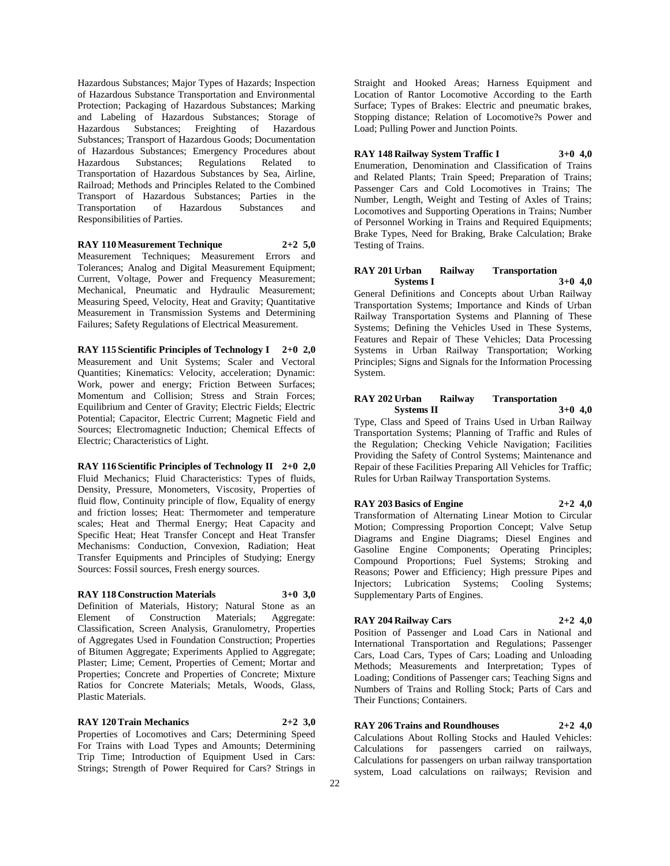Hazardous Substances; Major Types of Hazards; Inspection of Hazardous Substance Transportation and Environmental Protection; Packaging of Hazardous Substances; Marking and Labeling of Hazardous Substances; Storage of Hazardous Substances; Freighting of Hazardous Substances; Transport of Hazardous Goods; Documentation of Hazardous Substances; Emergency Procedures about Hazardous Substances; Regulations Related to Transportation of Hazardous Substances by Sea, Airline, Railroad; Methods and Principles Related to the Combined Transport of Hazardous Substances; Parties in the Transportation of Hazardous Substances and Responsibilities of Parties.

#### **RAY 110 Measurement Technique 2+2 5,0**

Measurement Techniques; Measurement Errors and Tolerances; Analog and Digital Measurement Equipment; Current, Voltage, Power and Frequency Measurement; Mechanical, Pneumatic and Hydraulic Measurement; Measuring Speed, Velocity, Heat and Gravity; Quantitative Measurement in Transmission Systems and Determining Failures; Safety Regulations of Electrical Measurement.

**RAY 115 Scientific Principles of Technology I 2+0 2,0** Measurement and Unit Systems; Scaler and Vectoral Quantities; Kinematics: Velocity, acceleration; Dynamic: Work, power and energy; Friction Between Surfaces; Momentum and Collision; Stress and Strain Forces; Equilibrium and Center of Gravity; Electric Fields; Electric Potential; Capacitor, Electric Current; Magnetic Field and Sources; Electromagnetic Induction; Chemical Effects of Electric; Characteristics of Light.

**RAY 116 Scientific Principles of Technology II 2+0 2,0** Fluid Mechanics; Fluid Characteristics: Types of fluids, Density, Pressure, Monometers, Viscosity, Properties of fluid flow, Continuity principle of flow, Equality of energy and friction losses; Heat: Thermometer and temperature scales; Heat and Thermal Energy; Heat Capacity and Specific Heat; Heat Transfer Concept and Heat Transfer Mechanisms: Conduction, Convexion, Radiation; Heat Transfer Equipments and Principles of Studying; Energy Sources: Fossil sources, Fresh energy sources.

# **RAY 118 Construction Materials 3+0 3,0**

Definition of Materials, History; Natural Stone as an Element of Construction Materials; Aggregate: Classification, Screen Analysis, Granulometry, Properties of Aggregates Used in Foundation Construction; Properties of Bitumen Aggregate; Experiments Applied to Aggregate; Plaster; Lime; Cement, Properties of Cement; Mortar and Properties; Concrete and Properties of Concrete; Mixture Ratios for Concrete Materials; Metals, Woods, Glass, Plastic Materials.

# **RAY 120 Train Mechanics 2+2 3,0**

Properties of Locomotives and Cars; Determining Speed For Trains with Load Types and Amounts; Determining Trip Time; Introduction of Equipment Used in Cars: Strings; Strength of Power Required for Cars? Strings in

Straight and Hooked Areas; Harness Equipment and Location of Rantor Locomotive According to the Earth Surface; Types of Brakes: Electric and pneumatic brakes, Stopping distance; Relation of Locomotive?s Power and Load; Pulling Power and Junction Points.

**RAY 148 Railway System Traffic I 3+0 4,0** Enumeration, Denomination and Classification of Trains and Related Plants; Train Speed; Preparation of Trains; Passenger Cars and Cold Locomotives in Trains; The Number, Length, Weight and Testing of Axles of Trains; Locomotives and Supporting Operations in Trains; Number of Personnel Working in Trains and Required Equipments; Brake Types, Need for Braking, Brake Calculation; Brake Testing of Trains.

#### **RAY 201 Urban Railway Transportation Systems I 3+0 4,0**

General Definitions and Concepts about Urban Railway Transportation Systems; Importance and Kinds of Urban Railway Transportation Systems and Planning of These Systems; Defining the Vehicles Used in These Systems, Features and Repair of These Vehicles; Data Processing Systems in Urban Railway Transportation; Working Principles; Signs and Signals for the Information Processing System.

## **RAY 202 Urban Railway Transportation Systems II 3+0 4,0**

Type, Class and Speed of Trains Used in Urban Railway Transportation Systems; Planning of Traffic and Rules of the Regulation; Checking Vehicle Navigation; Facilities Providing the Safety of Control Systems; Maintenance and Repair of these Facilities Preparing All Vehicles for Traffic; Rules for Urban Railway Transportation Systems.

#### **RAY 203 Basics of Engine 2+2 4,0**

Transformation of Alternating Linear Motion to Circular Motion; Compressing Proportion Concept; Valve Setup Diagrams and Engine Diagrams; Diesel Engines and Gasoline Engine Components; Operating Principles; Compound Proportions; Fuel Systems; Stroking and Reasons; Power and Efficiency; High pressure Pipes and Injectors; Lubrication Systems; Cooling Systems; Supplementary Parts of Engines.

## **RAY 204 Railway Cars 2+2 4,0**

Position of Passenger and Load Cars in National and International Transportation and Regulations; Passenger Cars, Load Cars, Types of Cars; Loading and Unloading Methods; Measurements and Interpretation; Types of Loading; Conditions of Passenger cars; Teaching Signs and Numbers of Trains and Rolling Stock; Parts of Cars and Their Functions; Containers.

#### **RAY 206 Trains and Roundhouses 2+2 4,0**

Calculations About Rolling Stocks and Hauled Vehicles: Calculations for passengers carried on railways, Calculations for passengers on urban railway transportation system, Load calculations on railways; Revision and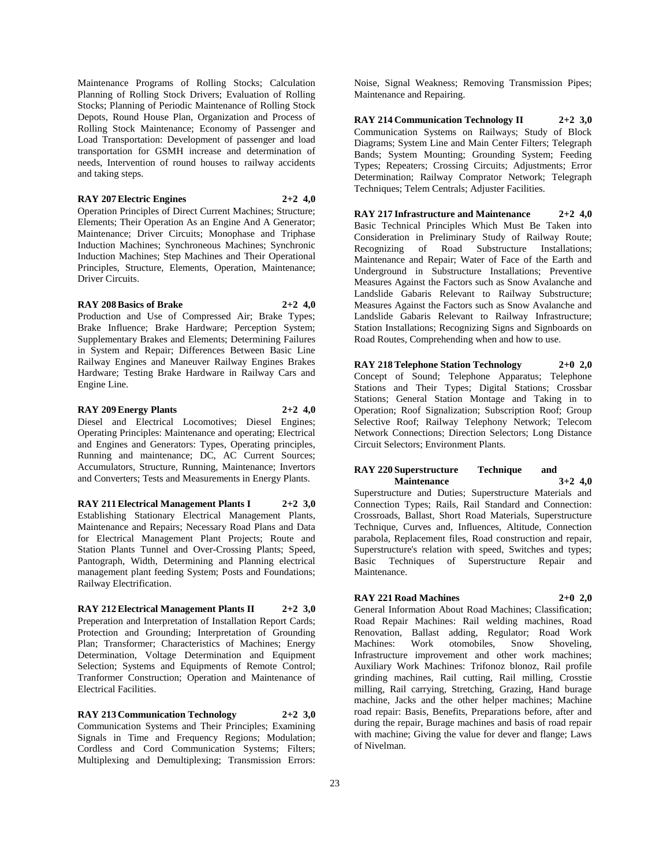Maintenance Programs of Rolling Stocks; Calculation Planning of Rolling Stock Drivers; Evaluation of Rolling Stocks; Planning of Periodic Maintenance of Rolling Stock Depots, Round House Plan, Organization and Process of Rolling Stock Maintenance; Economy of Passenger and Load Transportation: Development of passenger and load transportation for GSMH increase and determination of needs, Intervention of round houses to railway accidents and taking steps.

# **RAY 207 Electric Engines 2+2 4,0**

Operation Principles of Direct Current Machines; Structure; Elements; Their Operation As an Engine And A Generator; Maintenance; Driver Circuits; Monophase and Triphase Induction Machines; Synchroneous Machines; Synchronic Induction Machines; Step Machines and Their Operational Principles, Structure, Elements, Operation, Maintenance; Driver Circuits.

# **RAY 208 Basics of Brake 2+2 4,0**

Production and Use of Compressed Air; Brake Types; Brake Influence; Brake Hardware; Perception System; Supplementary Brakes and Elements; Determining Failures in System and Repair; Differences Between Basic Line Railway Engines and Maneuver Railway Engines Brakes Hardware; Testing Brake Hardware in Railway Cars and Engine Line.

**RAY 209 Energy Plants 2+2 4,0** Diesel and Electrical Locomotives; Diesel Engines; Operating Principles: Maintenance and operating; Electrical and Engines and Generators: Types, Operating principles, Running and maintenance; DC, AC Current Sources; Accumulators, Structure, Running, Maintenance; Invertors and Converters; Tests and Measurements in Energy Plants.

**RAY 211 Electrical Management Plants I 2+2 3,0** Establishing Stationary Electrical Management Plants, Maintenance and Repairs; Necessary Road Plans and Data for Electrical Management Plant Projects; Route and Station Plants Tunnel and Over-Crossing Plants; Speed, Pantograph, Width, Determining and Planning electrical management plant feeding System; Posts and Foundations; Railway Electrification.

**RAY 212 Electrical Management Plants II 2+2 3,0** Preperation and Interpretation of Installation Report Cards; Protection and Grounding; Interpretation of Grounding Plan; Transformer; Characteristics of Machines; Energy Determination, Voltage Determination and Equipment Selection; Systems and Equipments of Remote Control; Tranformer Construction; Operation and Maintenance of Electrical Facilities.

**RAY 213 Communication Technology 2+2 3,0** Communication Systems and Their Principles; Examining Signals in Time and Frequency Regions; Modulation; Cordless and Cord Communication Systems; Filters; Multiplexing and Demultiplexing; Transmission Errors:

Noise, Signal Weakness; Removing Transmission Pipes; Maintenance and Repairing.

**RAY 214 Communication Technology II 2+2 3,0** Communication Systems on Railways; Study of Block Diagrams; System Line and Main Center Filters; Telegraph Bands; System Mounting; Grounding System; Feeding Types; Repeaters; Crossing Circuits; Adjustments; Error Determination; Railway Comprator Network; Telegraph Techniques; Telem Centrals; Adjuster Facilities.

**RAY 217 Infrastructure and Maintenance 2+2 4,0** Basic Technical Principles Which Must Be Taken into Consideration in Preliminary Study of Railway Route; Recognizing of Road Substructure Installations; Maintenance and Repair; Water of Face of the Earth and Underground in Substructure Installations; Preventive Measures Against the Factors such as Snow Avalanche and Landslide Gabaris Relevant to Railway Substructure; Measures Against the Factors such as Snow Avalanche and Landslide Gabaris Relevant to Railway Infrastructure; Station Installations; Recognizing Signs and Signboards on Road Routes, Comprehending when and how to use.

**RAY 218 Telephone Station Technology 2+0 2,0** Concept of Sound; Telephone Apparatus; Telephone Stations and Their Types; Digital Stations; Crossbar Stations; General Station Montage and Taking in to Operation; Roof Signalization; Subscription Roof; Group Selective Roof; Railway Telephony Network; Telecom Network Connections; Direction Selectors; Long Distance Circuit Selectors; Environment Plants.

# **RAY 220 Superstructure Technique and Maintenance 3+2 4,0**

Superstructure and Duties; Superstructure Materials and Connection Types; Rails, Rail Standard and Connection: Crossroads, Ballast, Short Road Materials, Superstructure Technique, Curves and, Influences, Altitude, Connection parabola, Replacement files, Road construction and repair, Superstructure's relation with speed, Switches and types; Basic Techniques of Superstructure Repair and Maintenance.

# **RAY 221 Road Machines 2+0 2,0**

General Information About Road Machines; Classification; Road Repair Machines: Rail welding machines, Road Renovation, Ballast adding, Regulator; Road Work Machines: Work otomobiles, Snow Shoveling, Infrastructure improvement and other work machines; Auxiliary Work Machines: Trifonoz blonoz, Rail profile grinding machines, Rail cutting, Rail milling, Crosstie milling, Rail carrying, Stretching, Grazing, Hand burage machine, Jacks and the other helper machines; Machine road repair: Basis, Benefits, Preparations before, after and during the repair, Burage machines and basis of road repair with machine; Giving the value for dever and flange; Laws of Nivelman.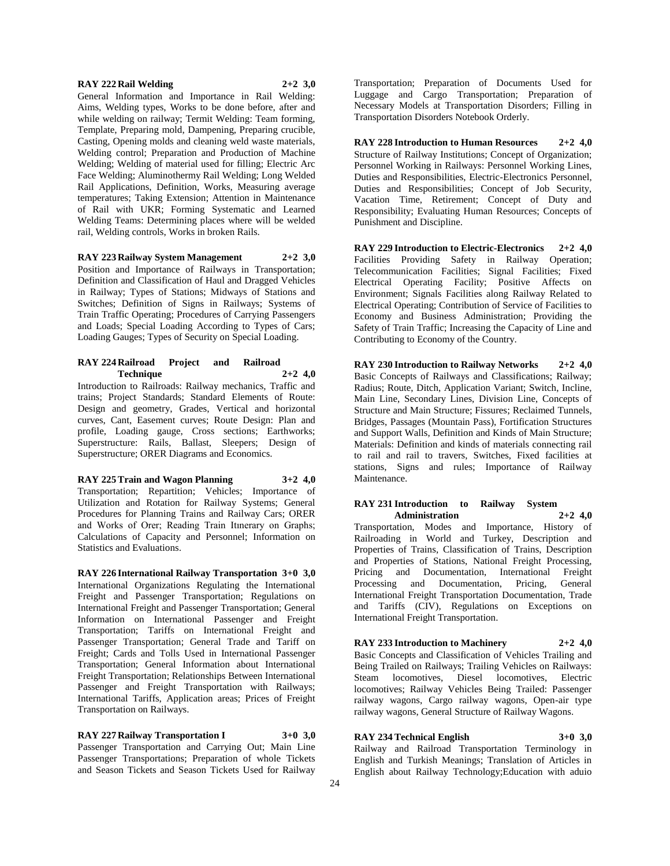# **RAY 222 Rail Welding 2+2 3,0**

General Information and Importance in Rail Welding: Aims, Welding types, Works to be done before, after and while welding on railway; Termit Welding: Team forming, Template, Preparing mold, Dampening, Preparing crucible, Casting, Opening molds and cleaning weld waste materials, Welding control; Preparation and Production of Machine Welding; Welding of material used for filling; Electric Arc Face Welding; Aluminothermy Rail Welding; Long Welded Rail Applications, Definition, Works, Measuring average temperatures; Taking Extension; Attention in Maintenance of Rail with UKR; Forming Systematic and Learned Welding Teams: Determining places where will be welded rail, Welding controls, Works in broken Rails.

**RAY 223 Railway System Management 2+2 3,0** Position and Importance of Railways in Transportation; Definition and Classification of Haul and Dragged Vehicles in Railway; Types of Stations; Midways of Stations and Switches; Definition of Signs in Railways; Systems of Train Traffic Operating; Procedures of Carrying Passengers and Loads; Special Loading According to Types of Cars; Loading Gauges; Types of Security on Special Loading.

# **RAY 224 Railroad Project and Railroad Technique 2+2 4,0**

Introduction to Railroads: Railway mechanics, Traffic and trains; Project Standards; Standard Elements of Route: Design and geometry, Grades, Vertical and horizontal curves, Cant, Easement curves; Route Design: Plan and profile, Loading gauge, Cross sections; Earthworks; Superstructure: Rails, Ballast, Sleepers; Design of Superstructure; ORER Diagrams and Economics.

**RAY 225 Train and Wagon Planning 3+2 4,0** Transportation; Repartition; Vehicles; Importance of Utilization and Rotation for Railway Systems; General Procedures for Planning Trains and Railway Cars; ORER and Works of Orer; Reading Train Itınerary on Graphs; Calculations of Capacity and Personnel; Information on

Statistics and Evaluations.

**RAY 226 International Railway Transportation 3+0 3,0** International Organizations Regulating the International Freight and Passenger Transportation; Regulations on International Freight and Passenger Transportation; General Information on International Passenger and Freight Transportation; Tariffs on International Freight and Passenger Transportation; General Trade and Tariff on Freight; Cards and Tolls Used in International Passenger Transportation; General Information about International Freight Transportation; Relationships Between International Passenger and Freight Transportation with Railways; International Tariffs, Application areas; Prices of Freight Transportation on Railways.

**RAY 227 Railway Transportation I 3+0 3,0** Passenger Transportation and Carrying Out; Main Line Passenger Transportations; Preparation of whole Tickets and Season Tickets and Season Tickets Used for Railway

Transportation; Preparation of Documents Used for Luggage and Cargo Transportation; Preparation of Necessary Models at Transportation Disorders; Filling in Transportation Disorders Notebook Orderly.

**RAY 228 Introduction to Human Resources 2+2 4,0** Structure of Railway Institutions; Concept of Organization; Personnel Working in Railways: Personnel Working Lines, Duties and Responsibilities, Electric-Electronics Personnel, Duties and Responsibilities; Concept of Job Security, Vacation Time, Retirement; Concept of Duty and Responsibility; Evaluating Human Resources; Concepts of Punishment and Discipline.

**RAY 229 Introduction to Electric-Electronics 2+2 4,0** Facilities Providing Safety in Railway Operation; Telecommunication Facilities; Signal Facilities; Fixed Electrical Operating Facility; Positive Affects on Environment; Signals Facilities along Railway Related to Electrical Operating; Contribution of Service of Facilities to Economy and Business Administration; Providing the Safety of Train Traffic; Increasing the Capacity of Line and Contributing to Economy of the Country.

**RAY 230 Introduction to Railway Networks 2+2 4,0** Basic Concepts of Railways and Classifications; Railway; Radius; Route, Ditch, Application Variant; Switch, Incline, Main Line, Secondary Lines, Division Line, Concepts of Structure and Main Structure; Fissures; Reclaimed Tunnels, Bridges, Passages (Mountain Pass), Fortification Structures and Support Walls, Definition and Kinds of Main Structure; Materials: Definition and kinds of materials connecting rail to rail and rail to travers, Switches, Fixed facilities at stations, Signs and rules; Importance of Railway Maintenance.

# **RAY 231 Introduction to Railway System Administration 2+2 4,0**

Transportation, Modes and Importance, History of Railroading in World and Turkey, Description and Properties of Trains, Classification of Trains, Description and Properties of Stations, National Freight Processing, Pricing and Documentation, International Freight Processing and Documentation, Pricing, General International Freight Transportation Documentation, Trade and Tariffs (CIV), Regulations on Exceptions on International Freight Transportation.

# **RAY 233 Introduction to Machinery 2+2 4,0** Basic Concepts and Classification of Vehicles Trailing and

Being Trailed on Railways; Trailing Vehicles on Railways: Steam locomotives, Diesel locomotives, Electric locomotives; Railway Vehicles Being Trailed: Passenger railway wagons, Cargo railway wagons, Open-air type railway wagons, General Structure of Railway Wagons.

# **RAY 234 Technical English 3+0 3,0**

Railway and Railroad Transportation Terminology in English and Turkish Meanings; Translation of Articles in English about Railway Technology;Education with aduio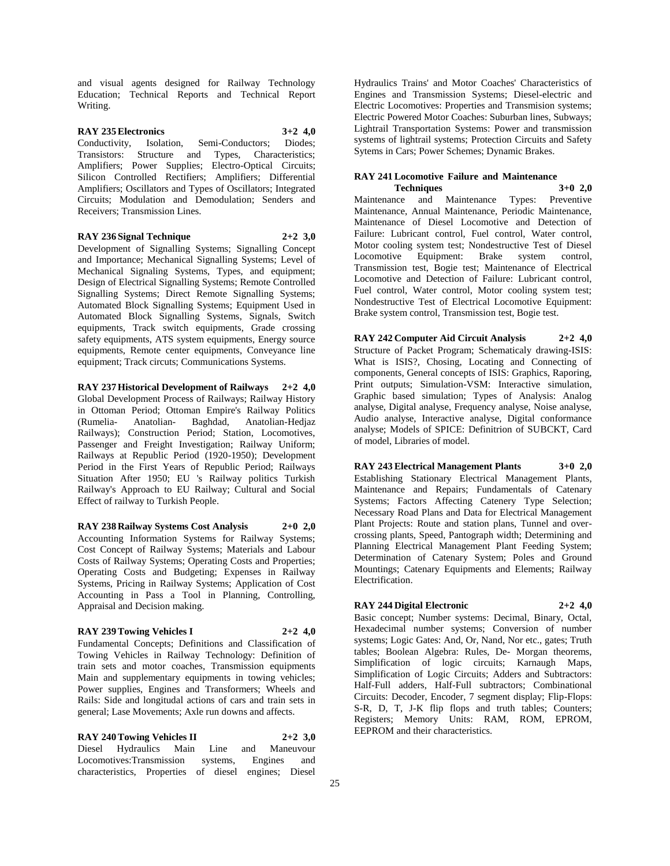and visual agents designed for Railway Technology Education; Technical Reports and Technical Report Writing.

# **RAY 235 Electronics 3+2 4,0**

Conductivity, Isolation, Semi-Conductors; Diodes; Transistors: Structure and Types, Characteristics; Amplifiers; Power Supplies; Electro-Optical Circuits; Silicon Controlled Rectifiers; Amplifiers; Differential Amplifiers; Oscillators and Types of Oscillators; Integrated Circuits; Modulation and Demodulation; Senders and Receivers; Transmission Lines.

### **RAY 236 Signal Technique 2+2 3,0**

Development of Signalling Systems; Signalling Concept and Importance; Mechanical Signalling Systems; Level of Mechanical Signaling Systems, Types, and equipment; Design of Electrical Signalling Systems; Remote Controlled Signalling Systems; Direct Remote Signalling Systems; Automated Block Signalling Systems; Equipment Used in Automated Block Signalling Systems, Signals, Switch equipments, Track switch equipments, Grade crossing safety equipments, ATS system equipments, Energy source equipments, Remote center equipments, Conveyance line equipment; Track circuts; Communications Systems.

**RAY 237 Historical Development of Railways 2+2 4,0** Global Development Process of Railways; Railway History in Ottoman Period; Ottoman Empire's Railway Politics (Rumelia- Anatolian- Baghdad, Anatolian-Hedjaz Railways); Construction Period; Station, Locomotives, Passenger and Freight Investigation; Railway Uniform; Railways at Republic Period (1920-1950); Development Period in the First Years of Republic Period; Railways Situation After 1950; EU 's Railway politics Turkish Railway's Approach to EU Railway; Cultural and Social Effect of railway to Turkish People.

**RAY 238 Railway Systems Cost Analysis 2+0 2,0** Accounting Information Systems for Railway Systems; Cost Concept of Railway Systems; Materials and Labour Costs of Railway Systems; Operating Costs and Properties; Operating Costs and Budgeting; Expenses in Railway Systems, Pricing in Railway Systems; Application of Cost Accounting in Pass a Tool in Planning, Controlling, Appraisal and Decision making.

#### **RAY 239 Towing Vehicles I 2+2 4,0**

Fundamental Concepts; Definitions and Classification of Towing Vehicles in Railway Technology: Definition of train sets and motor coaches, Transmission equipments Main and supplementary equipments in towing vehicles; Power supplies, Engines and Transformers; Wheels and Rails: Side and longitudal actions of cars and train sets in general; Lase Movements; Axle run downs and affects.

**RAY 240 Towing Vehicles II 2+2 3,0** Diesel Hydraulics Main Line and Maneuvour Locomotives:Transmission systems, Engines and characteristics, Properties of diesel engines; Diesel Hydraulics Trains' and Motor Coaches' Characteristics of Engines and Transmission Systems; Diesel-electric and Electric Locomotives: Properties and Transmision systems; Electric Powered Motor Coaches: Suburban lines, Subways; Lightrail Transportation Systems: Power and transmission systems of lightrail systems; Protection Circuits and Safety Sytems in Cars; Power Schemes; Dynamic Brakes.

## **RAY 241 Locomotive Failure and Maintenance Techniques 3+0 2,0**

Maintenance and Maintenance Types: Preventive Maintenance, Annual Maintenance, Periodic Maintenance, Maintenance of Diesel Locomotive and Detection of Failure: Lubricant control, Fuel control, Water control, Motor cooling system test; Nondestructive Test of Diesel Locomotive Equipment: Brake system control, Transmission test, Bogie test; Maintenance of Electrical Locomotive and Detection of Failure: Lubricant control, Fuel control, Water control, Motor cooling system test; Nondestructive Test of Electrical Locomotive Equipment: Brake system control, Transmission test, Bogie test.

**RAY 242 Computer Aid Circuit Analysis 2+2 4,0** Structure of Packet Program; Schematicaly drawing-ISIS: What is ISIS?, Chosing, Locating and Connecting of components, General concepts of ISIS: Graphics, Raporing, Print outputs; Simulation-VSM: Interactive simulation, Graphic based simulation; Types of Analysis: Analog analyse, Digital analyse, Frequency analyse, Noise analyse, Audio analyse, Interactive analyse, Digital conformance analyse; Models of SPICE: Definitrion of SUBCKT, Card of model, Libraries of model.

**RAY 243 Electrical Management Plants 3+0 2,0** Establishing Stationary Electrical Management Plants, Maintenance and Repairs; Fundamentals of Catenary Systems; Factors Affecting Catenery Type Selection; Necessary Road Plans and Data for Electrical Management Plant Projects: Route and station plans, Tunnel and overcrossing plants, Speed, Pantograph width; Determining and Planning Electrical Management Plant Feeding System; Determination of Catenary System; Poles and Ground Mountings; Catenary Equipments and Elements; Railway Electrification.

# **RAY 244 Digital Electronic 2+2 4,0**

Basic concept; Number systems: Decimal, Binary, Octal, Hexadecimal number systems; Conversion of number systems; Logic Gates: And, Or, Nand, Nor etc., gates; Truth tables; Boolean Algebra: Rules, De- Morgan theorems, Simplification of logic circuits; Karnaugh Maps, Simplification of Logic Circuits; Adders and Subtractors: Half-Full adders, Half-Full subtractors; Combinational Circuits: Decoder, Encoder, 7 segment display; Flip-Flops: S-R, D, T, J-K flip flops and truth tables; Counters; Registers; Memory Units: RAM, ROM, EPROM, EEPROM and their characteristics.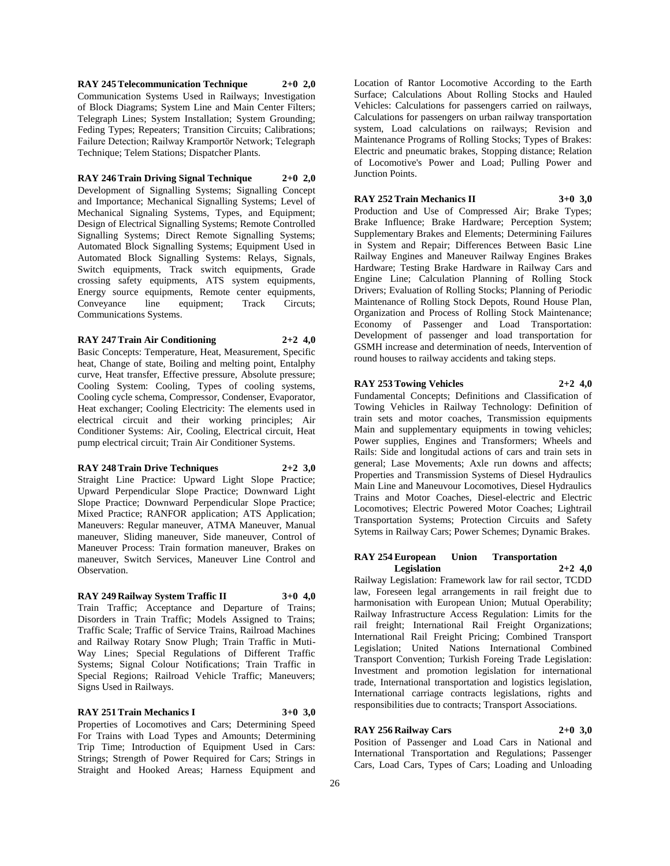**RAY 245 Telecommunication Technique 2+0 2,0** Communication Systems Used in Railways; Investigation of Block Diagrams; System Line and Main Center Filters; Telegraph Lines; System Installation; System Grounding; Feding Types; Repeaters; Transition Circuits; Calibrations; Failure Detection; Railway Kramportör Network; Telegraph Technique; Telem Stations; Dispatcher Plants.

# **RAY 246 Train Driving Signal Technique 2+0 2,0**

Development of Signalling Systems; Signalling Concept and Importance; Mechanical Signalling Systems; Level of Mechanical Signaling Systems, Types, and Equipment; Design of Electrical Signalling Systems; Remote Controlled Signalling Systems; Direct Remote Signalling Systems; Automated Block Signalling Systems; Equipment Used in Automated Block Signalling Systems: Relays, Signals, Switch equipments, Track switch equipments, Grade crossing safety equipments, ATS system equipments, Energy source equipments, Remote center equipments, Conveyance line equipment: Track Circuts: Communications Systems.

#### **RAY 247 Train Air Conditioning 2+2 4,0**

Basic Concepts: Temperature, Heat, Measurement, Specific heat, Change of state, Boiling and melting point, Entalphy curve, Heat transfer, Effective pressure, Absolute pressure; Cooling System: Cooling, Types of cooling systems, Cooling cycle schema, Compressor, Condenser, Evaporator, Heat exchanger; Cooling Electricity: The elements used in electrical circuit and their working principles; Air Conditioner Systems: Air, Cooling, Electrical circuit, Heat pump electrical circuit; Train Air Conditioner Systems.

# **RAY 248 Train Drive Techniques 2+2 3,0**

Straight Line Practice: Upward Light Slope Practice; Upward Perpendicular Slope Practice; Downward Light Slope Practice; Downward Perpendicular Slope Practice; Mixed Practice; RANFOR application; ATS Application; Maneuvers: Regular maneuver, ATMA Maneuver, Manual maneuver, Sliding maneuver, Side maneuver, Control of Maneuver Process: Train formation maneuver, Brakes on maneuver, Switch Services, Maneuver Line Control and Observation.

# **RAY 249 Railway System Traffic II 3+0 4,0**

Train Traffic; Acceptance and Departure of Trains; Disorders in Train Traffic; Models Assigned to Trains; Traffic Scale; Traffic of Service Trains, Railroad Machines and Railway Rotary Snow Plugh; Train Traffic in Muti-Way Lines; Special Regulations of Different Traffic Systems; Signal Colour Notifications; Train Traffic in Special Regions; Railroad Vehicle Traffic; Maneuvers; Signs Used in Railways.

#### **RAY 251 Train Mechanics I 3+0 3,0**

Properties of Locomotives and Cars; Determining Speed For Trains with Load Types and Amounts; Determining Trip Time; Introduction of Equipment Used in Cars: Strings; Strength of Power Required for Cars; Strings in Straight and Hooked Areas; Harness Equipment and Location of Rantor Locomotive According to the Earth Surface; Calculations About Rolling Stocks and Hauled Vehicles: Calculations for passengers carried on railways, Calculations for passengers on urban railway transportation system, Load calculations on railways; Revision and Maintenance Programs of Rolling Stocks; Types of Brakes: Electric and pneumatic brakes, Stopping distance; Relation of Locomotive's Power and Load; Pulling Power and Junction Points.

# **RAY 252 Train Mechanics II 3+0 3,0**

Production and Use of Compressed Air; Brake Types; Brake Influence; Brake Hardware; Perception System; Supplementary Brakes and Elements; Determining Failures in System and Repair; Differences Between Basic Line Railway Engines and Maneuver Railway Engines Brakes Hardware; Testing Brake Hardware in Railway Cars and Engine Line; Calculation Planning of Rolling Stock Drivers; Evaluation of Rolling Stocks; Planning of Periodic Maintenance of Rolling Stock Depots, Round House Plan, Organization and Process of Rolling Stock Maintenance; Economy of Passenger and Load Transportation: Development of passenger and load transportation for GSMH increase and determination of needs, Intervention of round houses to railway accidents and taking steps.

#### **RAY 253 Towing Vehicles 2+2 4,0**

Fundamental Concepts; Definitions and Classification of Towing Vehicles in Railway Technology: Definition of train sets and motor coaches, Transmission equipments Main and supplementary equipments in towing vehicles; Power supplies, Engines and Transformers; Wheels and Rails: Side and longitudal actions of cars and train sets in general; Lase Movements; Axle run downs and affects; Properties and Transmission Systems of Diesel Hydraulics Main Line and Maneuvour Locomotives, Diesel Hydraulics Trains and Motor Coaches, Diesel-electric and Electric Locomotives; Electric Powered Motor Coaches; Lightrail Transportation Systems; Protection Circuits and Safety Sytems in Railway Cars; Power Schemes; Dynamic Brakes.

#### **RAY 254 European Union Transportation Legislation 2+2 4,0**

Railway Legislation: Framework law for rail sector, TCDD law, Foreseen legal arrangements in rail freight due to harmonisation with European Union; Mutual Operability; Railway Infrastructure Access Regulation: Limits for the rail freight; International Rail Freight Organizations; International Rail Freight Pricing; Combined Transport Legislation; United Nations International Combined Transport Convention; Turkish Foreing Trade Legislation: Investment and promotion legislation for international trade, International transportation and logistics legislation, International carriage contracts legislations, rights and responsibilities due to contracts; Transport Associations.

#### **RAY 256 Railway Cars 2+0 3,0**

Position of Passenger and Load Cars in National and International Transportation and Regulations; Passenger Cars, Load Cars, Types of Cars; Loading and Unloading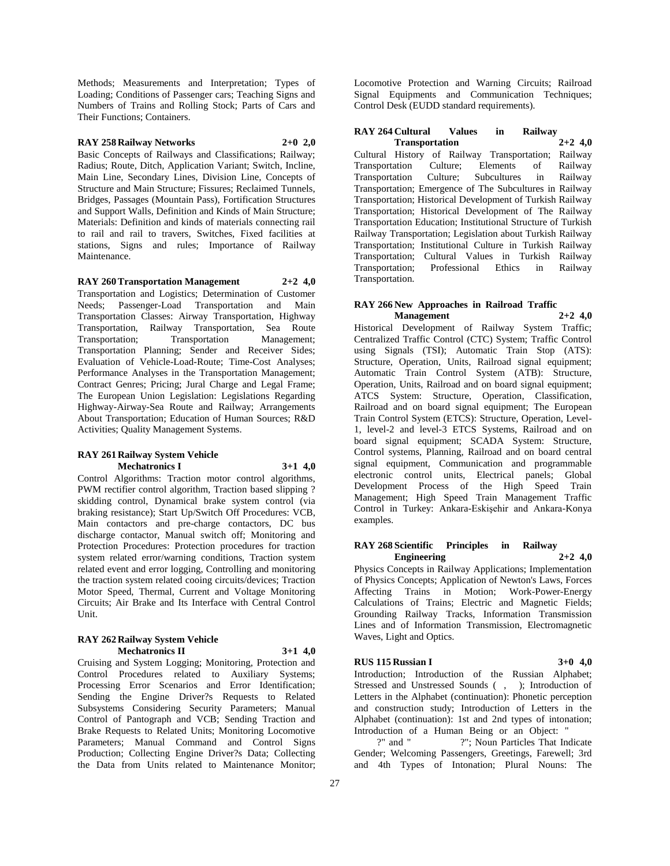Methods; Measurements and Interpretation; Types of Loading; Conditions of Passenger cars; Teaching Signs and Numbers of Trains and Rolling Stock; Parts of Cars and Their Functions; Containers.

# **RAY 258 Railway Networks 2+0 2,0**

Basic Concepts of Railways and Classifications; Railway; Radius; Route, Ditch, Application Variant; Switch, Incline, Main Line, Secondary Lines, Division Line, Concepts of Structure and Main Structure; Fissures; Reclaimed Tunnels, Bridges, Passages (Mountain Pass), Fortification Structures and Support Walls, Definition and Kinds of Main Structure; Materials: Definition and kinds of materials connecting rail to rail and rail to travers, Switches, Fixed facilities at stations, Signs and rules; Importance of Railway Maintenance.

**RAY 260 Transportation Management 2+2 4,0** Transportation and Logistics; Determination of Customer Needs; Passenger-Load Transportation and Main Transportation Classes: Airway Transportation, Highway Transportation, Railway Transportation, Sea Route Transportation; Transportation Management; Transportation Planning; Sender and Receiver Sides; Evaluation of Vehicle-Load-Route; Time-Cost Analyses; Performance Analyses in the Transportation Management; Contract Genres; Pricing; Jural Charge and Legal Frame; The European Union Legislation: Legislations Regarding Highway-Airway-Sea Route and Railway; Arrangements About Transportation; Education of Human Sources; R&D Activities; Quality Management Systems.

#### **RAY 261 Railway System Vehicle Mechatronics I 3+1 4,0**

Control Algorithms: Traction motor control algorithms, PWM rectifier control algorithm, Traction based slipping ? skidding control, Dynamical brake system control (via braking resistance); Start Up/Switch Off Procedures: VCB, Main contactors and pre-charge contactors, DC bus discharge contactor, Manual switch off; Monitoring and Protection Procedures: Protection procedures for traction system related error/warning conditions, Traction system related event and error logging, Controlling and monitoring the traction system related cooing circuits/devices; Traction Motor Speed, Thermal, Current and Voltage Monitoring Circuits; Air Brake and Its Interface with Central Control Unit.

#### **RAY 262 Railway System Vehicle Mechatronics II 3+1 4,0**

Cruising and System Logging; Monitoring, Protection and Control Procedures related to Auxiliary Systems; Processing Error Scenarios and Error Identification; Sending the Engine Driver?s Requests to Related Subsystems Considering Security Parameters; Manual Control of Pantograph and VCB; Sending Traction and Brake Requests to Related Units; Monitoring Locomotive Parameters; Manual Command and Control Signs Production; Collecting Engine Driver?s Data; Collecting the Data from Units related to Maintenance Monitor;

Locomotive Protection and Warning Circuits; Railroad Signal Equipments and Communication Techniques; Control Desk (EUDD standard requirements).

## **RAY 264 Cultural Values in Railway Transportation 2+2 4,0**

Cultural History of Railway Transportation; Railway Transportation Culture; Elements of Railway Transportation Culture; Subcultures in Railway Transportation; Emergence of The Subcultures in Railway Transportation; Historical Development of Turkish Railway Transportation; Historical Development of The Railway Transportation Education; Institutional Structure of Turkish Railway Transportation; Legislation about Turkish Railway Transportation; Institutional Culture in Turkish Railway Transportation; Cultural Values in Turkish Railway Transportation; Professional Ethics in Railway Transportation.

#### **RAY 266 New Approaches in Railroad Traffic Management 2+2 4,0**

Historical Development of Railway System Traffic; Centralized Traffic Control (CTC) System; Traffic Control using Signals (TSI); Automatic Train Stop (ATS): Structure, Operation, Units, Railroad signal equipment; Automatic Train Control System (ATB): Structure, Operation, Units, Railroad and on board signal equipment; ATCS System: Structure, Operation, Classification, Railroad and on board signal equipment; The European Train Control System (ETCS): Structure, Operation, Level-1, level-2 and level-3 ETCS Systems, Railroad and on board signal equipment; SCADA System: Structure, Control systems, Planning, Railroad and on board central signal equipment, Communication and programmable electronic control units, Electrical panels; Global Development Process of the High Speed Train Management; High Speed Train Management Traffic Control in Turkey: Ankara-Eskişehir and Ankara-Konya examples.

# **RAY 268 Scientific Principles in Railway Engineering 2+2 4,0**

Physics Concepts in Railway Applications; Implementation of Physics Concepts; Application of Newton's Laws, Forces Affecting Trains in Motion; Work-Power-Energy Calculations of Trains; Electric and Magnetic Fields; Grounding Railway Tracks, Information Transmission Lines and of Information Transmission, Electromagnetic Waves, Light and Optics.

# **RUS 115 Russian I 3+0 4,0**

Introduction; Introduction of the Russian Alphabet; Stressed and Unstressed Sounds (, ); Introduction of Letters in the Alphabet (continuation): Phonetic perception and construction study; Introduction of Letters in the Alphabet (continuation): 1st and 2nd types of intonation; Introduction of a Human Being or an Object: "

?" and " ?"; Noun Particles That Indicate Gender; Welcoming Passengers, Greetings, Farewell; 3rd and 4th Types of Intonation; Plural Nouns: The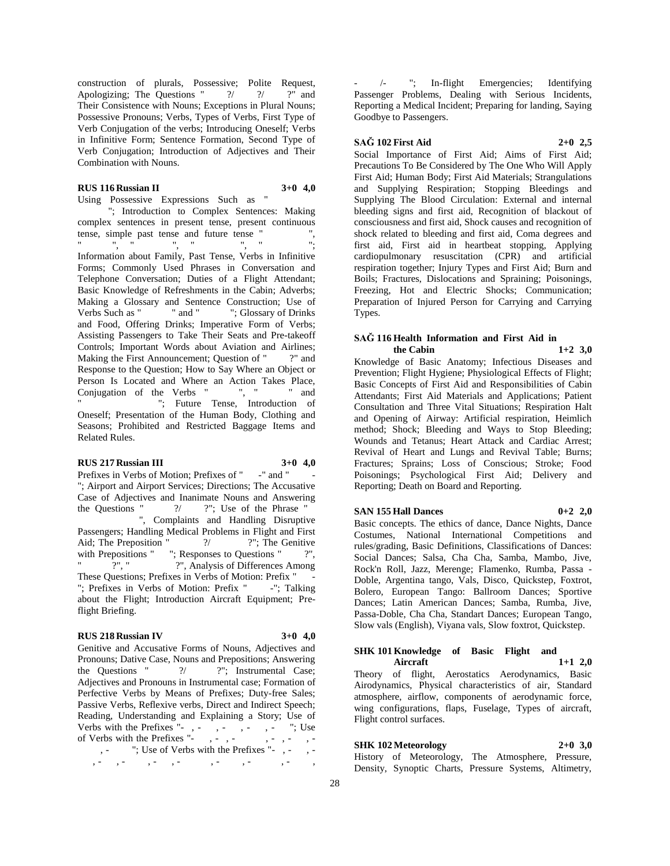construction of plurals, Possessive; Polite Request, Apologizing; The Questions " $?$  ? ?" and Their Consistence with Nouns; Exceptions in Plural Nouns; Possessive Pronouns; Verbs, Types of Verbs, First Type of Verb Conjugation of the verbs; Introducing Oneself; Verbs in Infinitive Form; Sentence Formation, Second Type of Verb Conjugation; Introduction of Adjectives and Their Combination with Nouns.

# **RUS 116 Russian II 3+0 4,0**

Using Possessive Expressions Such as " "; Introduction to Complex Sentences: Making complex sentences in present tense, present continuous tense, simple past tense and future tense "",  $\frac{1}{2}$  ,  $\frac{1}{2}$  ,  $\frac{1}{2}$  ,  $\frac{1}{2}$  ,  $\frac{1}{2}$  ,  $\frac{1}{2}$  ,  $\frac{1}{2}$  ,  $\frac{1}{2}$  ,  $\frac{1}{2}$  ,  $\frac{1}{2}$  ,  $\frac{1}{2}$  ,  $\frac{1}{2}$  ,  $\frac{1}{2}$  ,  $\frac{1}{2}$  ,  $\frac{1}{2}$  ,  $\frac{1}{2}$  ,  $\frac{1}{2}$  ,  $\frac{1}{2}$  ,  $\frac{1$ Information about Family, Past Tense, Verbs in Infinitive Forms; Commonly Used Phrases in Conversation and Telephone Conversation; Duties of a Flight Attendant; Basic Knowledge of Refreshments in the Cabin; Adverbs; Making a Glossary and Sentence Construction; Use of Verbs Such as " " and " "; Glossary of Drinks" "; Glossary of Drinks and Food, Offering Drinks; Imperative Form of Verbs; Assisting Passengers to Take Their Seats and Pre-takeoff Controls; Important Words about Aviation and Airlines; Making the First Announcement; Question of "?" and Response to the Question; How to Say Where an Object or Person Is Located and Where an Action Takes Place, Conjugation of the Verbs " ", " " and "; Future Tense, Introduction of Oneself; Presentation of the Human Body, Clothing and Seasons; Prohibited and Restricted Baggage Items and Related Rules.

#### **RUS 217 Russian III 3+0 4,0**

Prefixes in Verbs of Motion; Prefixes of "-" and " "; Airport and Airport Services; Directions; The Accusative Case of Adjectives and Inanimate Nouns and Answering the Questions " $?$  ?"; Use of the Phrase " ", Complaints and Handling Disruptive Passengers; Handling Medical Problems in Flight and First Aid; The Preposition " ?/ ?"; The Genitive with Prepositions " "; Responses to Questions " ?", ?", "<br>
<sup>2"</sup>, Analysis of Differences Among These Questions; Prefixes in Verbs of Motion: Prefix "- "; Prefixes in Verbs of Motion: Prefix "-"; Talking about the Flight; Introduction Aircraft Equipment; Preflight Briefing.

#### **RUS 218 Russian IV 3+0 4,0**

Genitive and Accusative Forms of Nouns, Adjectives and Pronouns; Dative Case, Nouns and Prepositions; Answering the Questions " $?$  ?"; Instrumental Case; Adjectives and Pronouns in Instrumental case; Formation of Perfective Verbs by Means of Prefixes; Duty-free Sales; Passive Verbs, Reflexive verbs, Direct and Indirect Speech; Reading, Understanding and Explaining a Story; Use of Verbs with the Prefixes  $"$ -, -, -, -, -, -, -, Use of Verbs with the Prefixes "-, -, -, -, -, - , - "; Use of Verbs with the Prefixes "-, -,  $\cdot$  ,  $\cdot$  ,  $\cdot$  ,  $\cdot$  ,  $\cdot$  ,  $\cdot$  ,  $\cdot$ 

-/-"; In-flight Emergencies; Identifying Passenger Problems, Dealing with Serious Incidents, Reporting a Medical Incident; Preparing for landing, Saying Goodbye to Passengers.

#### **SAĞ 102 First Aid 2+0 2,5**

Social Importance of First Aid; Aims of First Aid; Precautions To Be Considered by The One Who Will Apply First Aid; Human Body; First Aid Materials; Strangulations and Supplying Respiration; Stopping Bleedings and Supplying The Blood Circulation: External and internal bleeding signs and first aid, Recognition of blackout of consciousness and first aid, Shock causes and recognition of shock related to bleeding and first aid, Coma degrees and first aid, First aid in heartbeat stopping, Applying cardiopulmonary resuscitation (CPR) and artificial respiration together; Injury Types and First Aid; Burn and Boils; Fractures, Dislocations and Spraining; Poisonings, Freezing, Hot and Electric Shocks; Communication; Preparation of Injured Person for Carrying and Carrying Types.

# **SAĞ 116 Health Information and First Aid in**

**the Cabin 1+2 3,0** Knowledge of Basic Anatomy; Infectious Diseases and Prevention; Flight Hygiene; Physiological Effects of Flight; Basic Concepts of First Aid and Responsibilities of Cabin Attendants; First Aid Materials and Applications; Patient Consultation and Three Vital Situations; Respiration Halt and Opening of Airway: Artificial respiration, Heimlich method; Shock; Bleeding and Ways to Stop Bleeding; Wounds and Tetanus; Heart Attack and Cardiac Arrest; Revival of Heart and Lungs and Revival Table; Burns; Fractures; Sprains; Loss of Conscious; Stroke; Food Poisonings; Psychological First Aid; Delivery and Reporting; Death on Board and Reporting.

#### **SAN 155 Hall Dances 0+2 2,0**

Basic concepts. The ethics of dance, Dance Nights, Dance Costumes, National International Competitions and rules/grading, Basic Definitions, Classifications of Dances: Social Dances; Salsa, Cha Cha, Samba, Mambo, Jive, Rock'n Roll, Jazz, Merenge; Flamenko, Rumba, Passa - Doble, Argentina tango, Vals, Disco, Quickstep, Foxtrot, Bolero, European Tango: Ballroom Dances; Sportive Dances; Latin American Dances; Samba, Rumba, Jive, Passa-Doble, Cha Cha, Standart Dances; European Tango, Slow vals (English), Viyana vals, Slow foxtrot, Quickstep.

# **SHK 101 Knowledge of Basic Flight and Aircraft 1+1 2,0** Theory of flight, Aerostatics Aerodynamics, Basic

Airodynamics, Physical characteristics of air, Standard atmosphere, airflow, components of aerodynamic force, wing configurations, flaps, Fuselage, Types of aircraft, Flight control surfaces.

# **SHK 102 Meteorology 2+0 3,0**

History of Meteorology, The Atmosphere, Pressure, Density, Synoptic Charts, Pressure Systems, Altimetry,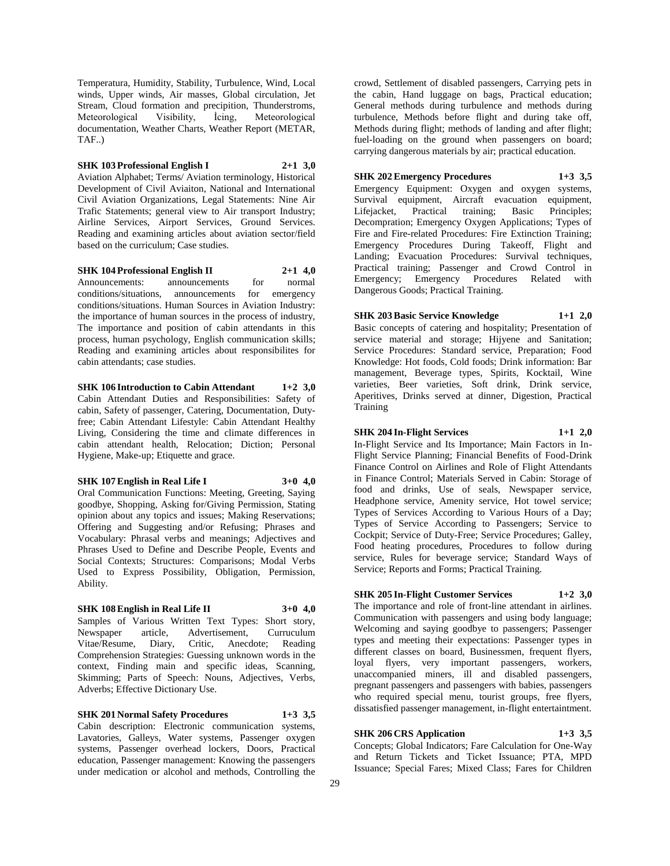Temperatura, Humidity, Stability, Turbulence, Wind, Local winds, Upper winds, Air masses, Global circulation, Jet Stream, Cloud formation and precipition, Thunderstroms, Meteorological Visibility, İcing, Meteorological documentation, Weather Charts, Weather Report (METAR, TAF..)

**SHK 103 Professional English I 2+1 3,0** Aviation Alphabet; Terms/ Aviation terminology, Historical Development of Civil Aviaiton, National and International Civil Aviation Organizations, Legal Statements: Nine Air Trafic Statements; general view to Air transport Industry; Airline Services, Airport Services, Ground Services. Reading and examining articles about aviation sector/field based on the curriculum; Case studies.

**SHK 104 Professional English II 2+1 4,0** Announcements: announcements for normal conditions/situations, announcements for emergency conditions/situations. Human Sources in Aviation Industry: the importance of human sources in the process of industry, The importance and position of cabin attendants in this process, human psychology, English communication skills; Reading and examining articles about responsibilites for cabin attendants; case studies.

# **SHK 106 Introduction to Cabin Attendant 1+2 3,0** Cabin Attendant Duties and Responsibilities: Safety of cabin, Safety of passenger, Catering, Documentation, Dutyfree; Cabin Attendant Lifestyle: Cabin Attendant Healthy Living, Considering the time and climate differences in cabin attendant health, Relocation; Diction; Personal Hygiene, Make-up; Etiquette and grace.

#### **SHK 107 English in Real Life I 3+0 4,0**

Oral Communication Functions: Meeting, Greeting, Saying goodbye, Shopping, Asking for/Giving Permission, Stating opinion about any topics and issues; Making Reservations; Offering and Suggesting and/or Refusing; Phrases and Vocabulary: Phrasal verbs and meanings; Adjectives and Phrases Used to Define and Describe People, Events and Social Contexts; Structures: Comparisons; Modal Verbs Used to Express Possibility, Obligation, Permission, Ability.

# **SHK 108 English in Real Life II 3+0 4,0**

Samples of Various Written Text Types: Short story, Newspaper article, Advertisement, Curruculum Vitae/Resume, Diary, Critic, Anecdote; Reading Comprehension Strategies: Guessing unknown words in the context, Finding main and specific ideas, Scanning, Skimming; Parts of Speech: Nouns, Adjectives, Verbs, Adverbs; Effective Dictionary Use.

## **SHK 201 Normal Safety Procedures 1+3 3,5**

Cabin description: Electronic communication systems, Lavatories, Galleys, Water systems, Passenger oxygen systems, Passenger overhead lockers, Doors, Practical education, Passenger management: Knowing the passengers under medication or alcohol and methods, Controlling the

crowd, Settlement of disabled passengers, Carrying pets in the cabin, Hand luggage on bags, Practical education; General methods during turbulence and methods during turbulence, Methods before flight and during take off, Methods during flight; methods of landing and after flight; fuel-loading on the ground when passengers on board; carrying dangerous materials by air; practical education.

# **SHK 202 Emergency Procedures 1+3 3,5**

Emergency Equipment: Oxygen and oxygen systems, Survival equipment, Aircraft evacuation equipment, Lifejacket, Practical training; Basic Principles; Lifejacket, Practical training; Basic Principles; Decompration; Emergency Oxygen Applications; Types of Fire and Fire-related Procedures: Fire Extinction Training; Emergency Procedures During Takeoff, Flight and Landing; Evacuation Procedures: Survival techniques, Practical training; Passenger and Crowd Control in Emergency; Emergency Procedures Related with Dangerous Goods; Practical Training.

# **SHK 203 Basic Service Knowledge 1+1 2,0**

Basic concepts of catering and hospitality; Presentation of service material and storage; Hijyene and Sanitation; Service Procedures: Standard service, Preparation; Food Knowledge: Hot foods, Cold foods; Drink information: Bar management, Beverage types, Spirits, Kocktail, Wine varieties, Beer varieties, Soft drink, Drink service, Aperitives, Drinks served at dinner, Digestion, Practical Training

#### **SHK 204 In-Flight Services 1+1 2,0**

In-Flight Service and Its Importance; Main Factors in In-Flight Service Planning; Financial Benefits of Food-Drink Finance Control on Airlines and Role of Flight Attendants in Finance Control; Materials Served in Cabin: Storage of food and drinks, Use of seals, Newspaper service, Headphone service, Amenity service, Hot towel service; Types of Services According to Various Hours of a Day; Types of Service According to Passengers; Service to Cockpit; Service of Duty-Free; Service Procedures; Galley, Food heating procedures, Procedures to follow during service, Rules for beverage service; Standard Ways of Service; Reports and Forms; Practical Training.

#### **SHK 205 In-Flight Customer Services 1+2 3,0**

The importance and role of front-line attendant in airlines. Communication with passengers and using body language; Welcoming and saying goodbye to passengers; Passenger types and meeting their expectations: Passenger types in different classes on board, Businessmen, frequent flyers, loyal flyers, very important passengers, workers, unaccompanied miners, ill and disabled passengers, pregnant passengers and passengers with babies, passengers who required special menu, tourist groups, free flyers, dissatisfied passenger management, in-flight entertaintment.

# **SHK 206 CRS Application 1+3 3,5**

Concepts; Global Indicators; Fare Calculation for One-Way and Return Tickets and Ticket Issuance; PTA, MPD Issuance; Special Fares; Mixed Class; Fares for Children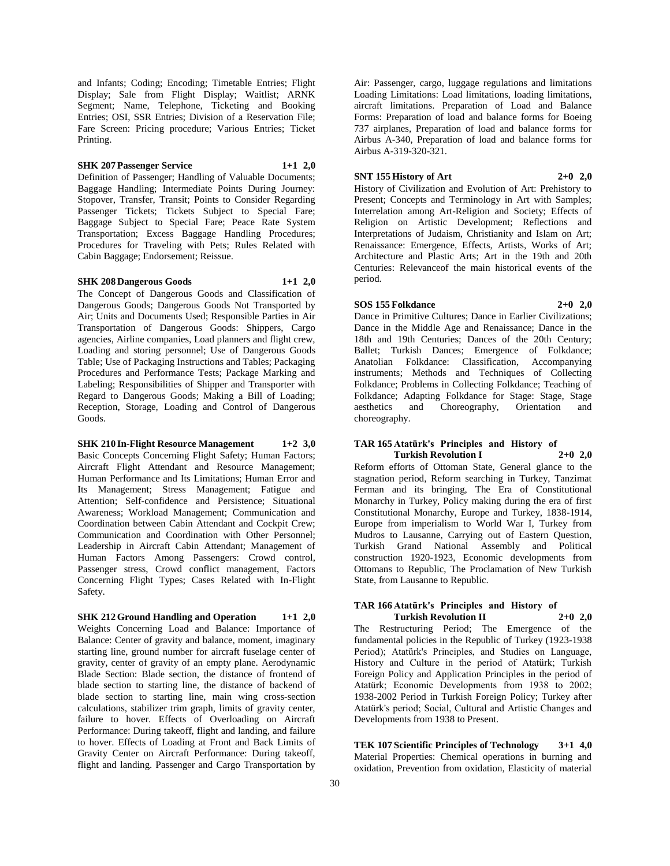and Infants; Coding; Encoding; Timetable Entries; Flight Display; Sale from Flight Display; Waitlist; ARNK Segment; Name, Telephone, Ticketing and Booking Entries; OSI, SSR Entries; Division of a Reservation File; Fare Screen: Pricing procedure; Various Entries; Ticket Printing.

# **SHK 207 Passenger Service 1+1 2,0**

Definition of Passenger; Handling of Valuable Documents; Baggage Handling; Intermediate Points During Journey: Stopover, Transfer, Transit; Points to Consider Regarding Passenger Tickets; Tickets Subject to Special Fare; Baggage Subject to Special Fare; Peace Rate System Transportation; Excess Baggage Handling Procedures; Procedures for Traveling with Pets; Rules Related with Cabin Baggage; Endorsement; Reissue.

#### **SHK 208 Dangerous Goods 1+1 2,0**

The Concept of Dangerous Goods and Classification of Dangerous Goods; Dangerous Goods Not Transported by Air; Units and Documents Used; Responsible Parties in Air Transportation of Dangerous Goods: Shippers, Cargo agencies, Airline companies, Load planners and flight crew, Loading and storing personnel; Use of Dangerous Goods Table; Use of Packaging Instructions and Tables; Packaging Procedures and Performance Tests; Package Marking and Labeling; Responsibilities of Shipper and Transporter with Regard to Dangerous Goods; Making a Bill of Loading; Reception, Storage, Loading and Control of Dangerous Goods.

**SHK 210 In-Flight Resource Management 1+2 3,0** Basic Concepts Concerning Flight Safety; Human Factors; Aircraft Flight Attendant and Resource Management; Human Performance and Its Limitations; Human Error and Its Management; Stress Management; Fatigue and Attention; Self-confidence and Persistence; Situational Awareness; Workload Management; Communication and Coordination between Cabin Attendant and Cockpit Crew; Communication and Coordination with Other Personnel; Leadership in Aircraft Cabin Attendant; Management of Human Factors Among Passengers: Crowd control, Passenger stress, Crowd conflict management, Factors Concerning Flight Types; Cases Related with In-Flight Safety.

**SHK 212 Ground Handling and Operation 1+1 2,0** Weights Concerning Load and Balance: Importance of Balance: Center of gravity and balance, moment, imaginary starting line, ground number for aircraft fuselage center of gravity, center of gravity of an empty plane. Aerodynamic Blade Section: Blade section, the distance of frontend of blade section to starting line, the distance of backend of blade section to starting line, main wing cross-section calculations, stabilizer trim graph, limits of gravity center, failure to hover. Effects of Overloading on Aircraft Performance: During takeoff, flight and landing, and failure to hover. Effects of Loading at Front and Back Limits of Gravity Center on Aircraft Performance: During takeoff, flight and landing. Passenger and Cargo Transportation by

Air: Passenger, cargo, luggage regulations and limitations Loading Limitations: Load limitations, loading limitations, aircraft limitations. Preparation of Load and Balance Forms: Preparation of load and balance forms for Boeing 737 airplanes, Preparation of load and balance forms for Airbus A-340, Preparation of load and balance forms for Airbus A-319-320-321.

#### **SNT 155 History of Art 2+0 2,0**

History of Civilization and Evolution of Art: Prehistory to Present; Concepts and Terminology in Art with Samples; Interrelation among Art-Religion and Society; Effects of Religion on Artistic Development; Reflections and Interpretations of Judaism, Christianity and Islam on Art; Renaissance: Emergence, Effects, Artists, Works of Art; Architecture and Plastic Arts; Art in the 19th and 20th Centuries: Relevanceof the main historical events of the period.

# **SOS 155 Folkdance 2+0 2,0**

Dance in Primitive Cultures; Dance in Earlier Civilizations; Dance in the Middle Age and Renaissance; Dance in the 18th and 19th Centuries; Dances of the 20th Century; Ballet; Turkish Dances; Emergence of Folkdance; Anatolian Folkdance: Classification, Accompanying instruments; Methods and Techniques of Collecting Folkdance; Problems in Collecting Folkdance; Teaching of Folkdance; Adapting Folkdance for Stage: Stage, Stage aesthetics and Choreography, Orientation and choreography.

## **TAR 165 Atatürk's Principles and History of Turkish Revolution I 2+0 2,0**

Reform efforts of Ottoman State, General glance to the stagnation period, Reform searching in Turkey, Tanzimat Ferman and its bringing, The Era of Constitutional Monarchy in Turkey, Policy making during the era of first Constitutional Monarchy, Europe and Turkey, 1838-1914, Europe from imperialism to World War I, Turkey from Mudros to Lausanne, Carrying out of Eastern Question, Turkish Grand National Assembly and Political construction 1920-1923, Economic developments from Ottomans to Republic, The Proclamation of New Turkish State, from Lausanne to Republic.

# **TAR 166 Atatürk's Principles and History of Turkish Revolution II 2+0 2,0**

The Restructuring Period; The Emergence of the fundamental policies in the Republic of Turkey (1923-1938 Period); Atatürk's Principles, and Studies on Language, History and Culture in the period of Atatürk; Turkish Foreign Policy and Application Principles in the period of Atatürk; Economic Developments from 1938 to 2002; 1938-2002 Period in Turkish Foreign Policy; Turkey after Atatürk's period; Social, Cultural and Artistic Changes and Developments from 1938 to Present.

**TEK 107 Scientific Principles of Technology 3+1 4,0** Material Properties: Chemical operations in burning and oxidation, Prevention from oxidation, Elasticity of material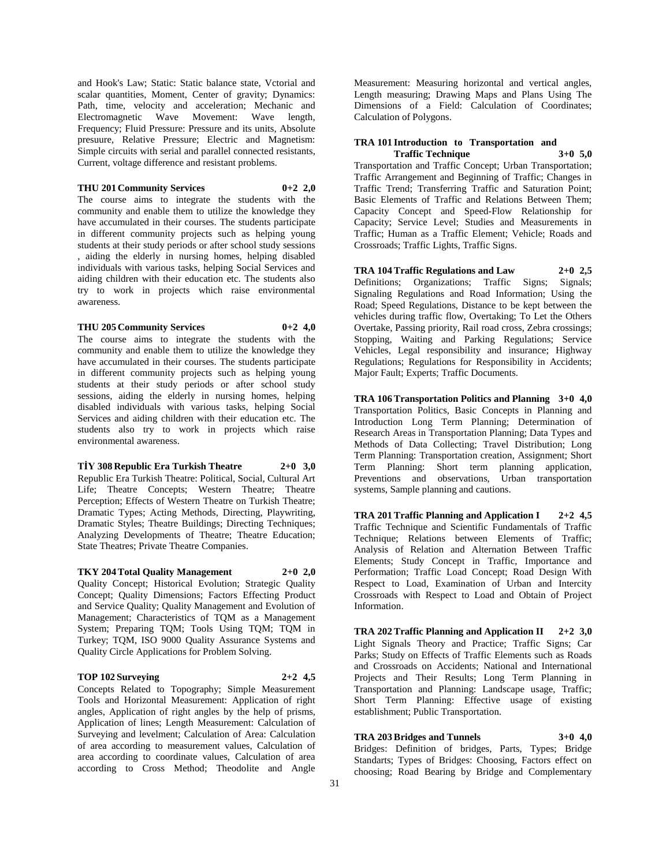and Hook's Law; Static: Static balance state, Vctorial and scalar quantities, Moment, Center of gravity; Dynamics: Path, time, velocity and acceleration; Mechanic and Electromagnetic Wave Movement: Wave length, Frequency; Fluid Pressure: Pressure and its units, Absolute presuure, Relative Pressure; Electric and Magnetism: Simple circuits with serial and parallel connected resistants, Current, voltage difference and resistant problems.

## **THU 201 Community Services 0+2 2,0**

The course aims to integrate the students with the community and enable them to utilize the knowledge they have accumulated in their courses. The students participate in different community projects such as helping young students at their study periods or after school study sessions , aiding the elderly in nursing homes, helping disabled individuals with various tasks, helping Social Services and aiding children with their education etc. The students also try to work in projects which raise environmental awareness.

#### **THU 205 Community Services 0+2 4,0**

The course aims to integrate the students with the community and enable them to utilize the knowledge they have accumulated in their courses. The students participate in different community projects such as helping young students at their study periods or after school study sessions, aiding the elderly in nursing homes, helping disabled individuals with various tasks, helping Social Services and aiding children with their education etc. The students also try to work in projects which raise environmental awareness.

**TİY 308 Republic Era Turkish Theatre 2+0 3,0** Republic Era Turkish Theatre: Political, Social, Cultural Art Life; Theatre Concepts; Western Theatre; Theatre Perception; Effects of Western Theatre on Turkish Theatre; Dramatic Types; Acting Methods, Directing, Playwriting, Dramatic Styles; Theatre Buildings; Directing Techniques; Analyzing Developments of Theatre; Theatre Education; State Theatres; Private Theatre Companies.

**TKY 204 Total Quality Management 2+0 2,0** Quality Concept; Historical Evolution; Strategic Quality Concept; Quality Dimensions; Factors Effecting Product and Service Quality; Quality Management and Evolution of Management; Characteristics of TQM as a Management System; Preparing TQM; Tools Using TQM; TQM in Turkey; TQM, ISO 9000 Quality Assurance Systems and

Quality Circle Applications for Problem Solving.

#### **TOP 102 Surveying 2+2 4,5**

Concepts Related to Topography; Simple Measurement Tools and Horizontal Measurement: Application of right angles, Application of right angles by the help of prisms, Application of lines; Length Measurement: Calculation of Surveying and levelment; Calculation of Area: Calculation of area according to measurement values, Calculation of area according to coordinate values, Calculation of area according to Cross Method; Theodolite and Angle

Measurement: Measuring horizontal and vertical angles, Length measuring; Drawing Maps and Plans Using The Dimensions of a Field: Calculation of Coordinates; Calculation of Polygons.

# **TRA 101 Introduction to Transportation and**

**Traffic Technique 3+0 5,0** Transportation and Traffic Concept; Urban Transportation; Traffic Arrangement and Beginning of Traffic; Changes in Traffic Trend; Transferring Traffic and Saturation Point; Basic Elements of Traffic and Relations Between Them; Capacity Concept and Speed-Flow Relationship for Capacity; Service Level; Studies and Measurements in Traffic; Human as a Traffic Element; Vehicle; Roads and Crossroads; Traffic Lights, Traffic Signs.

**TRA 104 Traffic Regulations and Law 2+0 2,5** Definitions; Organizations; Traffic Signs; Signals; Signaling Regulations and Road Information; Using the Road; Speed Regulations, Distance to be kept between the vehicles during traffic flow, Overtaking; To Let the Others Overtake, Passing priority, Rail road cross, Zebra crossings; Stopping, Waiting and Parking Regulations; Service Vehicles, Legal responsibility and insurance; Highway Regulations; Regulations for Responsibility in Accidents; Major Fault; Experts; Traffic Documents.

**TRA 106 Transportation Politics and Planning 3+0 4,0** Transportation Politics, Basic Concepts in Planning and Introduction Long Term Planning; Determination of Research Areas in Transportation Planning; Data Types and Methods of Data Collecting; Travel Distribution; Long Term Planning: Transportation creation, Assignment; Short Term Planning: Short term planning application, Preventions and observations, Urban transportation systems, Sample planning and cautions.

**TRA 201 Traffic Planning and Application I 2+2 4,5** Traffic Technique and Scientific Fundamentals of Traffic Technique; Relations between Elements of Traffic; Analysis of Relation and Alternation Between Traffic Elements; Study Concept in Traffic, Importance and Performation; Traffic Load Concept; Road Design With Respect to Load, Examination of Urban and Intercity Crossroads with Respect to Load and Obtain of Project Information.

**TRA 202 Traffic Planning and Application II 2+2 3,0** Light Signals Theory and Practice; Traffic Signs; Car Parks; Study on Effects of Traffic Elements such as Roads and Crossroads on Accidents; National and International Projects and Their Results; Long Term Planning in Transportation and Planning: Landscape usage, Traffic; Short Term Planning: Effective usage of existing establishment; Public Transportation.

**TRA 203 Bridges and Tunnels 3+0 4,0** Bridges: Definition of bridges, Parts, Types; Bridge Standarts; Types of Bridges: Choosing, Factors effect on choosing; Road Bearing by Bridge and Complementary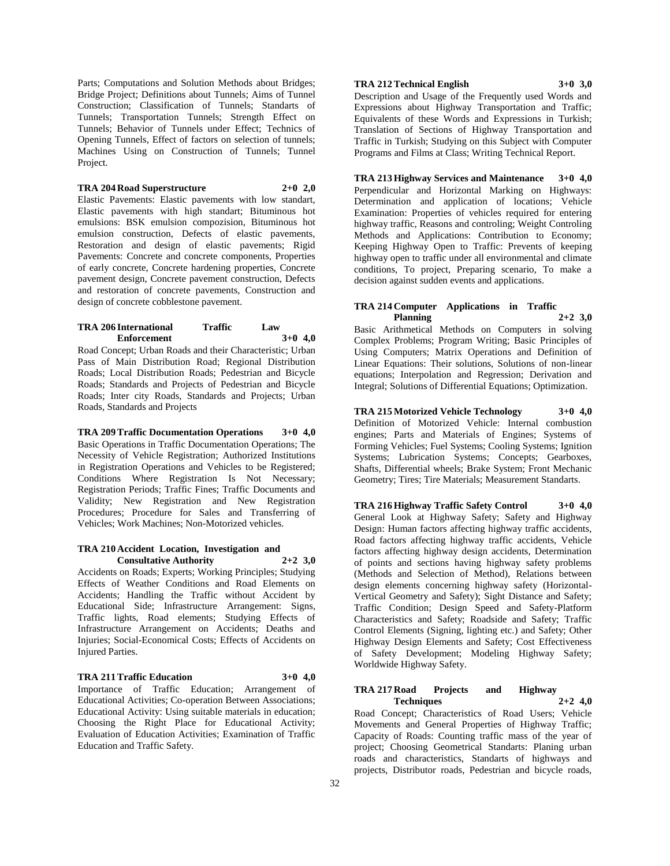Parts; Computations and Solution Methods about Bridges; Bridge Project; Definitions about Tunnels; Aims of Tunnel Construction; Classification of Tunnels; Standarts of Tunnels; Transportation Tunnels; Strength Effect on Tunnels; Behavior of Tunnels under Effect; Technics of Opening Tunnels, Effect of factors on selection of tunnels; Machines Using on Construction of Tunnels; Tunnel Project.

# **TRA 204 Road Superstructure 2+0 2,0**

Elastic Pavements: Elastic pavements with low standart, Elastic pavements with high standart; Bituminous hot emulsions: BSK emulsion compozision, Bituminous hot emulsion construction, Defects of elastic pavements, Restoration and design of elastic pavements; Rigid Pavements: Concrete and concrete components, Properties of early concrete, Concrete hardening properties, Concrete pavement design, Concrete pavement construction, Defects and restoration of concrete pavements, Construction and design of concrete cobblestone pavement.

# **TRA 206 International Traffic Law Enforcement 3+0 4,0**

Road Concept; Urban Roads and their Characteristic; Urban Pass of Main Distribution Road; Regional Distribution Roads; Local Distribution Roads; Pedestrian and Bicycle Roads; Standards and Projects of Pedestrian and Bicycle Roads; Inter city Roads, Standards and Projects; Urban Roads, Standards and Projects

#### **TRA 209 Traffic Documentation Operations 3+0 4,0**

Basic Operations in Traffic Documentation Operations; The Necessity of Vehicle Registration; Authorized Institutions in Registration Operations and Vehicles to be Registered; Conditions Where Registration Is Not Necessary; Registration Periods; Traffic Fines; Traffic Documents and Validity; New Registration and New Registration Procedures; Procedure for Sales and Transferring of Vehicles; Work Machines; Non-Motorized vehicles.

#### **TRA 210 Accident Location, Investigation and Consultative Authority 2+2 3,0**

Accidents on Roads; Experts; Working Principles; Studying Effects of Weather Conditions and Road Elements on Accidents; Handling the Traffic without Accident by Educational Side; Infrastructure Arrangement: Signs, Traffic lights, Road elements; Studying Effects of Infrastructure Arrangement on Accidents; Deaths and Injuries; Social-Economical Costs; Effects of Accidents on Injured Parties.

#### **TRA 211 Traffic Education 3+0 4,0**

Importance of Traffic Education; Arrangement of Educational Activities; Co-operation Between Associations; Educational Activity: Using suitable materials in education; Choosing the Right Place for Educational Activity; Evaluation of Education Activities; Examination of Traffic Education and Traffic Safety.

# **TRA 212 Technical English 3+0 3,0**

Description and Usage of the Frequently used Words and Expressions about Highway Transportation and Traffic; Equivalents of these Words and Expressions in Turkish; Translation of Sections of Highway Transportation and Traffic in Turkish; Studying on this Subject with Computer Programs and Films at Class; Writing Technical Report.

**TRA 213 Highway Services and Maintenance 3+0 4,0** Perpendicular and Horizontal Marking on Highways: Determination and application of locations; Vehicle Examination: Properties of vehicles required for entering highway traffic, Reasons and controling; Weight Controling Methods and Applications: Contribution to Economy; Keeping Highway Open to Traffic: Prevents of keeping highway open to traffic under all environmental and climate conditions, To project, Preparing scenario, To make a decision against sudden events and applications.

#### **TRA 214 Computer Applications in Traffic Planning 2+2 3,0**

Basic Arithmetical Methods on Computers in solving Complex Problems; Program Writing; Basic Principles of Using Computers; Matrix Operations and Definition of Linear Equations: Their solutions, Solutions of non-linear equations; Interpolation and Regression; Derivation and Integral; Solutions of Differential Equations; Optimization.

**TRA 215 Motorized Vehicle Technology 3+0 4,0** Definition of Motorized Vehicle: Internal combustion engines; Parts and Materials of Engines; Systems of Forming Vehicles; Fuel Systems; Cooling Systems; Ignition Systems; Lubrication Systems; Concepts; Gearboxes, Shafts, Differential wheels; Brake System; Front Mechanic Geometry; Tires; Tire Materials; Measurement Standarts.

**TRA 216 Highway Traffic Safety Control 3+0 4,0** General Look at Highway Safety; Safety and Highway Design: Human factors affecting highway traffic accidents, Road factors affecting highway traffic accidents, Vehicle factors affecting highway design accidents, Determination of points and sections having highway safety problems (Methods and Selection of Method), Relations between design elements concerning highway safety (Horizontal-Vertical Geometry and Safety); Sight Distance and Safety; Traffic Condition; Design Speed and Safety-Platform Characteristics and Safety; Roadside and Safety; Traffic Control Elements (Signing, lighting etc.) and Safety; Other Highway Design Elements and Safety; Cost Effectiveness of Safety Development; Modeling Highway Safety; Worldwide Highway Safety.

# **TRA 217 Road Projects and Highway Techniques 2+2 4,0**

Road Concept; Characteristics of Road Users; Vehicle Movements and General Properties of Highway Traffic; Capacity of Roads: Counting traffic mass of the year of project; Choosing Geometrical Standarts: Planing urban roads and characteristics, Standarts of highways and projects, Distributor roads, Pedestrian and bicycle roads,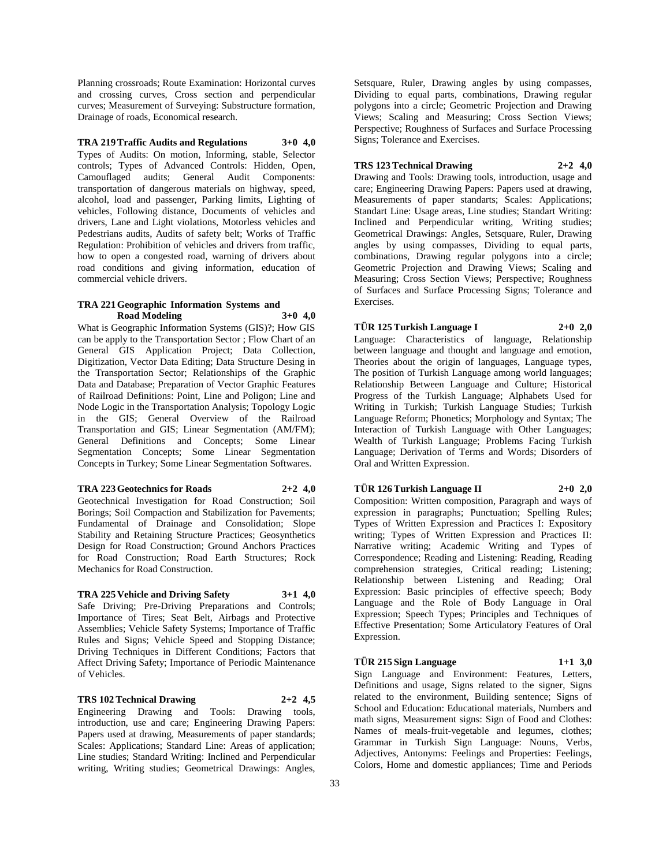Planning crossroads; Route Examination: Horizontal curves and crossing curves, Cross section and perpendicular curves; Measurement of Surveying: Substructure formation, Drainage of roads, Economical research.

#### **TRA 219 Traffic Audits and Regulations 3+0 4,0**

Types of Audits: On motion, Informing, stable, Selector controls; Types of Advanced Controls: Hidden, Open, Camouflaged audits; General Audit Components: transportation of dangerous materials on highway, speed, alcohol, load and passenger, Parking limits, Lighting of vehicles, Following distance, Documents of vehicles and drivers, Lane and Light violations, Motorless vehicles and Pedestrians audits, Audits of safety belt; Works of Traffic Regulation: Prohibition of vehicles and drivers from traffic, how to open a congested road, warning of drivers about road conditions and giving information, education of commercial vehicle drivers.

#### **TRA 221 Geographic Information Systems and Road Modeling 3+0 4,0**

What is Geographic Information Systems (GIS)?; How GIS can be apply to the Transportation Sector ; Flow Chart of an General GIS Application Project; Data Collection, Digitization, Vector Data Editing; Data Structure Desing in the Transportation Sector; Relationships of the Graphic Data and Database; Preparation of Vector Graphic Features of Railroad Definitions: Point, Line and Poligon; Line and Node Logic in the Transportation Analysis; Topology Logic in the GIS; General Overview of the Railroad Transportation and GIS; Linear Segmentation (AM/FM); General Definitions and Concepts; Some Linear Segmentation Concepts; Some Linear Segmentation Concepts in Turkey; Some Linear Segmentation Softwares.

# **TRA 223 Geotechnics for Roads 2+2 4,0**

Geotechnical Investigation for Road Construction; Soil Borings; Soil Compaction and Stabilization for Pavements; Fundamental of Drainage and Consolidation; Slope Stability and Retaining Structure Practices; Geosynthetics Design for Road Construction; Ground Anchors Practices for Road Construction; Road Earth Structures; Rock Mechanics for Road Construction.

# **TRA 225 Vehicle and Driving Safety 3+1 4,0**

Safe Driving; Pre-Driving Preparations and Controls; Importance of Tires; Seat Belt, Airbags and Protective Assemblies; Vehicle Safety Systems; Importance of Traffic Rules and Signs; Vehicle Speed and Stopping Distance; Driving Techniques in Different Conditions; Factors that Affect Driving Safety; Importance of Periodic Maintenance of Vehicles.

#### **TRS 102 Technical Drawing 2+2 4,5**

Engineering Drawing and Tools: Drawing tools, introduction, use and care; Engineering Drawing Papers: Papers used at drawing, Measurements of paper standards; Scales: Applications; Standard Line: Areas of application; Line studies; Standard Writing: Inclined and Perpendicular writing, Writing studies; Geometrical Drawings: Angles,

Setsquare, Ruler, Drawing angles by using compasses, Dividing to equal parts, combinations, Drawing regular polygons into a circle; Geometric Projection and Drawing Views; Scaling and Measuring; Cross Section Views; Perspective; Roughness of Surfaces and Surface Processing Signs; Tolerance and Exercises.

## **TRS 123 Technical Drawing 2+2 4,0**

Drawing and Tools: Drawing tools, introduction, usage and care; Engineering Drawing Papers: Papers used at drawing, Measurements of paper standarts; Scales: Applications; Standart Line: Usage areas, Line studies; Standart Writing: Inclined and Perpendicular writing, Writing studies; Geometrical Drawings: Angles, Setsquare, Ruler, Drawing angles by using compasses, Dividing to equal parts, combinations, Drawing regular polygons into a circle; Geometric Projection and Drawing Views; Scaling and Measuring; Cross Section Views; Perspective; Roughness of Surfaces and Surface Processing Signs; Tolerance and Exercises.

#### **TÜR 125 Turkish Language I 2+0 2,0**

Language: Characteristics of language, Relationship between language and thought and language and emotion, Theories about the origin of languages, Language types, The position of Turkish Language among world languages; Relationship Between Language and Culture; Historical Progress of the Turkish Language; Alphabets Used for Writing in Turkish; Turkish Language Studies; Turkish Language Reform; Phonetics; Morphology and Syntax; The Interaction of Turkish Language with Other Languages; Wealth of Turkish Language; Problems Facing Turkish Language; Derivation of Terms and Words; Disorders of Oral and Written Expression.

# **TÜR 126 Turkish Language II 2+0 2,0**

Composition: Written composition, Paragraph and ways of expression in paragraphs; Punctuation; Spelling Rules; Types of Written Expression and Practices I: Expository writing; Types of Written Expression and Practices II: Narrative writing; Academic Writing and Types of Correspondence; Reading and Listening: Reading, Reading comprehension strategies, Critical reading; Listening; Relationship between Listening and Reading; Oral Expression: Basic principles of effective speech; Body Language and the Role of Body Language in Oral Expression; Speech Types; Principles and Techniques of Effective Presentation; Some Articulatory Features of Oral Expression.

**TÜR 215 Sign Language 1+1 3,0** Sign Language and Environment: Features, Letters, Definitions and usage, Signs related to the signer, Signs related to the environment, Building sentence; Signs of School and Education: Educational materials, Numbers and math signs, Measurement signs: Sign of Food and Clothes: Names of meals-fruit-vegetable and legumes, clothes; Grammar in Turkish Sign Language: Nouns, Verbs, Adjectives, Antonyms: Feelings and Properties: Feelings, Colors, Home and domestic appliances; Time and Periods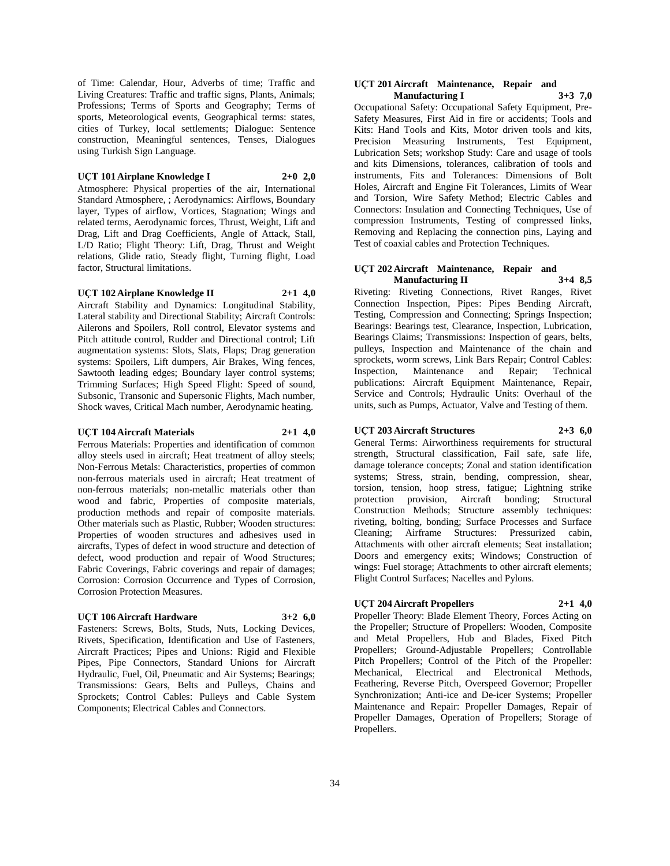of Time: Calendar, Hour, Adverbs of time; Traffic and Living Creatures: Traffic and traffic signs, Plants, Animals; Professions; Terms of Sports and Geography; Terms of sports, Meteorological events, Geographical terms: states, cities of Turkey, local settlements; Dialogue: Sentence construction, Meaningful sentences, Tenses, Dialogues using Turkish Sign Language.

#### **UÇT 101 Airplane Knowledge I 2+0 2,0**

Atmosphere: Physical properties of the air, International Standard Atmosphere, ; Aerodynamics: Airflows, Boundary layer, Types of airflow, Vortices, Stagnation; Wings and related terms, Aerodynamic forces, Thrust, Weight, Lift and Drag, Lift and Drag Coefficients, Angle of Attack, Stall, L/D Ratio; Flight Theory: Lift, Drag, Thrust and Weight relations, Glide ratio, Steady flight, Turning flight, Load factor, Structural limitations.

## **UÇT 102 Airplane Knowledge II 2+1 4,0**

Aircraft Stability and Dynamics: Longitudinal Stability, Lateral stability and Directional Stability; Aircraft Controls: Ailerons and Spoilers, Roll control, Elevator systems and Pitch attitude control, Rudder and Directional control; Lift augmentation systems: Slots, Slats, Flaps; Drag generation systems: Spoilers, Lift dumpers, Air Brakes, Wing fences, Sawtooth leading edges; Boundary layer control systems; Trimming Surfaces; High Speed Flight: Speed of sound, Subsonic, Transonic and Supersonic Flights, Mach number, Shock waves, Critical Mach number, Aerodynamic heating.

#### **UÇT 104 Aircraft Materials 2+1 4,0**

Ferrous Materials: Properties and identification of common alloy steels used in aircraft; Heat treatment of alloy steels; Non-Ferrous Metals: Characteristics, properties of common non-ferrous materials used in aircraft; Heat treatment of non-ferrous materials; non-metallic materials other than wood and fabric, Properties of composite materials, production methods and repair of composite materials. Other materials such as Plastic, Rubber; Wooden structures: Properties of wooden structures and adhesives used in aircrafts, Types of defect in wood structure and detection of defect, wood production and repair of Wood Structures; Fabric Coverings, Fabric coverings and repair of damages; Corrosion: Corrosion Occurrence and Types of Corrosion, Corrosion Protection Measures.

#### **UÇT 106 Aircraft Hardware 3+2 6,0**

Fasteners: Screws, Bolts, Studs, Nuts, Locking Devices, Rivets, Specification, Identification and Use of Fasteners, Aircraft Practices; Pipes and Unions: Rigid and Flexible Pipes, Pipe Connectors, Standard Unions for Aircraft Hydraulic, Fuel, Oil, Pneumatic and Air Systems; Bearings; Transmissions: Gears, Belts and Pulleys, Chains and Sprockets; Control Cables: Pulleys and Cable System Components; Electrical Cables and Connectors.

#### **UÇT 201 Aircraft Maintenance, Repair and Manufacturing I 3+3 7,0**

Occupational Safety: Occupational Safety Equipment, Pre-Safety Measures, First Aid in fire or accidents; Tools and Kits: Hand Tools and Kits, Motor driven tools and kits, Precision Measuring Instruments, Test Equipment, Lubrication Sets; workshop Study: Care and usage of tools and kits Dimensions, tolerances, calibration of tools and instruments, Fits and Tolerances: Dimensions of Bolt Holes, Aircraft and Engine Fit Tolerances, Limits of Wear and Torsion, Wire Safety Method; Electric Cables and Connectors: Insulation and Connecting Techniques, Use of compression Instruments, Testing of compressed links, Removing and Replacing the connection pins, Laying and Test of coaxial cables and Protection Techniques.

#### **UÇT 202 Aircraft Maintenance, Repair and Manufacturing II 3+4 8,5**

Riveting: Riveting Connections, Rivet Ranges, Rivet Connection Inspection, Pipes: Pipes Bending Aircraft, Testing, Compression and Connecting; Springs Inspection; Bearings: Bearings test, Clearance, Inspection, Lubrication, Bearings Claims; Transmissions: Inspection of gears, belts, pulleys, Inspection and Maintenance of the chain and sprockets, worm screws, Link Bars Repair; Control Cables: Inspection, Maintenance and Repair; Technical publications: Aircraft Equipment Maintenance, Repair, Service and Controls; Hydraulic Units: Overhaul of the units, such as Pumps, Actuator, Valve and Testing of them.

## **UÇT 203 Aircraft Structures 2+3 6,0**

General Terms: Airworthiness requirements for structural strength, Structural classification, Fail safe, safe life, damage tolerance concepts; Zonal and station identification systems; Stress, strain, bending, compression, shear, torsion, tension, hoop stress, fatigue; Lightning strike protection provision, Aircraft bonding; Structural Construction Methods; Structure assembly techniques: riveting, bolting, bonding; Surface Processes and Surface Cleaning; Airframe Structures: Pressurized cabin, Attachments with other aircraft elements; Seat installation; Doors and emergency exits; Windows; Construction of wings: Fuel storage; Attachments to other aircraft elements; Flight Control Surfaces; Nacelles and Pylons.

# **UÇT 204 Aircraft Propellers 2+1 4,0**

Propeller Theory: Blade Element Theory, Forces Acting on the Propeller; Structure of Propellers: Wooden, Composite and Metal Propellers, Hub and Blades, Fixed Pitch Propellers; Ground-Adjustable Propellers; Controllable Pitch Propellers; Control of the Pitch of the Propeller: Mechanical, Electrical and Electronical Methods, Feathering, Reverse Pitch, Overspeed Governor; Propeller Synchronization; Anti-ice and De-icer Systems; Propeller Maintenance and Repair: Propeller Damages, Repair of Propeller Damages, Operation of Propellers; Storage of Propellers.